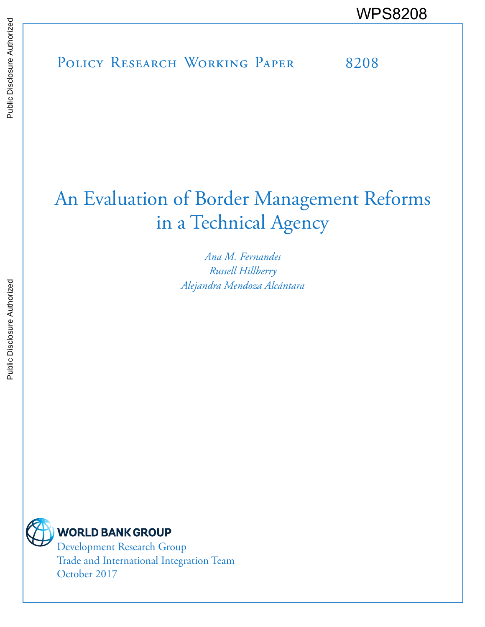POLICY RESEARCH WORKING PAPER 8208 WPS8208

# An Evaluation of Border Management Reforms in a Technical Agency

*Ana M. Fernandes Russell Hillberry Alejandra Mendoza Alcántara*



Development Research Group Trade and International Integration Team October 2017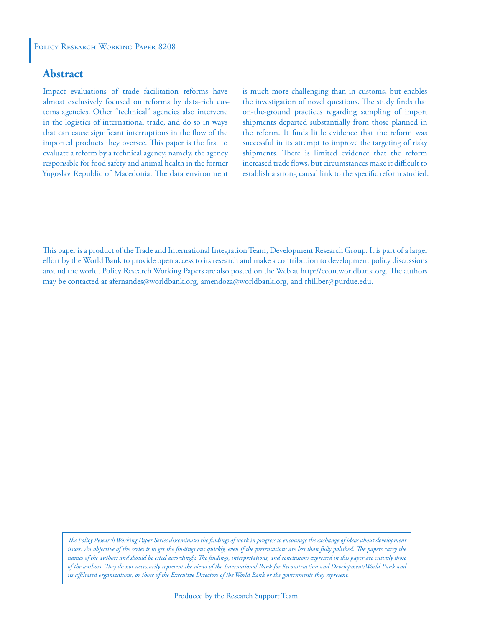# **Abstract**

Impact evaluations of trade facilitation reforms have almost exclusively focused on reforms by data-rich customs agencies. Other "technical" agencies also intervene in the logistics of international trade, and do so in ways that can cause significant interruptions in the flow of the imported products they oversee. This paper is the first to evaluate a reform by a technical agency, namely, the agency responsible for food safety and animal health in the former Yugoslav Republic of Macedonia. The data environment

is much more challenging than in customs, but enables the investigation of novel questions. The study finds that on-the-ground practices regarding sampling of import shipments departed substantially from those planned in the reform. It finds little evidence that the reform was successful in its attempt to improve the targeting of risky shipments. There is limited evidence that the reform increased trade flows, but circumstances make it difficult to establish a strong causal link to the specific reform studied.

This paper is a product of the Trade and International Integration Team, Development Research Group. It is part of a larger effort by the World Bank to provide open access to its research and make a contribution to development policy discussions around the world. Policy Research Working Papers are also posted on the Web at http://econ.worldbank.org. The authors may be contacted at afernandes@worldbank.org, amendoza@worldbank.org, and rhillber@purdue.edu.

*The Policy Research Working Paper Series disseminates the findings of work in progress to encourage the exchange of ideas about development*  issues. An objective of the series is to get the findings out quickly, even if the presentations are less than fully polished. The papers carry the *names of the authors and should be cited accordingly. The findings, interpretations, and conclusions expressed in this paper are entirely those of the authors. They do not necessarily represent the views of the International Bank for Reconstruction and Development/World Bank and its affiliated organizations, or those of the Executive Directors of the World Bank or the governments they represent.*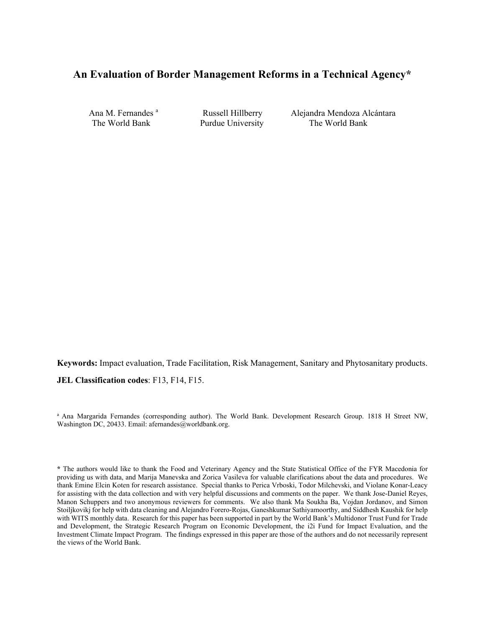# **An Evaluation of Border Management Reforms in a Technical Agency\***

Ana M. Fernandes<sup>a</sup>

 Russell Hillberry Alejandra Mendoza Alcántara The World Bank Purdue University The World Bank

**Keywords:** Impact evaluation, Trade Facilitation, Risk Management, Sanitary and Phytosanitary products. **JEL Classification codes**: F13, F14, F15.

<sup>a</sup> Ana Margarida Fernandes (corresponding author). The World Bank. Development Research Group. 1818 H Street NW, Washington DC, 20433. Email: afernandes@worldbank.org.

**<sup>\*</sup>** The authors would like to thank the Food and Veterinary Agency and the State Statistical Office of the FYR Macedonia for providing us with data, and Marija Manevska and Zorica Vasileva for valuable clarifications about the data and procedures. We thank Emine Elcin Koten for research assistance. Special thanks to Perica Vrboski, Todor Milchevski, and Violane Konar-Leacy for assisting with the data collection and with very helpful discussions and comments on the paper. We thank Jose-Daniel Reyes, Manon Schuppers and two anonymous reviewers for comments. We also thank Ma Soukha Ba, Vojdan Jordanov, and Simon Stoiljkovikj for help with data cleaning and Alejandro Forero-Rojas, Ganeshkumar Sathiyamoorthy, and Siddhesh Kaushik for help with WITS monthly data. Research for this paper has been supported in part by the World Bank's Multidonor Trust Fund for Trade and Development, the Strategic Research Program on Economic Development, the i2i Fund for Impact Evaluation, and the Investment Climate Impact Program. The findings expressed in this paper are those of the authors and do not necessarily represent the views of the World Bank.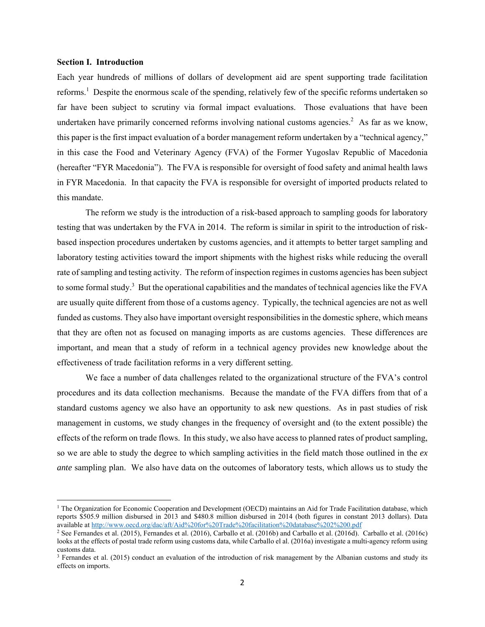## **Section I. Introduction**

**.** 

Each year hundreds of millions of dollars of development aid are spent supporting trade facilitation reforms.<sup>1</sup> Despite the enormous scale of the spending, relatively few of the specific reforms undertaken so far have been subject to scrutiny via formal impact evaluations. Those evaluations that have been undertaken have primarily concerned reforms involving national customs agencies.<sup>2</sup> As far as we know, this paper is the first impact evaluation of a border management reform undertaken by a "technical agency," in this case the Food and Veterinary Agency (FVA) of the Former Yugoslav Republic of Macedonia (hereafter "FYR Macedonia"). The FVA is responsible for oversight of food safety and animal health laws in FYR Macedonia. In that capacity the FVA is responsible for oversight of imported products related to this mandate.

The reform we study is the introduction of a risk-based approach to sampling goods for laboratory testing that was undertaken by the FVA in 2014. The reform is similar in spirit to the introduction of riskbased inspection procedures undertaken by customs agencies, and it attempts to better target sampling and laboratory testing activities toward the import shipments with the highest risks while reducing the overall rate of sampling and testing activity. The reform of inspection regimes in customs agencies has been subject to some formal study.<sup>3</sup> But the operational capabilities and the mandates of technical agencies like the FVA are usually quite different from those of a customs agency. Typically, the technical agencies are not as well funded as customs. They also have important oversight responsibilities in the domestic sphere, which means that they are often not as focused on managing imports as are customs agencies. These differences are important, and mean that a study of reform in a technical agency provides new knowledge about the effectiveness of trade facilitation reforms in a very different setting.

We face a number of data challenges related to the organizational structure of the FVA's control procedures and its data collection mechanisms. Because the mandate of the FVA differs from that of a standard customs agency we also have an opportunity to ask new questions. As in past studies of risk management in customs, we study changes in the frequency of oversight and (to the extent possible) the effects of the reform on trade flows. In this study, we also have access to planned rates of product sampling, so we are able to study the degree to which sampling activities in the field match those outlined in the *ex ante* sampling plan. We also have data on the outcomes of laboratory tests, which allows us to study the

 $1$  The Organization for Economic Cooperation and Development (OECD) maintains an Aid for Trade Facilitation database, which reports \$505.9 million disbursed in 2013 and \$480.8 million disbursed in 2014 (both figures in constant 2013 dollars). Data available at http://www.oecd.org/dac/aft/Aid%20for%20Trade%20facilitation%20database%202%200.pdf<br><sup>2</sup> See Fernandes et al. (2015), Fernandes et al. (2016), Carballo et al. (2016b) and Carballo et al. (2016d). Carballo et al

looks at the effects of postal trade reform using customs data, while Carballo el al. (2016a) investigate a multi-agency reform using customs data.

 $3$  Fernandes et al. (2015) conduct an evaluation of the introduction of risk management by the Albanian customs and study its effects on imports.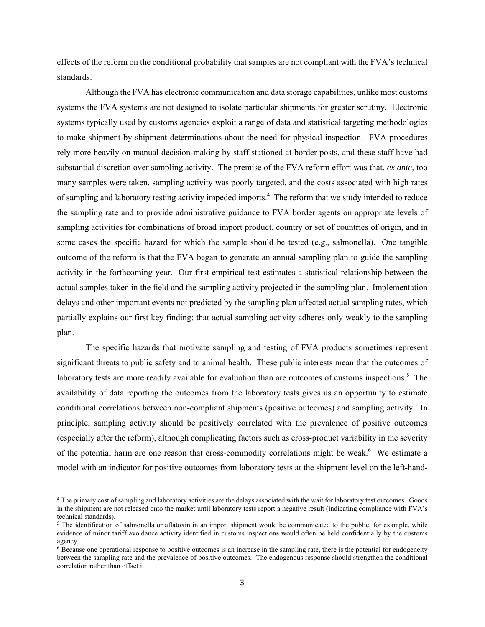effects of the reform on the conditional probability that samples are not compliant with the FVA's technical standards.

Although the FVA has electronic communication and data storage capabilities, unlike most customs systems the FVA systems are not designed to isolate particular shipments for greater scrutiny. Electronic systems typically used by customs agencies exploit a range of data and statistical targeting methodologies to make shipment-by-shipment determinations about the need for physical inspection. FVA procedures rely more heavily on manual decision-making by staff stationed at border posts, and these staff have had substantial discretion over sampling activity. The premise of the FVA reform effort was that, *ex ante*, too many samples were taken, sampling activity was poorly targeted, and the costs associated with high rates of sampling and laboratory testing activity impeded imports.<sup>4</sup> The reform that we study intended to reduce the sampling rate and to provide administrative guidance to FVA border agents on appropriate levels of sampling activities for combinations of broad import product, country or set of countries of origin, and in some cases the specific hazard for which the sample should be tested (e.g., salmonella). One tangible outcome of the reform is that the FVA began to generate an annual sampling plan to guide the sampling activity in the forthcoming year. Our first empirical test estimates a statistical relationship between the actual samples taken in the field and the sampling activity projected in the sampling plan. Implementation delays and other important events not predicted by the sampling plan affected actual sampling rates, which partially explains our first key finding: that actual sampling activity adheres only weakly to the sampling plan.

The specific hazards that motivate sampling and testing of FVA products sometimes represent significant threats to public safety and to animal health. These public interests mean that the outcomes of laboratory tests are more readily available for evaluation than are outcomes of customs inspections.<sup>5</sup> The availability of data reporting the outcomes from the laboratory tests gives us an opportunity to estimate conditional correlations between non-compliant shipments (positive outcomes) and sampling activity. In principle, sampling activity should be positively correlated with the prevalence of positive outcomes (especially after the reform), although complicating factors such as cross-product variability in the severity of the potential harm are one reason that cross-commodity correlations might be weak.<sup>6</sup> We estimate a model with an indicator for positive outcomes from laboratory tests at the shipment level on the left-hand-

 $\overline{a}$ 

<sup>&</sup>lt;sup>4</sup> The primary cost of sampling and laboratory activities are the delays associated with the wait for laboratory test outcomes. Goods in the shipment are not released onto the market until laboratory tests report a negative result (indicating compliance with FVA's technical standards).

<sup>&</sup>lt;sup>5</sup> The identification of salmonella or aflatoxin in an import shipment would be communicated to the public, for example, while evidence of minor tariff avoidance activity identified in customs inspections would often be held confidentially by the customs agency.

<sup>&</sup>lt;sup>6</sup> Because one operational response to positive outcomes is an increase in the sampling rate, there is the potential for endogeneity between the sampling rate and the prevalence of positive outcomes. The endogenous response should strengthen the conditional correlation rather than offset it.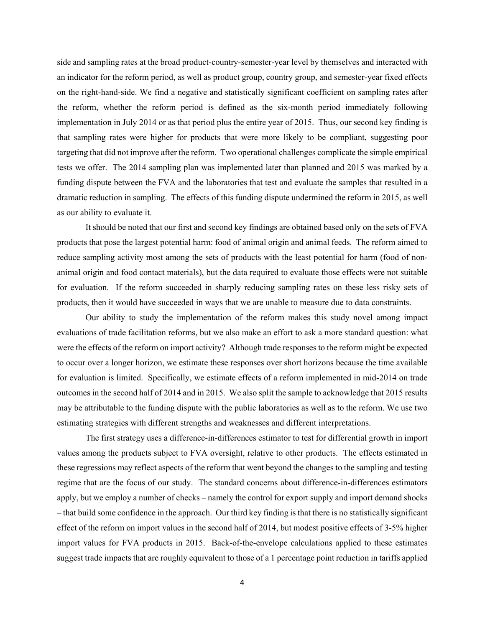side and sampling rates at the broad product-country-semester-year level by themselves and interacted with an indicator for the reform period, as well as product group, country group, and semester-year fixed effects on the right-hand-side. We find a negative and statistically significant coefficient on sampling rates after the reform, whether the reform period is defined as the six-month period immediately following implementation in July 2014 or as that period plus the entire year of 2015. Thus, our second key finding is that sampling rates were higher for products that were more likely to be compliant, suggesting poor targeting that did not improve after the reform. Two operational challenges complicate the simple empirical tests we offer. The 2014 sampling plan was implemented later than planned and 2015 was marked by a funding dispute between the FVA and the laboratories that test and evaluate the samples that resulted in a dramatic reduction in sampling. The effects of this funding dispute undermined the reform in 2015, as well as our ability to evaluate it.

It should be noted that our first and second key findings are obtained based only on the sets of FVA products that pose the largest potential harm: food of animal origin and animal feeds. The reform aimed to reduce sampling activity most among the sets of products with the least potential for harm (food of nonanimal origin and food contact materials), but the data required to evaluate those effects were not suitable for evaluation. If the reform succeeded in sharply reducing sampling rates on these less risky sets of products, then it would have succeeded in ways that we are unable to measure due to data constraints.

Our ability to study the implementation of the reform makes this study novel among impact evaluations of trade facilitation reforms, but we also make an effort to ask a more standard question: what were the effects of the reform on import activity? Although trade responses to the reform might be expected to occur over a longer horizon, we estimate these responses over short horizons because the time available for evaluation is limited. Specifically, we estimate effects of a reform implemented in mid-2014 on trade outcomes in the second half of 2014 and in 2015. We also split the sample to acknowledge that 2015 results may be attributable to the funding dispute with the public laboratories as well as to the reform. We use two estimating strategies with different strengths and weaknesses and different interpretations.

The first strategy uses a difference-in-differences estimator to test for differential growth in import values among the products subject to FVA oversight, relative to other products. The effects estimated in these regressions may reflect aspects of the reform that went beyond the changes to the sampling and testing regime that are the focus of our study. The standard concerns about difference-in-differences estimators apply, but we employ a number of checks – namely the control for export supply and import demand shocks – that build some confidence in the approach. Our third key finding is that there is no statistically significant effect of the reform on import values in the second half of 2014, but modest positive effects of 3-5% higher import values for FVA products in 2015. Back-of-the-envelope calculations applied to these estimates suggest trade impacts that are roughly equivalent to those of a 1 percentage point reduction in tariffs applied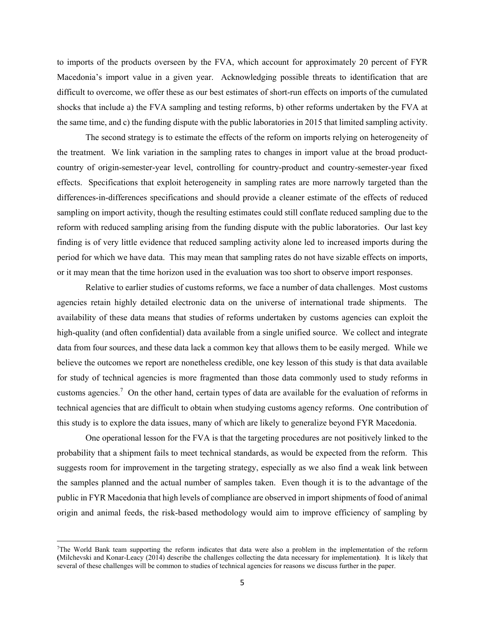to imports of the products overseen by the FVA, which account for approximately 20 percent of FYR Macedonia's import value in a given year. Acknowledging possible threats to identification that are difficult to overcome, we offer these as our best estimates of short-run effects on imports of the cumulated shocks that include a) the FVA sampling and testing reforms, b) other reforms undertaken by the FVA at the same time, and c) the funding dispute with the public laboratories in 2015 that limited sampling activity.

The second strategy is to estimate the effects of the reform on imports relying on heterogeneity of the treatment. We link variation in the sampling rates to changes in import value at the broad productcountry of origin-semester-year level, controlling for country-product and country-semester-year fixed effects. Specifications that exploit heterogeneity in sampling rates are more narrowly targeted than the differences-in-differences specifications and should provide a cleaner estimate of the effects of reduced sampling on import activity, though the resulting estimates could still conflate reduced sampling due to the reform with reduced sampling arising from the funding dispute with the public laboratories. Our last key finding is of very little evidence that reduced sampling activity alone led to increased imports during the period for which we have data. This may mean that sampling rates do not have sizable effects on imports, or it may mean that the time horizon used in the evaluation was too short to observe import responses.

Relative to earlier studies of customs reforms, we face a number of data challenges. Most customs agencies retain highly detailed electronic data on the universe of international trade shipments. The availability of these data means that studies of reforms undertaken by customs agencies can exploit the high-quality (and often confidential) data available from a single unified source. We collect and integrate data from four sources, and these data lack a common key that allows them to be easily merged. While we believe the outcomes we report are nonetheless credible, one key lesson of this study is that data available for study of technical agencies is more fragmented than those data commonly used to study reforms in customs agencies.<sup>7</sup> On the other hand, certain types of data are available for the evaluation of reforms in technical agencies that are difficult to obtain when studying customs agency reforms. One contribution of this study is to explore the data issues, many of which are likely to generalize beyond FYR Macedonia.

One operational lesson for the FVA is that the targeting procedures are not positively linked to the probability that a shipment fails to meet technical standards, as would be expected from the reform. This suggests room for improvement in the targeting strategy, especially as we also find a weak link between the samples planned and the actual number of samples taken. Even though it is to the advantage of the public in FYR Macedonia that high levels of compliance are observed in import shipments of food of animal origin and animal feeds, the risk-based methodology would aim to improve efficiency of sampling by

**.** 

<sup>7</sup> The World Bank team supporting the reform indicates that data were also a problem in the implementation of the reform **(**Milchevski and Konar-Leacy (2014) describe the challenges collecting the data necessary for implementation**)**. It is likely that several of these challenges will be common to studies of technical agencies for reasons we discuss further in the paper.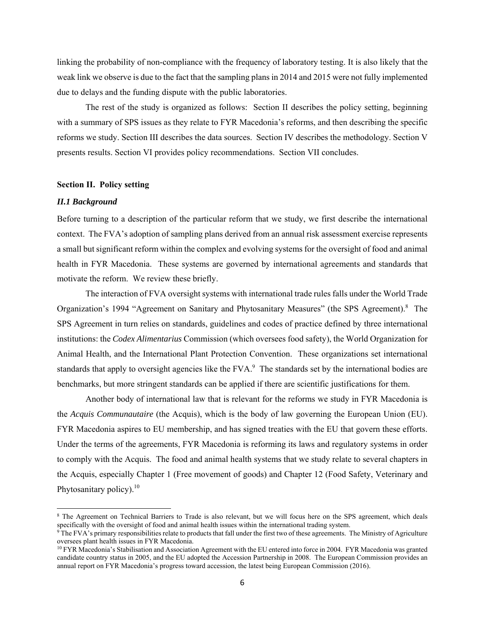linking the probability of non-compliance with the frequency of laboratory testing. It is also likely that the weak link we observe is due to the fact that the sampling plans in 2014 and 2015 were not fully implemented due to delays and the funding dispute with the public laboratories.

The rest of the study is organized as follows: Section II describes the policy setting, beginning with a summary of SPS issues as they relate to FYR Macedonia's reforms, and then describing the specific reforms we study. Section III describes the data sources. Section IV describes the methodology. Section V presents results. Section VI provides policy recommendations. Section VII concludes.

# **Section II. Policy setting**

# *II.1 Background*

 $\overline{a}$ 

Before turning to a description of the particular reform that we study, we first describe the international context. The FVA's adoption of sampling plans derived from an annual risk assessment exercise represents a small but significant reform within the complex and evolving systems for the oversight of food and animal health in FYR Macedonia. These systems are governed by international agreements and standards that motivate the reform. We review these briefly.

The interaction of FVA oversight systems with international trade rules falls under the World Trade Organization's 1994 "Agreement on Sanitary and Phytosanitary Measures" (the SPS Agreement).<sup>8</sup> The SPS Agreement in turn relies on standards, guidelines and codes of practice defined by three international institutions: the *Codex Alimentarius* Commission (which oversees food safety), the World Organization for Animal Health, and the International Plant Protection Convention. These organizations set international standards that apply to oversight agencies like the  $FVA$ .<sup>9</sup> The standards set by the international bodies are benchmarks, but more stringent standards can be applied if there are scientific justifications for them.

Another body of international law that is relevant for the reforms we study in FYR Macedonia is the *Acquis Communautaire* (the Acquis), which is the body of law governing the European Union (EU). FYR Macedonia aspires to EU membership, and has signed treaties with the EU that govern these efforts. Under the terms of the agreements, FYR Macedonia is reforming its laws and regulatory systems in order to comply with the Acquis. The food and animal health systems that we study relate to several chapters in the Acquis, especially Chapter 1 (Free movement of goods) and Chapter 12 (Food Safety, Veterinary and Phytosanitary policy). $10$ 

<sup>&</sup>lt;sup>8</sup> The Agreement on Technical Barriers to Trade is also relevant, but we will focus here on the SPS agreement, which deals specifically with the oversight of food and animal health issues within the international trading

<sup>&</sup>lt;sup>9</sup>The FVA's primary responsibilities relate to products that fall under the first two of these agreements. The Ministry of Agriculture oversees plant health issues in FYR Macedonia.<br><sup>10</sup> FYR Macedonia's Stabilisation and Association Agreement with the EU entered into force in 2004. FYR Macedonia was granted

candidate country status in 2005, and the EU adopted the Accession Partnership in 2008. The European Commission provides an annual report on FYR Macedonia's progress toward accession, the latest being European Commission (2016).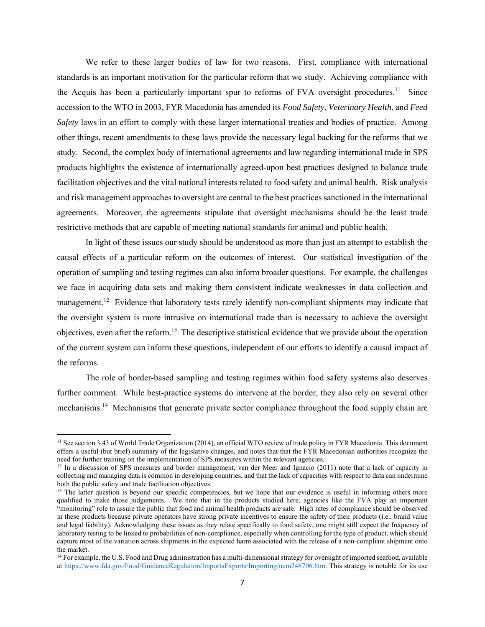We refer to these larger bodies of law for two reasons. First, compliance with international standards is an important motivation for the particular reform that we study. Achieving compliance with the Acquis has been a particularly important spur to reforms of FVA oversight procedures.<sup>11</sup> Since accession to the WTO in 2003, FYR Macedonia has amended its *Food Safety*, *Veterinary Health*, and *Feed Safety* laws in an effort to comply with these larger international treaties and bodies of practice. Among other things, recent amendments to these laws provide the necessary legal backing for the reforms that we study. Second, the complex body of international agreements and law regarding international trade in SPS products highlights the existence of internationally agreed-upon best practices designed to balance trade facilitation objectives and the vital national interests related to food safety and animal health. Risk analysis and risk management approaches to oversight are central to the best practices sanctioned in the international agreements. Moreover, the agreements stipulate that oversight mechanisms should be the least trade restrictive methods that are capable of meeting national standards for animal and public health.

In light of these issues our study should be understood as more than just an attempt to establish the causal effects of a particular reform on the outcomes of interest. Our statistical investigation of the operation of sampling and testing regimes can also inform broader questions. For example, the challenges we face in acquiring data sets and making them consistent indicate weaknesses in data collection and management.<sup>12</sup> Evidence that laboratory tests rarely identify non-compliant shipments may indicate that the oversight system is more intrusive on international trade than is necessary to achieve the oversight objectives, even after the reform.13 The descriptive statistical evidence that we provide about the operation of the current system can inform these questions, independent of our efforts to identify a causal impact of the reforms.

The role of border-based sampling and testing regimes within food safety systems also deserves further comment. While best-practice systems do intervene at the border, they also rely on several other mechanisms.<sup>14</sup> Mechanisms that generate private sector compliance throughout the food supply chain are

**.** 

<sup>&</sup>lt;sup>11</sup> See section 3.43 of World Trade Organization (2014), an official WTO review of trade policy in FYR Macedonia. This document offers a useful (but brief) summary of the legislative changes, and notes that that the FYR Macedonian authorities recognize the need for further training on the implementation of SPS measures within the relevant agencies.<br><sup>12</sup> In a discussion of SPS measures and border management, van der Meer and Ignacio (2011) note that a lack of capacity in

collecting and managing data is common in developing countries, and that the lack of capacities with respect to data can undermine both the public safety and trade facilitation objectives.

 $13$  The latter question is beyond our specific competencies, but we hope that our evidence is useful in informing others more qualified to make those judgements. We note that in the products studied here, agencies like the FVA play an important "monitoring" role to assure the public that food and animal health products are safe. High rates of compliance should be observed in these products because private operators have strong private incentives to ensure the safety of their products (i.e., brand value and legal liability). Acknowledging these issues as they relate specifically to food safety, one might still expect the frequency of laboratory testing to be linked to probabilities of non-compliance, especially when controlling for the type of product, which should capture most of the variation across shipments in the expected harm associated with the release of a non-compliant shipment onto the market.

<sup>&</sup>lt;sup>14</sup> For example, the U.S. Food and Drug administration has a multi-dimensional strategy for oversight of imported seafood, available at https://www.fda.gov/Food/GuidanceRegulation/ImportsExports/Importing/ucm248706.htm. This strategy is notable for its use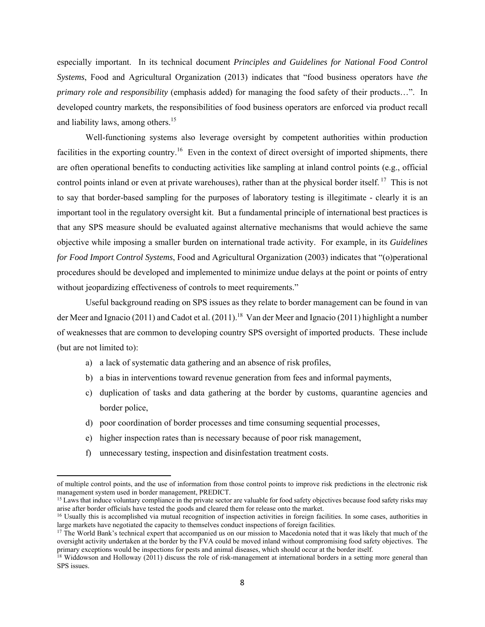especially important. In its technical document *Principles and Guidelines for National Food Control Systems*, Food and Agricultural Organization (2013) indicates that "food business operators have *the primary role and responsibility* (emphasis added) for managing the food safety of their products…". In developed country markets, the responsibilities of food business operators are enforced via product recall and liability laws, among others.<sup>15</sup>

Well-functioning systems also leverage oversight by competent authorities within production facilities in the exporting country.<sup>16</sup> Even in the context of direct oversight of imported shipments, there are often operational benefits to conducting activities like sampling at inland control points (e.g., official control points inland or even at private warehouses), rather than at the physical border itself. <sup>17</sup> This is not to say that border-based sampling for the purposes of laboratory testing is illegitimate - clearly it is an important tool in the regulatory oversight kit. But a fundamental principle of international best practices is that any SPS measure should be evaluated against alternative mechanisms that would achieve the same objective while imposing a smaller burden on international trade activity. For example, in its *Guidelines for Food Import Control Systems*, Food and Agricultural Organization (2003) indicates that "(o)perational procedures should be developed and implemented to minimize undue delays at the point or points of entry without jeopardizing effectiveness of controls to meet requirements."

Useful background reading on SPS issues as they relate to border management can be found in van der Meer and Ignacio (2011) and Cadot et al. (2011).<sup>18</sup> Van der Meer and Ignacio (2011) highlight a number of weaknesses that are common to developing country SPS oversight of imported products. These include (but are not limited to):

- a) a lack of systematic data gathering and an absence of risk profiles,
- b) a bias in interventions toward revenue generation from fees and informal payments,
- c) duplication of tasks and data gathering at the border by customs, quarantine agencies and border police,
- d) poor coordination of border processes and time consuming sequential processes,
- e) higher inspection rates than is necessary because of poor risk management,
- f) unnecessary testing, inspection and disinfestation treatment costs.

of multiple control points, and the use of information from those control points to improve risk predictions in the electronic risk

 $15$  Laws that induce voluntary compliance in the private sector are valuable for food safety objectives because food safety risks may arise after border officials have tested the goods and cleared them for release onto t

<sup>&</sup>lt;sup>16</sup> Usually this is accomplished via mutual recognition of inspection activities in foreign facilities. In some cases, authorities in large markets have negotiated the capacity to themselves conduct inspections of foreign facilities.<br><sup>17</sup> The World Bank's technical expert that accompanied us on our mission to Macedonia noted that it was likely that much

oversight activity undertaken at the border by the FVA could be moved inland without compromising food safety objectives. The primary exceptions would be inspections for pests and animal diseases, which should occur at the border itself.<br><sup>18</sup> Widdowson and Holloway (2011) discuss the role of risk-management at international borders in a setting m

SPS issues.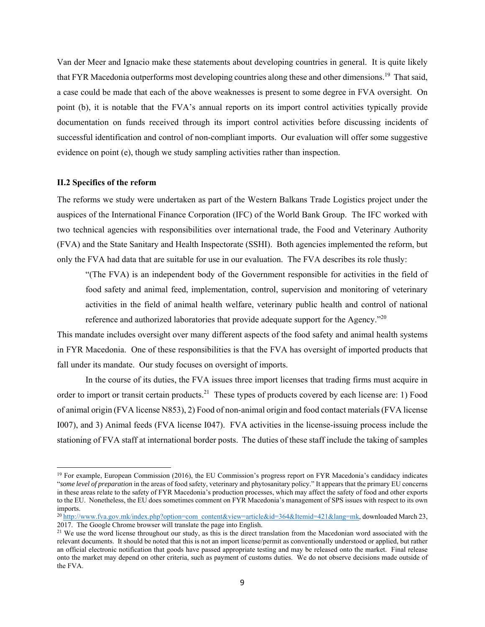Van der Meer and Ignacio make these statements about developing countries in general. It is quite likely that FYR Macedonia outperforms most developing countries along these and other dimensions.19 That said, a case could be made that each of the above weaknesses is present to some degree in FVA oversight. On point (b), it is notable that the FVA's annual reports on its import control activities typically provide documentation on funds received through its import control activities before discussing incidents of successful identification and control of non-compliant imports. Our evaluation will offer some suggestive evidence on point (e), though we study sampling activities rather than inspection.

# **II.2 Specifics of the reform**

 $\overline{a}$ 

The reforms we study were undertaken as part of the Western Balkans Trade Logistics project under the auspices of the International Finance Corporation (IFC) of the World Bank Group. The IFC worked with two technical agencies with responsibilities over international trade, the Food and Veterinary Authority (FVA) and the State Sanitary and Health Inspectorate (SSHI). Both agencies implemented the reform, but only the FVA had data that are suitable for use in our evaluation. The FVA describes its role thusly:

"(The FVA) is an independent body of the Government responsible for activities in the field of food safety and animal feed, implementation, control, supervision and monitoring of veterinary activities in the field of animal health welfare, veterinary public health and control of national reference and authorized laboratories that provide adequate support for the Agency.<sup>220</sup>

This mandate includes oversight over many different aspects of the food safety and animal health systems in FYR Macedonia. One of these responsibilities is that the FVA has oversight of imported products that fall under its mandate. Our study focuses on oversight of imports.

In the course of its duties, the FVA issues three import licenses that trading firms must acquire in order to import or transit certain products.<sup>21</sup> These types of products covered by each license are: 1) Food of animal origin (FVA license N853), 2) Food of non-animal origin and food contact materials (FVA license I007), and 3) Animal feeds (FVA license I047). FVA activities in the license-issuing process include the stationing of FVA staff at international border posts. The duties of these staff include the taking of samples

<sup>&</sup>lt;sup>19</sup> For example, European Commission (2016), the EU Commission's progress report on FYR Macedonia's candidacy indicates "*some level of preparation* in the areas of food safety, veterinary and phytosanitary policy." It appears that the primary EU concerns in these areas relate to the safety of FYR Macedonia's production processes, which may affect the safety of food and other exports to the EU. Nonetheless, the EU does sometimes comment on FYR Macedonia's management of SPS issues with respect to its own imports.

<sup>&</sup>lt;sup>20</sup> http://www.fva.gov.mk/index.php?option=com\_content&view=article&id=364&Itemid=421&lang=mk, downloaded March 23, 2017. The Google Chrome browser will translate the page into English.<br><sup>21</sup> We use the word license throughout our study, as this is the direct translation from the Macedonian word associated with the

relevant documents. It should be noted that this is not an import license/permit as conventionally understood or applied, but rather an official electronic notification that goods have passed appropriate testing and may be released onto the market. Final release onto the market may depend on other criteria, such as payment of customs duties. We do not observe decisions made outside of the FVA.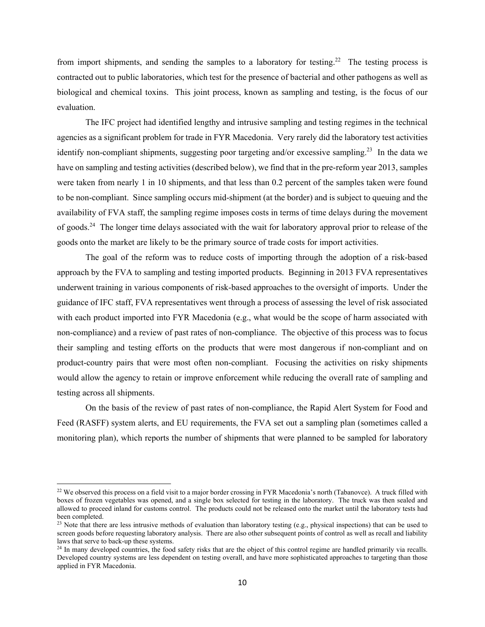from import shipments, and sending the samples to a laboratory for testing.<sup>22</sup> The testing process is contracted out to public laboratories, which test for the presence of bacterial and other pathogens as well as biological and chemical toxins. This joint process, known as sampling and testing, is the focus of our evaluation.

The IFC project had identified lengthy and intrusive sampling and testing regimes in the technical agencies as a significant problem for trade in FYR Macedonia. Very rarely did the laboratory test activities identify non-compliant shipments, suggesting poor targeting and/or excessive sampling.<sup>23</sup> In the data we have on sampling and testing activities (described below), we find that in the pre-reform year 2013, samples were taken from nearly 1 in 10 shipments, and that less than 0.2 percent of the samples taken were found to be non-compliant. Since sampling occurs mid-shipment (at the border) and is subject to queuing and the availability of FVA staff, the sampling regime imposes costs in terms of time delays during the movement of goods.<sup>24</sup> The longer time delays associated with the wait for laboratory approval prior to release of the goods onto the market are likely to be the primary source of trade costs for import activities.

The goal of the reform was to reduce costs of importing through the adoption of a risk-based approach by the FVA to sampling and testing imported products. Beginning in 2013 FVA representatives underwent training in various components of risk-based approaches to the oversight of imports. Under the guidance of IFC staff, FVA representatives went through a process of assessing the level of risk associated with each product imported into FYR Macedonia (e.g., what would be the scope of harm associated with non-compliance) and a review of past rates of non-compliance. The objective of this process was to focus their sampling and testing efforts on the products that were most dangerous if non-compliant and on product-country pairs that were most often non-compliant. Focusing the activities on risky shipments would allow the agency to retain or improve enforcement while reducing the overall rate of sampling and testing across all shipments.

On the basis of the review of past rates of non-compliance, the Rapid Alert System for Food and Feed (RASFF) system alerts, and EU requirements, the FVA set out a sampling plan (sometimes called a monitoring plan), which reports the number of shipments that were planned to be sampled for laboratory

<sup>&</sup>lt;sup>22</sup> We observed this process on a field visit to a major border crossing in FYR Macedonia's north (Tabanovce). A truck filled with boxes of frozen vegetables was opened, and a single box selected for testing in the laboratory. The truck was then sealed and allowed to proceed inland for customs control. The products could not be released onto the market until the laboratory tests had been completed.

 $23$  Note that there are less intrusive methods of evaluation than laboratory testing (e.g., physical inspections) that can be used to screen goods before requesting laboratory analysis. There are also other subsequent points of control as well as recall and liability laws that serve to back-up these systems.

<sup>&</sup>lt;sup>24</sup> In many developed countries, the food safety risks that are the object of this control regime are handled primarily via recalls. Developed country systems are less dependent on testing overall, and have more sophisticated approaches to targeting than those applied in FYR Macedonia.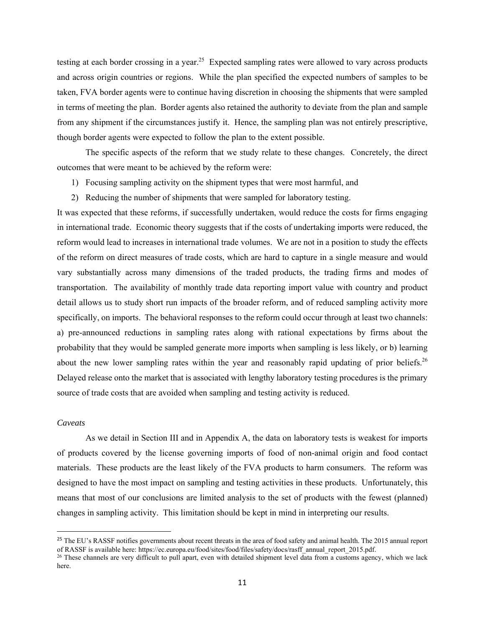testing at each border crossing in a year.<sup>25</sup> Expected sampling rates were allowed to vary across products and across origin countries or regions. While the plan specified the expected numbers of samples to be taken, FVA border agents were to continue having discretion in choosing the shipments that were sampled in terms of meeting the plan. Border agents also retained the authority to deviate from the plan and sample from any shipment if the circumstances justify it. Hence, the sampling plan was not entirely prescriptive, though border agents were expected to follow the plan to the extent possible.

The specific aspects of the reform that we study relate to these changes. Concretely, the direct outcomes that were meant to be achieved by the reform were:

- 1) Focusing sampling activity on the shipment types that were most harmful, and
- 2) Reducing the number of shipments that were sampled for laboratory testing.

It was expected that these reforms, if successfully undertaken, would reduce the costs for firms engaging in international trade. Economic theory suggests that if the costs of undertaking imports were reduced, the reform would lead to increases in international trade volumes. We are not in a position to study the effects of the reform on direct measures of trade costs, which are hard to capture in a single measure and would vary substantially across many dimensions of the traded products, the trading firms and modes of transportation. The availability of monthly trade data reporting import value with country and product detail allows us to study short run impacts of the broader reform, and of reduced sampling activity more specifically, on imports. The behavioral responses to the reform could occur through at least two channels: a) pre-announced reductions in sampling rates along with rational expectations by firms about the probability that they would be sampled generate more imports when sampling is less likely, or b) learning about the new lower sampling rates within the year and reasonably rapid updating of prior beliefs.<sup>26</sup> Delayed release onto the market that is associated with lengthy laboratory testing procedures is the primary source of trade costs that are avoided when sampling and testing activity is reduced.

# *Caveats*

 $\overline{\phantom{a}}$ 

As we detail in Section III and in Appendix A, the data on laboratory tests is weakest for imports of products covered by the license governing imports of food of non-animal origin and food contact materials. These products are the least likely of the FVA products to harm consumers. The reform was designed to have the most impact on sampling and testing activities in these products. Unfortunately, this means that most of our conclusions are limited analysis to the set of products with the fewest (planned) changes in sampling activity. This limitation should be kept in mind in interpreting our results.

<sup>&</sup>lt;sup>25</sup> The EU's RASSF notifies governments about recent threats in the area of food safety and animal health. The 2015 annual report of RASSF is available here: https://ec.europa.eu/food/sites/food/files/safety/docs/rasff\_annual\_report\_2015.pdf.

<sup>&</sup>lt;sup>26</sup> These channels are very difficult to pull apart, even with detailed shipment level data from a customs agency, which we lack here.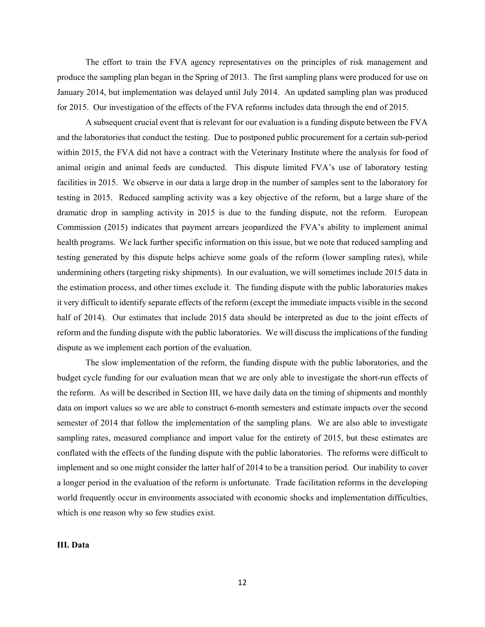The effort to train the FVA agency representatives on the principles of risk management and produce the sampling plan began in the Spring of 2013. The first sampling plans were produced for use on January 2014, but implementation was delayed until July 2014. An updated sampling plan was produced for 2015. Our investigation of the effects of the FVA reforms includes data through the end of 2015.

A subsequent crucial event that is relevant for our evaluation is a funding dispute between the FVA and the laboratories that conduct the testing. Due to postponed public procurement for a certain sub-period within 2015, the FVA did not have a contract with the Veterinary Institute where the analysis for food of animal origin and animal feeds are conducted. This dispute limited FVA's use of laboratory testing facilities in 2015. We observe in our data a large drop in the number of samples sent to the laboratory for testing in 2015. Reduced sampling activity was a key objective of the reform, but a large share of the dramatic drop in sampling activity in 2015 is due to the funding dispute, not the reform. European Commission (2015) indicates that payment arrears jeopardized the FVA's ability to implement animal health programs. We lack further specific information on this issue, but we note that reduced sampling and testing generated by this dispute helps achieve some goals of the reform (lower sampling rates), while undermining others (targeting risky shipments). In our evaluation, we will sometimes include 2015 data in the estimation process, and other times exclude it. The funding dispute with the public laboratories makes it very difficult to identify separate effects of the reform (except the immediate impacts visible in the second half of 2014). Our estimates that include 2015 data should be interpreted as due to the joint effects of reform and the funding dispute with the public laboratories. We will discuss the implications of the funding dispute as we implement each portion of the evaluation.

The slow implementation of the reform, the funding dispute with the public laboratories, and the budget cycle funding for our evaluation mean that we are only able to investigate the short-run effects of the reform. As will be described in Section III, we have daily data on the timing of shipments and monthly data on import values so we are able to construct 6-month semesters and estimate impacts over the second semester of 2014 that follow the implementation of the sampling plans. We are also able to investigate sampling rates, measured compliance and import value for the entirety of 2015, but these estimates are conflated with the effects of the funding dispute with the public laboratories. The reforms were difficult to implement and so one might consider the latter half of 2014 to be a transition period. Our inability to cover a longer period in the evaluation of the reform is unfortunate. Trade facilitation reforms in the developing world frequently occur in environments associated with economic shocks and implementation difficulties, which is one reason why so few studies exist.

#### **III. Data**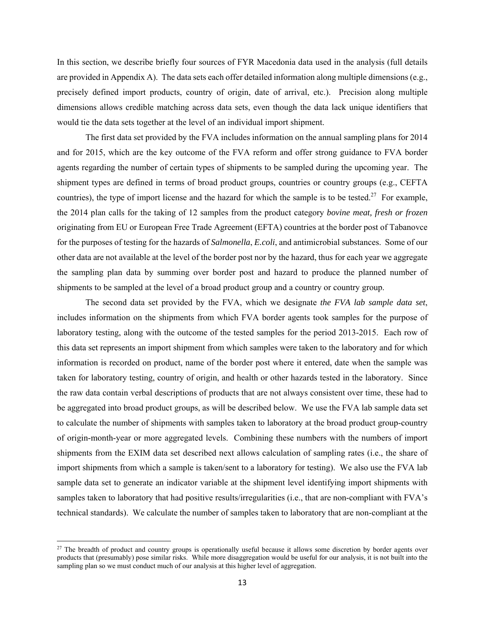In this section, we describe briefly four sources of FYR Macedonia data used in the analysis (full details are provided in Appendix A). The data sets each offer detailed information along multiple dimensions (e.g., precisely defined import products, country of origin, date of arrival, etc.). Precision along multiple dimensions allows credible matching across data sets, even though the data lack unique identifiers that would tie the data sets together at the level of an individual import shipment.

The first data set provided by the FVA includes information on the annual sampling plans for 2014 and for 2015, which are the key outcome of the FVA reform and offer strong guidance to FVA border agents regarding the number of certain types of shipments to be sampled during the upcoming year. The shipment types are defined in terms of broad product groups, countries or country groups (e.g., CEFTA countries), the type of import license and the hazard for which the sample is to be tested.<sup>27</sup> For example, the 2014 plan calls for the taking of 12 samples from the product category *bovine meat, fresh or frozen* originating from EU or European Free Trade Agreement (EFTA) countries at the border post of Tabanovce for the purposes of testing for the hazards of *Salmonella*, *E.coli*, and antimicrobial substances. Some of our other data are not available at the level of the border post nor by the hazard, thus for each year we aggregate the sampling plan data by summing over border post and hazard to produce the planned number of shipments to be sampled at the level of a broad product group and a country or country group.

The second data set provided by the FVA, which we designate *the FVA lab sample data set*, includes information on the shipments from which FVA border agents took samples for the purpose of laboratory testing, along with the outcome of the tested samples for the period 2013-2015. Each row of this data set represents an import shipment from which samples were taken to the laboratory and for which information is recorded on product, name of the border post where it entered, date when the sample was taken for laboratory testing, country of origin, and health or other hazards tested in the laboratory. Since the raw data contain verbal descriptions of products that are not always consistent over time, these had to be aggregated into broad product groups, as will be described below. We use the FVA lab sample data set to calculate the number of shipments with samples taken to laboratory at the broad product group-country of origin-month-year or more aggregated levels. Combining these numbers with the numbers of import shipments from the EXIM data set described next allows calculation of sampling rates (i.e., the share of import shipments from which a sample is taken/sent to a laboratory for testing). We also use the FVA lab sample data set to generate an indicator variable at the shipment level identifying import shipments with samples taken to laboratory that had positive results/irregularities (i.e., that are non-compliant with FVA's technical standards). We calculate the number of samples taken to laboratory that are non-compliant at the

<sup>&</sup>lt;sup>27</sup> The breadth of product and country groups is operationally useful because it allows some discretion by border agents over products that (presumably) pose similar risks. While more disaggregation would be useful for our analysis, it is not built into the sampling plan so we must conduct much of our analysis at this higher level of aggregation.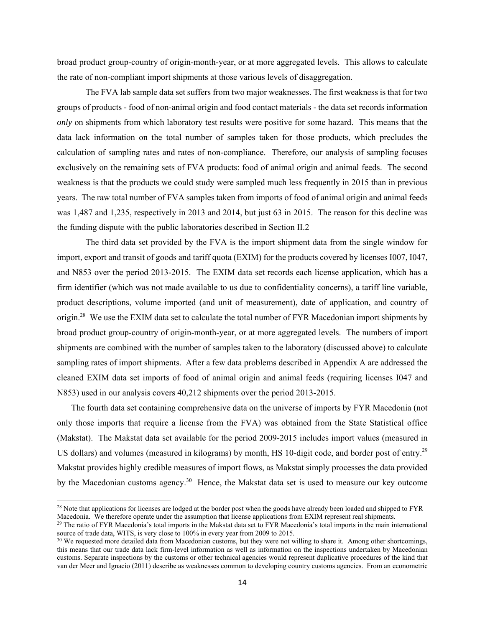broad product group-country of origin-month-year, or at more aggregated levels. This allows to calculate the rate of non-compliant import shipments at those various levels of disaggregation.

The FVA lab sample data set suffers from two major weaknesses. The first weakness is that for two groups of products - food of non-animal origin and food contact materials - the data set records information *only* on shipments from which laboratory test results were positive for some hazard. This means that the data lack information on the total number of samples taken for those products, which precludes the calculation of sampling rates and rates of non-compliance. Therefore, our analysis of sampling focuses exclusively on the remaining sets of FVA products: food of animal origin and animal feeds. The second weakness is that the products we could study were sampled much less frequently in 2015 than in previous years. The raw total number of FVA samples taken from imports of food of animal origin and animal feeds was 1,487 and 1,235, respectively in 2013 and 2014, but just 63 in 2015. The reason for this decline was the funding dispute with the public laboratories described in Section II.2

The third data set provided by the FVA is the import shipment data from the single window for import, export and transit of goods and tariff quota (EXIM) for the products covered by licenses I007, I047, and N853 over the period 2013-2015. The EXIM data set records each license application, which has a firm identifier (which was not made available to us due to confidentiality concerns), a tariff line variable, product descriptions, volume imported (and unit of measurement), date of application, and country of origin.<sup>28</sup> We use the EXIM data set to calculate the total number of FYR Macedonian import shipments by broad product group-country of origin-month-year, or at more aggregated levels. The numbers of import shipments are combined with the number of samples taken to the laboratory (discussed above) to calculate sampling rates of import shipments. After a few data problems described in Appendix A are addressed the cleaned EXIM data set imports of food of animal origin and animal feeds (requiring licenses I047 and N853) used in our analysis covers 40,212 shipments over the period 2013-2015.

The fourth data set containing comprehensive data on the universe of imports by FYR Macedonia (not only those imports that require a license from the FVA) was obtained from the State Statistical office (Makstat). The Makstat data set available for the period 2009-2015 includes import values (measured in US dollars) and volumes (measured in kilograms) by month, HS 10-digit code, and border post of entry.<sup>29</sup> Makstat provides highly credible measures of import flows, as Makstat simply processes the data provided by the Macedonian customs agency.<sup>30</sup> Hence, the Makstat data set is used to measure our key outcome

 $^{28}$  Note that applications for licenses are lodged at the border post when the goods have already been loaded and shipped to FYR Macedonia. We therefore operate under the assumption that license applications from EXIM represent real shipments.<br><sup>29</sup> The ratio of FYR Macedonia's total imports in the Makstat data set to FYR Macedonia's total imports in

source of trade data, WITS, is very close to 100% in every year from 2009 to 2015.<br><sup>30</sup> We requested more detailed data from Macedonian customs, but they were not willing to share it. Among other shortcomings,

this means that our trade data lack firm-level information as well as information on the inspections undertaken by Macedonian customs. Separate inspections by the customs or other technical agencies would represent duplicative procedures of the kind that van der Meer and Ignacio (2011) describe as weaknesses common to developing country customs agencies. From an econometric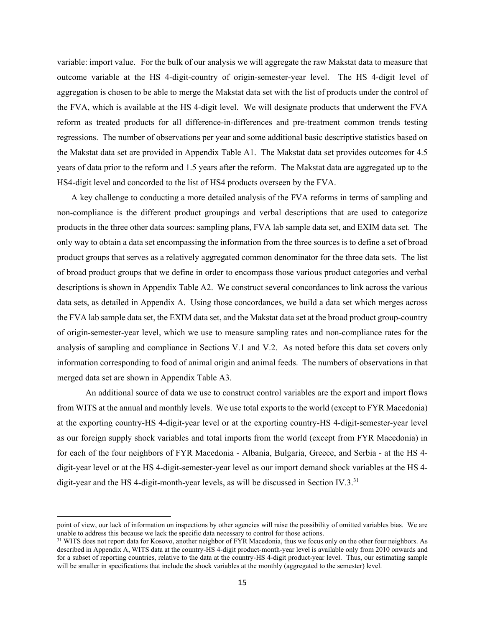variable: import value. For the bulk of our analysis we will aggregate the raw Makstat data to measure that outcome variable at the HS 4-digit-country of origin-semester-year level. The HS 4-digit level of aggregation is chosen to be able to merge the Makstat data set with the list of products under the control of the FVA, which is available at the HS 4-digit level. We will designate products that underwent the FVA reform as treated products for all difference-in-differences and pre-treatment common trends testing regressions. The number of observations per year and some additional basic descriptive statistics based on the Makstat data set are provided in Appendix Table A1. The Makstat data set provides outcomes for 4.5 years of data prior to the reform and 1.5 years after the reform. The Makstat data are aggregated up to the HS4-digit level and concorded to the list of HS4 products overseen by the FVA.

A key challenge to conducting a more detailed analysis of the FVA reforms in terms of sampling and non-compliance is the different product groupings and verbal descriptions that are used to categorize products in the three other data sources: sampling plans, FVA lab sample data set, and EXIM data set. The only way to obtain a data set encompassing the information from the three sources is to define a set of broad product groups that serves as a relatively aggregated common denominator for the three data sets. The list of broad product groups that we define in order to encompass those various product categories and verbal descriptions is shown in Appendix Table A2. We construct several concordances to link across the various data sets, as detailed in Appendix A. Using those concordances, we build a data set which merges across the FVA lab sample data set, the EXIM data set, and the Makstat data set at the broad product group-country of origin-semester-year level, which we use to measure sampling rates and non-compliance rates for the analysis of sampling and compliance in Sections V.1 and V.2. As noted before this data set covers only information corresponding to food of animal origin and animal feeds. The numbers of observations in that merged data set are shown in Appendix Table A3.

An additional source of data we use to construct control variables are the export and import flows from WITS at the annual and monthly levels. We use total exports to the world (except to FYR Macedonia) at the exporting country-HS 4-digit-year level or at the exporting country-HS 4-digit-semester-year level as our foreign supply shock variables and total imports from the world (except from FYR Macedonia) in for each of the four neighbors of FYR Macedonia - Albania, Bulgaria, Greece, and Serbia - at the HS 4 digit-year level or at the HS 4-digit-semester-year level as our import demand shock variables at the HS 4 digit-year and the HS 4-digit-month-year levels, as will be discussed in Section IV.3. $31$ 

point of view, our lack of information on inspections by other agencies will raise the possibility of omitted variables bias. We are unable to address this because we lack the specific data necessary to control for those actions.<br><sup>31</sup> WITS does not report data for Kosovo, another neighbor of FYR Macedonia, thus we focus only on the other four neighbors.

described in Appendix A, WITS data at the country-HS 4-digit product-month-year level is available only from 2010 onwards and for a subset of reporting countries, relative to the data at the country-HS 4-digit product-year level. Thus, our estimating sample will be smaller in specifications that include the shock variables at the monthly (aggregated to the semester) level.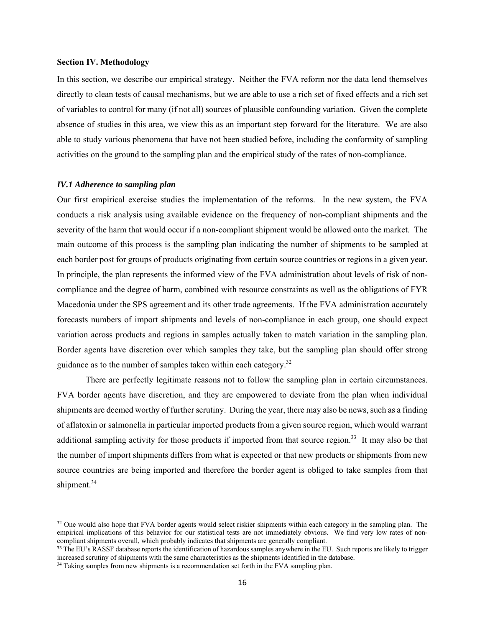#### **Section IV. Methodology**

In this section, we describe our empirical strategy. Neither the FVA reform nor the data lend themselves directly to clean tests of causal mechanisms, but we are able to use a rich set of fixed effects and a rich set of variables to control for many (if not all) sources of plausible confounding variation. Given the complete absence of studies in this area, we view this as an important step forward for the literature. We are also able to study various phenomena that have not been studied before, including the conformity of sampling activities on the ground to the sampling plan and the empirical study of the rates of non-compliance.

# *IV.1 Adherence to sampling plan*

 $\overline{a}$ 

Our first empirical exercise studies the implementation of the reforms. In the new system, the FVA conducts a risk analysis using available evidence on the frequency of non-compliant shipments and the severity of the harm that would occur if a non-compliant shipment would be allowed onto the market. The main outcome of this process is the sampling plan indicating the number of shipments to be sampled at each border post for groups of products originating from certain source countries or regions in a given year. In principle, the plan represents the informed view of the FVA administration about levels of risk of noncompliance and the degree of harm, combined with resource constraints as well as the obligations of FYR Macedonia under the SPS agreement and its other trade agreements. If the FVA administration accurately forecasts numbers of import shipments and levels of non-compliance in each group, one should expect variation across products and regions in samples actually taken to match variation in the sampling plan. Border agents have discretion over which samples they take, but the sampling plan should offer strong guidance as to the number of samples taken within each category.<sup>32</sup>

There are perfectly legitimate reasons not to follow the sampling plan in certain circumstances. FVA border agents have discretion, and they are empowered to deviate from the plan when individual shipments are deemed worthy of further scrutiny. During the year, there may also be news, such as a finding of aflatoxin or salmonella in particular imported products from a given source region, which would warrant additional sampling activity for those products if imported from that source region.<sup>33</sup> It may also be that the number of import shipments differs from what is expected or that new products or shipments from new source countries are being imported and therefore the border agent is obliged to take samples from that shipment.<sup>34</sup>

<sup>&</sup>lt;sup>32</sup> One would also hope that FVA border agents would select riskier shipments within each category in the sampling plan. The empirical implications of this behavior for our statistical tests are not immediately obvious. We find very low rates of noncompliant shipments overall, which probably indicates that shipments are generally compliant.

<sup>&</sup>lt;sup>33</sup> The EU's RASSF database reports the identification of hazardous samples anywhere in the EU. Such reports are likely to trigger increased scrutiny of shipments with the same characteristics as the shipments identified in the database.

<sup>&</sup>lt;sup>34</sup> Taking samples from new shipments is a recommendation set forth in the FVA sampling plan.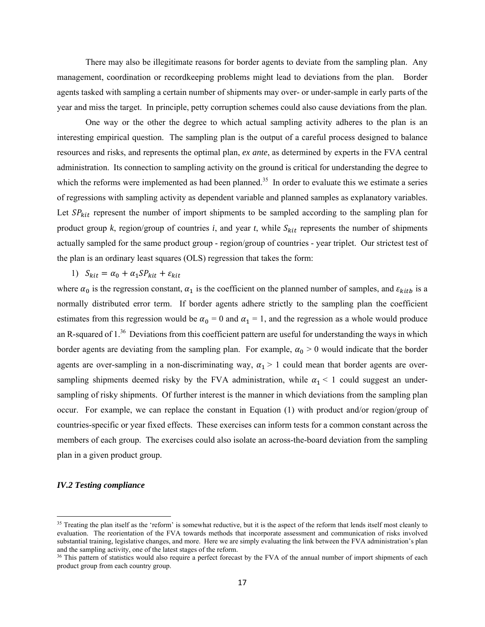There may also be illegitimate reasons for border agents to deviate from the sampling plan. Any management, coordination or recordkeeping problems might lead to deviations from the plan. Border agents tasked with sampling a certain number of shipments may over- or under-sample in early parts of the year and miss the target. In principle, petty corruption schemes could also cause deviations from the plan.

One way or the other the degree to which actual sampling activity adheres to the plan is an interesting empirical question. The sampling plan is the output of a careful process designed to balance resources and risks, and represents the optimal plan, *ex ante*, as determined by experts in the FVA central administration. Its connection to sampling activity on the ground is critical for understanding the degree to which the reforms were implemented as had been planned.<sup>35</sup> In order to evaluate this we estimate a series of regressions with sampling activity as dependent variable and planned samples as explanatory variables. Let  $SP_{kit}$  represent the number of import shipments to be sampled according to the sampling plan for product group  $k$ , region/group of countries  $i$ , and year  $t$ , while  $S_{kit}$  represents the number of shipments actually sampled for the same product group - region/group of countries - year triplet. Our strictest test of the plan is an ordinary least squares (OLS) regression that takes the form:

1)  $S_{kit} = \alpha_0 + \alpha_1 SP_{kit} + \varepsilon_{kit}$ 

where  $\alpha_0$  is the regression constant,  $\alpha_1$  is the coefficient on the planned number of samples, and  $\varepsilon_{kitb}$  is a normally distributed error term. If border agents adhere strictly to the sampling plan the coefficient estimates from this regression would be  $\alpha_0 = 0$  and  $\alpha_1 = 1$ , and the regression as a whole would produce an R-squared of 1.<sup>36</sup> Deviations from this coefficient pattern are useful for understanding the ways in which border agents are deviating from the sampling plan. For example,  $\alpha_0 > 0$  would indicate that the border agents are over-sampling in a non-discriminating way,  $\alpha_1 > 1$  could mean that border agents are oversampling shipments deemed risky by the FVA administration, while  $\alpha_1 < 1$  could suggest an undersampling of risky shipments. Of further interest is the manner in which deviations from the sampling plan occur. For example, we can replace the constant in Equation (1) with product and/or region/group of countries-specific or year fixed effects. These exercises can inform tests for a common constant across the members of each group. The exercises could also isolate an across-the-board deviation from the sampling plan in a given product group.

# *IV.2 Testing compliance*

<sup>&</sup>lt;sup>35</sup> Treating the plan itself as the 'reform' is somewhat reductive, but it is the aspect of the reform that lends itself most cleanly to evaluation. The reorientation of the FVA towards methods that incorporate assessment and communication of risks involved substantial training, legislative changes, and more. Here we are simply evaluating the link between the FVA administration's plan and the sampling activity, one of the latest stages of the reform.

<sup>&</sup>lt;sup>36</sup> This pattern of statistics would also require a perfect forecast by the FVA of the annual number of import shipments of each product group from each country group.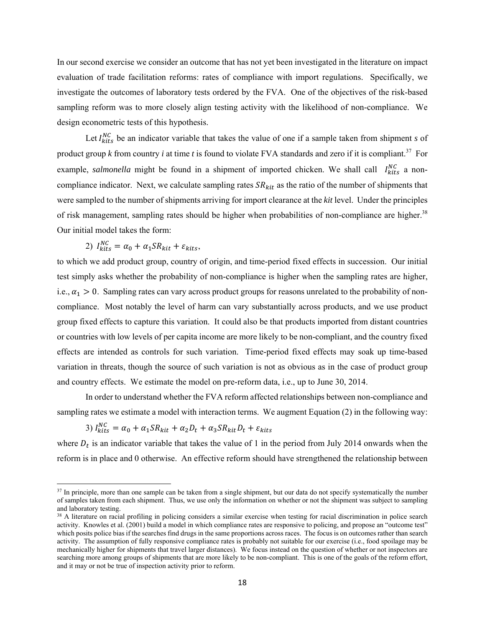In our second exercise we consider an outcome that has not yet been investigated in the literature on impact evaluation of trade facilitation reforms: rates of compliance with import regulations. Specifically, we investigate the outcomes of laboratory tests ordered by the FVA. One of the objectives of the risk-based sampling reform was to more closely align testing activity with the likelihood of non-compliance. We design econometric tests of this hypothesis.

Let  $I_{kits}^{NC}$  be an indicator variable that takes the value of one if a sample taken from shipment *s* of product group *k* from country *i* at time *t* is found to violate FVA standards and zero if it is compliant.<sup>37</sup> For example, *salmonella* might be found in a shipment of imported chicken. We shall call  $I_{kits}^{NC}$  a noncompliance indicator. Next, we calculate sampling rates  $SR_{kit}$  as the ratio of the number of shipments that were sampled to the number of shipments arriving for import clearance at the *kit* level. Under the principles of risk management, sampling rates should be higher when probabilities of non-compliance are higher.<sup>38</sup> Our initial model takes the form:

2) 
$$
I_{kits}^{NC} = \alpha_0 + \alpha_1 SR_{kit} + \varepsilon_{kits},
$$

to which we add product group, country of origin, and time-period fixed effects in succession. Our initial test simply asks whether the probability of non-compliance is higher when the sampling rates are higher, i.e.,  $\alpha_1 > 0$ . Sampling rates can vary across product groups for reasons unrelated to the probability of noncompliance. Most notably the level of harm can vary substantially across products, and we use product group fixed effects to capture this variation. It could also be that products imported from distant countries or countries with low levels of per capita income are more likely to be non-compliant, and the country fixed effects are intended as controls for such variation. Time-period fixed effects may soak up time-based variation in threats, though the source of such variation is not as obvious as in the case of product group and country effects. We estimate the model on pre-reform data, i.e., up to June 30, 2014.

In order to understand whether the FVA reform affected relationships between non-compliance and sampling rates we estimate a model with interaction terms. We augment Equation (2) in the following way:

3) 
$$
I_{kits}^{NC} = \alpha_0 + \alpha_1 SR_{kit} + \alpha_2 D_t + \alpha_3 SR_{kit} D_t + \varepsilon_{kits}
$$

 $\overline{\phantom{a}}$ 

where  $D_t$  is an indicator variable that takes the value of 1 in the period from July 2014 onwards when the reform is in place and 0 otherwise. An effective reform should have strengthened the relationship between

<sup>&</sup>lt;sup>37</sup> In principle, more than one sample can be taken from a single shipment, but our data do not specify systematically the number of samples taken from each shipment. Thus, we use only the information on whether or not the shipment was subject to sampling and laboratory testing.

 $38$  A literature on racial profiling in policing considers a similar exercise when testing for racial discrimination in police search activity. Knowles et al. (2001) build a model in which compliance rates are responsive to policing, and propose an "outcome test" which posits police bias if the searches find drugs in the same proportions across races. The focus is on outcomes rather than search activity. The assumption of fully responsive compliance rates is probably not suitable for our exercise (i.e., food spoilage may be mechanically higher for shipments that travel larger distances). We focus instead on the question of whether or not inspectors are searching more among groups of shipments that are more likely to be non-compliant. This is one of the goals of the reform effort, and it may or not be true of inspection activity prior to reform.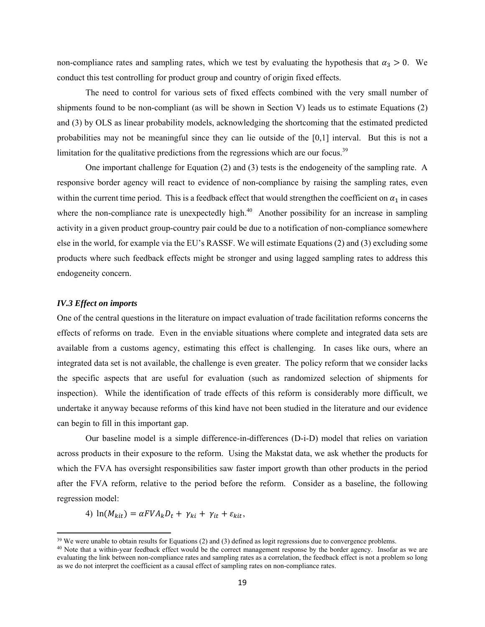non-compliance rates and sampling rates, which we test by evaluating the hypothesis that  $\alpha_3 > 0$ . We conduct this test controlling for product group and country of origin fixed effects.

The need to control for various sets of fixed effects combined with the very small number of shipments found to be non-compliant (as will be shown in Section V) leads us to estimate Equations (2) and (3) by OLS as linear probability models, acknowledging the shortcoming that the estimated predicted probabilities may not be meaningful since they can lie outside of the [0,1] interval. But this is not a limitation for the qualitative predictions from the regressions which are our focus. $39$ 

One important challenge for Equation (2) and (3) tests is the endogeneity of the sampling rate. A responsive border agency will react to evidence of non-compliance by raising the sampling rates, even within the current time period. This is a feedback effect that would strengthen the coefficient on  $\alpha_1$  in cases where the non-compliance rate is unexpectedly high. $40$  Another possibility for an increase in sampling activity in a given product group-country pair could be due to a notification of non-compliance somewhere else in the world, for example via the EU's RASSF. We will estimate Equations (2) and (3) excluding some products where such feedback effects might be stronger and using lagged sampling rates to address this endogeneity concern.

#### *IV.3 Effect on imports*

 $\overline{\phantom{a}}$ 

One of the central questions in the literature on impact evaluation of trade facilitation reforms concerns the effects of reforms on trade. Even in the enviable situations where complete and integrated data sets are available from a customs agency, estimating this effect is challenging. In cases like ours, where an integrated data set is not available, the challenge is even greater. The policy reform that we consider lacks the specific aspects that are useful for evaluation (such as randomized selection of shipments for inspection). While the identification of trade effects of this reform is considerably more difficult, we undertake it anyway because reforms of this kind have not been studied in the literature and our evidence can begin to fill in this important gap.

Our baseline model is a simple difference-in-differences (D-i-D) model that relies on variation across products in their exposure to the reform. Using the Makstat data, we ask whether the products for which the FVA has oversight responsibilities saw faster import growth than other products in the period after the FVA reform, relative to the period before the reform. Consider as a baseline, the following regression model:

4) 
$$
\ln(M_{kit}) = \alpha FVA_k D_t + \gamma_{ki} + \gamma_{it} + \varepsilon_{kit},
$$

 $39$  We were unable to obtain results for Equations (2) and (3) defined as logit regressions due to convergence problems.<br><sup>40</sup> Note that a within-year feedback effect would be the correct management response by the border

evaluating the link between non-compliance rates and sampling rates as a correlation, the feedback effect is not a problem so long as we do not interpret the coefficient as a causal effect of sampling rates on non-compliance rates.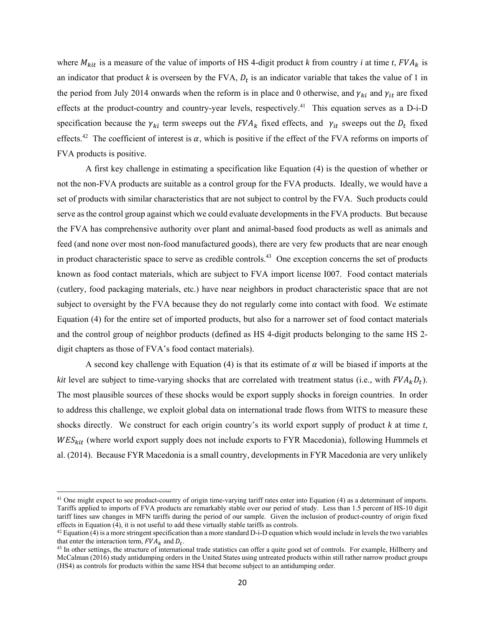where  $M_{kit}$  is a measure of the value of imports of HS 4-digit product *k* from country *i* at time *t*,  $FVA_k$  is an indicator that product  $k$  is overseen by the FVA,  $D_t$  is an indicator variable that takes the value of 1 in the period from July 2014 onwards when the reform is in place and 0 otherwise, and  $\gamma_{ki}$  and  $\gamma_{it}$  are fixed effects at the product-country and country-year levels, respectively.<sup>41</sup> This equation serves as a D-i-D specification because the  $\gamma_{ki}$  term sweeps out the  $FVA_k$  fixed effects, and  $\gamma_{it}$  sweeps out the  $D_t$  fixed effects.<sup>42</sup> The coefficient of interest is  $\alpha$ , which is positive if the effect of the FVA reforms on imports of FVA products is positive.

A first key challenge in estimating a specification like Equation (4) is the question of whether or not the non-FVA products are suitable as a control group for the FVA products. Ideally, we would have a set of products with similar characteristics that are not subject to control by the FVA. Such products could serve as the control group against which we could evaluate developments in the FVA products. But because the FVA has comprehensive authority over plant and animal-based food products as well as animals and feed (and none over most non-food manufactured goods), there are very few products that are near enough in product characteristic space to serve as credible controls.43 One exception concerns the set of products known as food contact materials, which are subject to FVA import license I007. Food contact materials (cutlery, food packaging materials, etc.) have near neighbors in product characteristic space that are not subject to oversight by the FVA because they do not regularly come into contact with food. We estimate Equation (4) for the entire set of imported products, but also for a narrower set of food contact materials and the control group of neighbor products (defined as HS 4-digit products belonging to the same HS 2 digit chapters as those of FVA's food contact materials).

A second key challenge with Equation (4) is that its estimate of  $\alpha$  will be biased if imports at the *kit* level are subject to time-varying shocks that are correlated with treatment status (i.e., with  $FVA_kD_t$ ). The most plausible sources of these shocks would be export supply shocks in foreign countries. In order to address this challenge, we exploit global data on international trade flows from WITS to measure these shocks directly. We construct for each origin country's its world export supply of product *k* at time *t*,  $WES_{kit}$  (where world export supply does not include exports to FYR Macedonia), following Hummels et al. (2014). Because FYR Macedonia is a small country, developments in FYR Macedonia are very unlikely

**.** 

<sup>&</sup>lt;sup>41</sup> One might expect to see product-country of origin time-varying tariff rates enter into Equation (4) as a determinant of imports. Tariffs applied to imports of FVA products are remarkably stable over our period of study. Less than 1.5 percent of HS-10 digit tariff lines saw changes in MFN tariffs during the period of our sample. Given the inclusion of product-country of origin fixed effects in Equation (4), it is not useful to add these virtually stable tariffs as controls.<br><sup>42</sup> Equation (4) is a more stringent specification than a more standard D-i-D equation which would include in levels the two var

that enter the interaction term,  $FVA_k$  and  $D_t$ .<br><sup>43</sup> In other settings, the structure of international trade statistics can offer a quite good set of controls. For example, Hillberry and

McCalman (2016) study antidumping orders in the United States using untreated products within still rather narrow product groups (HS4) as controls for products within the same HS4 that become subject to an antidumping order.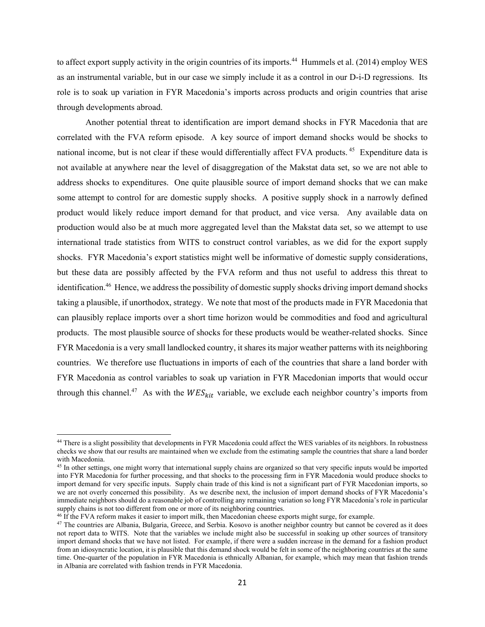to affect export supply activity in the origin countries of its imports.<sup>44</sup> Hummels et al. (2014) employ WES as an instrumental variable, but in our case we simply include it as a control in our D-i-D regressions. Its role is to soak up variation in FYR Macedonia's imports across products and origin countries that arise through developments abroad.

Another potential threat to identification are import demand shocks in FYR Macedonia that are correlated with the FVA reform episode. A key source of import demand shocks would be shocks to national income, but is not clear if these would differentially affect FVA products.<sup>45</sup> Expenditure data is not available at anywhere near the level of disaggregation of the Makstat data set, so we are not able to address shocks to expenditures. One quite plausible source of import demand shocks that we can make some attempt to control for are domestic supply shocks. A positive supply shock in a narrowly defined product would likely reduce import demand for that product, and vice versa. Any available data on production would also be at much more aggregated level than the Makstat data set, so we attempt to use international trade statistics from WITS to construct control variables, as we did for the export supply shocks. FYR Macedonia's export statistics might well be informative of domestic supply considerations, but these data are possibly affected by the FVA reform and thus not useful to address this threat to identification.<sup>46</sup> Hence, we address the possibility of domestic supply shocks driving import demand shocks taking a plausible, if unorthodox, strategy. We note that most of the products made in FYR Macedonia that can plausibly replace imports over a short time horizon would be commodities and food and agricultural products. The most plausible source of shocks for these products would be weather-related shocks. Since FYR Macedonia is a very small landlocked country, it shares its major weather patterns with its neighboring countries. We therefore use fluctuations in imports of each of the countries that share a land border with FYR Macedonia as control variables to soak up variation in FYR Macedonian imports that would occur through this channel.<sup>47</sup> As with the  $WES_{kit}$  variable, we exclude each neighbor country's imports from

**.** 

<sup>44</sup> There is a slight possibility that developments in FYR Macedonia could affect the WES variables of its neighbors. In robustness checks we show that our results are maintained when we exclude from the estimating sample the countries that share a land border with Macedonia.

<sup>&</sup>lt;sup>45</sup> In other settings, one might worry that international supply chains are organized so that very specific inputs would be imported into FYR Macedonia for further processing, and that shocks to the processing firm in FYR Macedonia would produce shocks to import demand for very specific inputs. Supply chain trade of this kind is not a significant part of FYR Macedonian imports, so we are not overly concerned this possibility. As we describe next, the inclusion of import demand shocks of FYR Macedonia's immediate neighbors should do a reasonable job of controlling any remaining variation so long FYR Macedonia's role in particular supply chains is not too different from one or more of its neighboring countries.

 $46$  if the FVA reform makes it easier to import milk, then Macedonian cheese exports might surge, for example.<br> $47$  The countries are Albania, Bulgaria, Greece, and Serbia. Kosovo is another neighbor country but cannot b not report data to WITS. Note that the variables we include might also be successful in soaking up other sources of transitory import demand shocks that we have not listed. For example, if there were a sudden increase in the demand for a fashion product from an idiosyncratic location, it is plausible that this demand shock would be felt in some of the neighboring countries at the same time. One-quarter of the population in FYR Macedonia is ethnically Albanian, for example, which may mean that fashion trends in Albania are correlated with fashion trends in FYR Macedonia.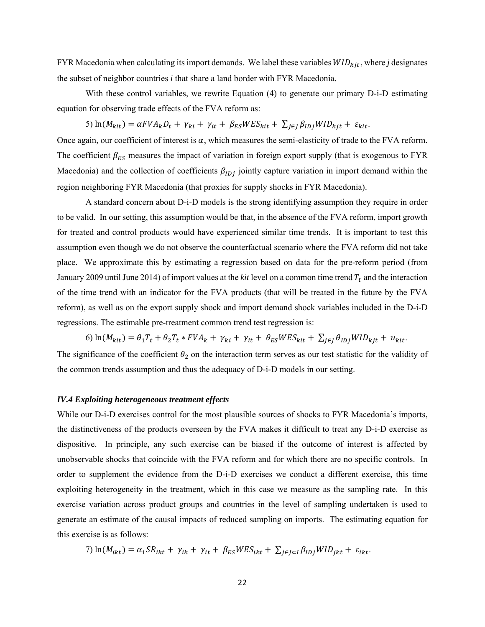FYR Macedonia when calculating its import demands. We label these variables  $WID_{kit}$ , where *j* designates the subset of neighbor countries *i* that share a land border with FYR Macedonia.

With these control variables, we rewrite Equation (4) to generate our primary D-i-D estimating equation for observing trade effects of the FVA reform as:

5)  $\ln(M_{kit}) = \alpha FVA_k D_t + \gamma_{ki} + \gamma_{it} + \beta_{ES} WES_{kit} + \sum_{i \in I} \beta_{ID} WID_{kit} + \varepsilon_{kit}$ 

Once again, our coefficient of interest is  $\alpha$ , which measures the semi-elasticity of trade to the FVA reform. The coefficient  $\beta_{ES}$  measures the impact of variation in foreign export supply (that is exogenous to FYR Macedonia) and the collection of coefficients  $\beta_{IDj}$  jointly capture variation in import demand within the region neighboring FYR Macedonia (that proxies for supply shocks in FYR Macedonia).

A standard concern about D-i-D models is the strong identifying assumption they require in order to be valid. In our setting, this assumption would be that, in the absence of the FVA reform, import growth for treated and control products would have experienced similar time trends. It is important to test this assumption even though we do not observe the counterfactual scenario where the FVA reform did not take place. We approximate this by estimating a regression based on data for the pre-reform period (from January 2009 until June 2014) of import values at the *kit* level on a common time trend  $T_t$  and the interaction of the time trend with an indicator for the FVA products (that will be treated in the future by the FVA reform), as well as on the export supply shock and import demand shock variables included in the D-i-D regressions. The estimable pre-treatment common trend test regression is:

6)  $\ln(M_{kit}) = \theta_1 T_t + \theta_2 T_t * FVA_k + \gamma_{ki} + \gamma_{it} + \theta_{ES} WES_{kit} + \sum_{j \in J} \theta_{IDj} WID_{kjt} + u_{kit}$ 

The significance of the coefficient  $\theta_2$  on the interaction term serves as our test statistic for the validity of the common trends assumption and thus the adequacy of D-i-D models in our setting.

#### *IV.4 Exploiting heterogeneous treatment effects*

While our D-i-D exercises control for the most plausible sources of shocks to FYR Macedonia's imports, the distinctiveness of the products overseen by the FVA makes it difficult to treat any D-i-D exercise as dispositive. In principle, any such exercise can be biased if the outcome of interest is affected by unobservable shocks that coincide with the FVA reform and for which there are no specific controls. In order to supplement the evidence from the D-i-D exercises we conduct a different exercise, this time exploiting heterogeneity in the treatment, which in this case we measure as the sampling rate. In this exercise variation across product groups and countries in the level of sampling undertaken is used to generate an estimate of the causal impacts of reduced sampling on imports. The estimating equation for this exercise is as follows:

7) 
$$
\ln(M_{ikt}) = \alpha_1 SR_{ikt} + \gamma_{ik} + \gamma_{it} + \beta_{ES} WES_{ikt} + \sum_{j \in J \subset I} \beta_{IDj} WID_{jkt} + \varepsilon_{ikt}.
$$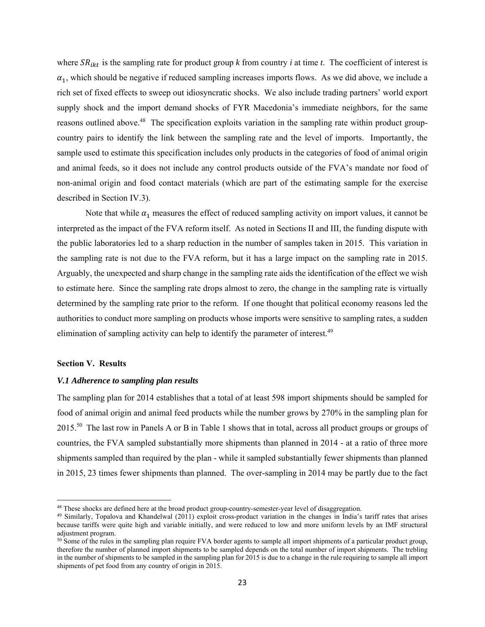where  $SR_{ikt}$  is the sampling rate for product group  $k$  from country  $i$  at time  $t$ . The coefficient of interest is  $\alpha_1$ , which should be negative if reduced sampling increases imports flows. As we did above, we include a rich set of fixed effects to sweep out idiosyncratic shocks. We also include trading partners' world export supply shock and the import demand shocks of FYR Macedonia's immediate neighbors, for the same reasons outlined above.<sup>48</sup> The specification exploits variation in the sampling rate within product groupcountry pairs to identify the link between the sampling rate and the level of imports. Importantly, the sample used to estimate this specification includes only products in the categories of food of animal origin and animal feeds, so it does not include any control products outside of the FVA's mandate nor food of non-animal origin and food contact materials (which are part of the estimating sample for the exercise described in Section IV.3).

Note that while  $\alpha_1$  measures the effect of reduced sampling activity on import values, it cannot be interpreted as the impact of the FVA reform itself. As noted in Sections II and III, the funding dispute with the public laboratories led to a sharp reduction in the number of samples taken in 2015. This variation in the sampling rate is not due to the FVA reform, but it has a large impact on the sampling rate in 2015. Arguably, the unexpected and sharp change in the sampling rate aids the identification of the effect we wish to estimate here. Since the sampling rate drops almost to zero, the change in the sampling rate is virtually determined by the sampling rate prior to the reform. If one thought that political economy reasons led the authorities to conduct more sampling on products whose imports were sensitive to sampling rates, a sudden elimination of sampling activity can help to identify the parameter of interest.<sup>49</sup>

# **Section V. Results**

 $\overline{\phantom{a}}$ 

# *V.1 Adherence to sampling plan results*

The sampling plan for 2014 establishes that a total of at least 598 import shipments should be sampled for food of animal origin and animal feed products while the number grows by 270% in the sampling plan for 2015.<sup>50</sup> The last row in Panels A or B in Table 1 shows that in total, across all product groups or groups of countries, the FVA sampled substantially more shipments than planned in 2014 - at a ratio of three more shipments sampled than required by the plan - while it sampled substantially fewer shipments than planned in 2015, 23 times fewer shipments than planned. The over-sampling in 2014 may be partly due to the fact

<sup>&</sup>lt;sup>48</sup> These shocks are defined here at the broad product group-country-semester-year level of disaggregation.<br><sup>49</sup> Similarly, Topalova and Khandelwal (2011) exploit cross-product variation in the changes in India's tariff because tariffs were quite high and variable initially, and were reduced to low and more uniform levels by an IMF structural adjustment program.

<sup>&</sup>lt;sup>50</sup> Some of the rules in the sampling plan require FVA border agents to sample all import shipments of a particular product group, therefore the number of planned import shipments to be sampled depends on the total number of import shipments. The trebling in the number of shipments to be sampled in the sampling plan for 2015 is due to a change in the rule requiring to sample all import shipments of pet food from any country of origin in 2015.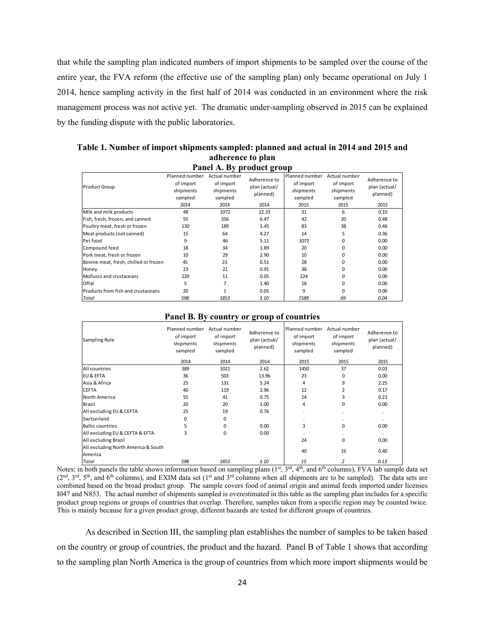that while the sampling plan indicated numbers of import shipments to be sampled over the course of the entire year, the FVA reform (the effective use of the sampling plan) only became operational on July 1 2014, hence sampling activity in the first half of 2014 was conducted in an environment where the risk management process was not active yet. The dramatic under-sampling observed in 2015 can be explained by the funding dispute with the public laboratories.

| 1 alici A. Dy prouuct group           |                                                             |                                                            |                                                   |                                                             |                                                            |                                                   |  |  |  |  |
|---------------------------------------|-------------------------------------------------------------|------------------------------------------------------------|---------------------------------------------------|-------------------------------------------------------------|------------------------------------------------------------|---------------------------------------------------|--|--|--|--|
| <b>Product Group</b>                  | Planned number<br>of import<br>shipments<br>sampled<br>2014 | Actual number<br>of import<br>shipments<br>sampled<br>2014 | Adherence to<br>plan (actual/<br>planned)<br>2014 | Planned number<br>of import<br>shipments<br>sampled<br>2015 | Actual number<br>of import<br>shipments<br>sampled<br>2015 | Adherence to<br>plan (actual/<br>planned)<br>2015 |  |  |  |  |
| Milk and milk products                | 48                                                          | 1072                                                       | 22.33                                             | 31                                                          | 6                                                          | 0.19                                              |  |  |  |  |
| Fish, fresh, frozen, and canned       | 55                                                          | 356                                                        | 6.47                                              | 42                                                          | 20                                                         | 0.48                                              |  |  |  |  |
| Poultry meat, fresh or frozen         | 130                                                         | 189                                                        | 1.45                                              | 83                                                          | 38                                                         | 0.46                                              |  |  |  |  |
| Meat products (not canned)            | 15                                                          | 64                                                         | 4.27                                              | 14                                                          | 5                                                          | 0.36                                              |  |  |  |  |
| Pet food                              | 9                                                           | 46                                                         | 5.11                                              | 1072                                                        | 0                                                          | 0.00                                              |  |  |  |  |
| Compound feed                         | 18                                                          | 34                                                         | 1.89                                              | 20                                                          | <sup>0</sup>                                               | 0.00                                              |  |  |  |  |
| Pork meat, fresh or frozen            | 10                                                          | 29                                                         | 2.90                                              | 10                                                          | <sup>0</sup>                                               | 0.00                                              |  |  |  |  |
| Bovine meat, fresh, chilled or frozen | 45                                                          | 23                                                         | 0.51                                              | 28                                                          | <sup>0</sup>                                               | 0.00                                              |  |  |  |  |
| Honey                                 | 23                                                          | 21                                                         | 0.91                                              | 38                                                          | <sup>0</sup>                                               | 0.00                                              |  |  |  |  |
| Molluscs and crustaceans              | 220                                                         | 11                                                         | 0.05                                              | 224                                                         | <sup>0</sup>                                               | 0.00                                              |  |  |  |  |
| Offal                                 | 5                                                           | 7                                                          | 1.40                                              | 18                                                          | <sup>0</sup>                                               | 0.00                                              |  |  |  |  |
| Products from fish and crustaceans    | 20                                                          |                                                            | 0.05                                              | 9                                                           | <sup>0</sup>                                               | 0.00                                              |  |  |  |  |
| <b>Total</b>                          | 598                                                         | 1853                                                       | 3.10                                              | 1589                                                        | 69                                                         | 0.04                                              |  |  |  |  |

**Table 1. Number of import shipments sampled: planned and actual in 2014 and 2015 and adherence to plan Panel A. By product group** 

#### Sampling Rule Planned number Actual number of import shipments sampled of import shipments sampled Adherence to plan (actual/ planned) Planned number Actual number of import shipments sampled of import shipments sampled Adherence to plan (actual/ planned) 2014 2014 2014 2015 2015 2015 All countries 389 1021 2.62 1450 37 0.03 EU & EFTA 36 503 13.96 23 0 0.00 Asia & Africa 25 131 5.24 4 9 2.25 CEFTA 40 119 2.96 12 2 0.17 North America 55 41 0.75 14 3 0.21 Brazil 20 20 1.00 4 0 0.00 All excluding EU & CEFTA 25 19 0.76 . . . Switzerland 0 0 . . . Baltic countries 5 0 0.00 | 3 0 0.00 All excluding EU & CEFTA & EFTA 3 0 0 0.00 All excluding Brazil 24 0 0.00 All excluding North America & South America 16 16 0.40<br>America 16 0.40 *Total 598 1853 3.10 15 2 0.13*

#### **Panel B. By country or group of countries**

Notes: in both panels the table shows information based on sampling plans  $(1<sup>st</sup>, 3<sup>rd</sup>, 4<sup>th</sup>,$  and  $6<sup>th</sup>$  columns), FVA lab sample data set  $(2<sup>nd</sup>, 3<sup>rd</sup>, 5<sup>th</sup>, and 6<sup>th</sup> columns),$  and EXIM data set  $(1<sup>st</sup>$  and  $3<sup>rd</sup>$  columns when all shipments are to be sampled). The data sets are combined based on the broad product group. The sample covers food of animal origin and animal feeds imported under licenses I047 and N853. The actual number of shipments sampled is overestimated in this table as the sampling plan includes for a specific product group regions or groups of countries that overlap. Therefore, samples taken from a specific region may be counted twice. This is mainly because for a given product group, different hazards are tested for different groups of countries.

As described in Section III, the sampling plan establishes the number of samples to be taken based on the country or group of countries, the product and the hazard. Panel B of Table 1 shows that according to the sampling plan North America is the group of countries from which more import shipments would be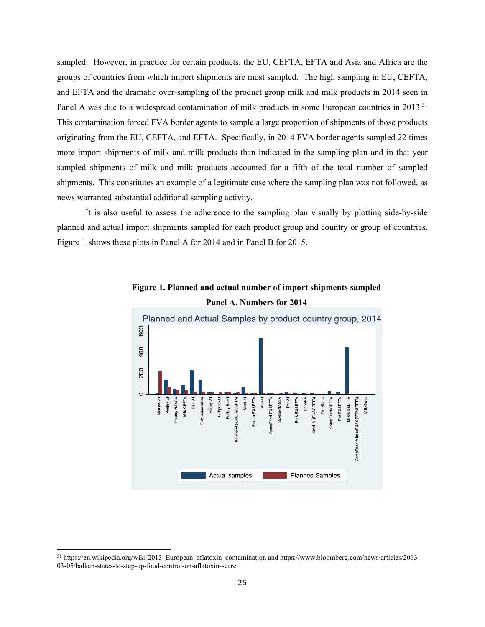sampled. However, in practice for certain products, the EU, CEFTA, EFTA and Asia and Africa are the groups of countries from which import shipments are most sampled. The high sampling in EU, CEFTA, and EFTA and the dramatic over-sampling of the product group milk and milk products in 2014 seen in Panel A was due to a widespread contamination of milk products in some European countries in 2013.<sup>51</sup> This contamination forced FVA border agents to sample a large proportion of shipments of those products originating from the EU, CEFTA, and EFTA. Specifically, in 2014 FVA border agents sampled 22 times more import shipments of milk and milk products than indicated in the sampling plan and in that year sampled shipments of milk and milk products accounted for a fifth of the total number of sampled shipments. This constitutes an example of a legitimate case where the sampling plan was not followed, as news warranted substantial additional sampling activity.

It is also useful to assess the adherence to the sampling plan visually by plotting side-by-side planned and actual import shipments sampled for each product group and country or group of countries. Figure 1 shows these plots in Panel A for 2014 and in Panel B for 2015.



**Figure 1. Planned and actual number of import shipments sampled Panel A. Numbers for 2014** 

 $\overline{a}$ 

<sup>&</sup>lt;sup>51</sup> https://en.wikipedia.org/wiki/2013 European aflatoxin contamination and https://www.bloomberg.com/news/articles/2013-03-05/balkan-states-to-step-up-food-control-on-aflatoxin-scare.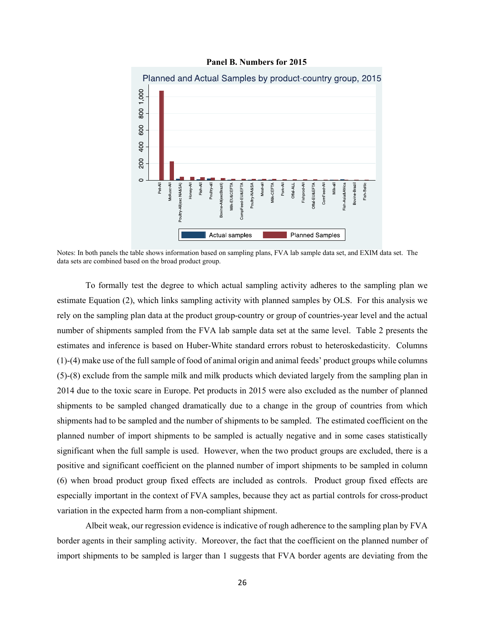



Notes: In both panels the table shows information based on sampling plans, FVA lab sample data set, and EXIM data set. The data sets are combined based on the broad product group.

To formally test the degree to which actual sampling activity adheres to the sampling plan we estimate Equation (2), which links sampling activity with planned samples by OLS. For this analysis we rely on the sampling plan data at the product group-country or group of countries-year level and the actual number of shipments sampled from the FVA lab sample data set at the same level. Table 2 presents the estimates and inference is based on Huber-White standard errors robust to heteroskedasticity. Columns (1)-(4) make use of the full sample of food of animal origin and animal feeds' product groups while columns (5)-(8) exclude from the sample milk and milk products which deviated largely from the sampling plan in 2014 due to the toxic scare in Europe. Pet products in 2015 were also excluded as the number of planned shipments to be sampled changed dramatically due to a change in the group of countries from which shipments had to be sampled and the number of shipments to be sampled. The estimated coefficient on the planned number of import shipments to be sampled is actually negative and in some cases statistically significant when the full sample is used. However, when the two product groups are excluded, there is a positive and significant coefficient on the planned number of import shipments to be sampled in column (6) when broad product group fixed effects are included as controls. Product group fixed effects are especially important in the context of FVA samples, because they act as partial controls for cross-product variation in the expected harm from a non-compliant shipment.

Albeit weak, our regression evidence is indicative of rough adherence to the sampling plan by FVA border agents in their sampling activity. Moreover, the fact that the coefficient on the planned number of import shipments to be sampled is larger than 1 suggests that FVA border agents are deviating from the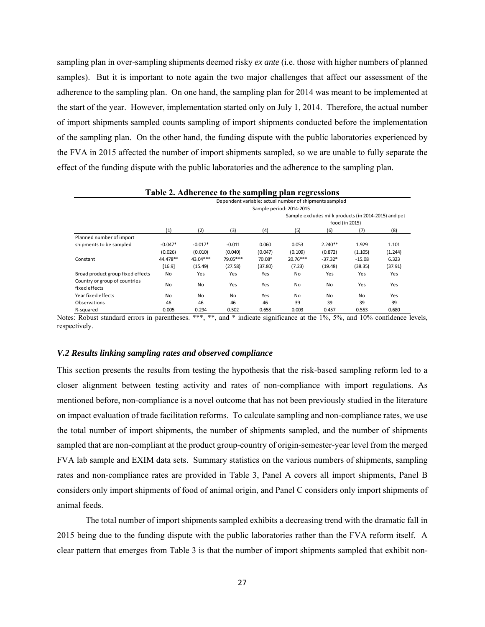sampling plan in over-sampling shipments deemed risky *ex ante* (i.e. those with higher numbers of planned samples). But it is important to note again the two major challenges that affect our assessment of the adherence to the sampling plan. On one hand, the sampling plan for 2014 was meant to be implemented at the start of the year. However, implementation started only on July 1, 2014. Therefore, the actual number of import shipments sampled counts sampling of import shipments conducted before the implementation of the sampling plan. On the other hand, the funding dispute with the public laboratories experienced by the FVA in 2015 affected the number of import shipments sampled, so we are unable to fully separate the effect of the funding dispute with the public laboratories and the adherence to the sampling plan.

|                                   |                                                        |                                                      |          | - 1     | $\overline{\phantom{a}}$ |           |                |         |  |  |
|-----------------------------------|--------------------------------------------------------|------------------------------------------------------|----------|---------|--------------------------|-----------|----------------|---------|--|--|
|                                   | Dependent variable: actual number of shipments sampled |                                                      |          |         |                          |           |                |         |  |  |
|                                   | Sample period: 2014-2015                               |                                                      |          |         |                          |           |                |         |  |  |
|                                   |                                                        | Sample excludes milk products (in 2014-2015) and pet |          |         |                          |           |                |         |  |  |
|                                   |                                                        |                                                      |          |         |                          |           | food (in 2015) |         |  |  |
|                                   | (1)                                                    | (2)                                                  | (3)      | (4)     | (5)                      | (6)       | (7)            | (8)     |  |  |
| Planned number of import          |                                                        |                                                      |          |         |                          |           |                |         |  |  |
| shipments to be sampled           | $-0.047*$                                              | $-0.017*$                                            | $-0.011$ | 0.060   | 0.053                    | $2.240**$ | 1.929          | 1.101   |  |  |
|                                   | (0.026)                                                | (0.010)                                              | (0.040)  | (0.047) | (0.109)                  | (0.872)   | (1.105)        | (1.244) |  |  |
| Constant                          | 44.478**                                               | $43.04***$                                           | 79.05*** | 70.08*  | $20.76***$               | $-37.32*$ | $-15.08$       | 6.323   |  |  |
|                                   | [16.9]                                                 | (15.49)                                              | (27.58)  | (37.80) | (7.23)                   | (19.48)   | (38.35)        | (37.91) |  |  |
| Broad product group fixed effects | No                                                     | Yes                                                  | Yes      | Yes     | No                       | Yes       | Yes            | Yes     |  |  |
| Country or group of countries     |                                                        |                                                      |          |         |                          |           |                |         |  |  |
| fixed effects                     | No                                                     | No                                                   | Yes      | Yes     | No                       | No        | Yes            | Yes     |  |  |
| Year fixed effects                | <b>No</b>                                              | No                                                   | No       | Yes     | No                       | No        | No             | Yes     |  |  |
| Observations                      | 46                                                     | 46                                                   | 46       | 46      | 39                       | 39        | 39             | 39      |  |  |
| R-squared                         | 0.005                                                  | 0.294                                                | 0.502    | 0.658   | 0.003                    | 0.457     | 0.553          | 0.680   |  |  |

**Table 2. Adherence to the sampling plan regressions** 

Notes: Robust standard errors in parentheses. \*\*\*, \*\*, and \* indicate significance at the 1%, 5%, and 10% confidence levels, respectively.

# *V.2 Results linking sampling rates and observed compliance*

This section presents the results from testing the hypothesis that the risk-based sampling reform led to a closer alignment between testing activity and rates of non-compliance with import regulations. As mentioned before, non-compliance is a novel outcome that has not been previously studied in the literature on impact evaluation of trade facilitation reforms. To calculate sampling and non-compliance rates, we use the total number of import shipments, the number of shipments sampled, and the number of shipments sampled that are non-compliant at the product group-country of origin-semester-year level from the merged FVA lab sample and EXIM data sets. Summary statistics on the various numbers of shipments, sampling rates and non-compliance rates are provided in Table 3, Panel A covers all import shipments, Panel B considers only import shipments of food of animal origin, and Panel C considers only import shipments of animal feeds.

The total number of import shipments sampled exhibits a decreasing trend with the dramatic fall in 2015 being due to the funding dispute with the public laboratories rather than the FVA reform itself. A clear pattern that emerges from Table 3 is that the number of import shipments sampled that exhibit non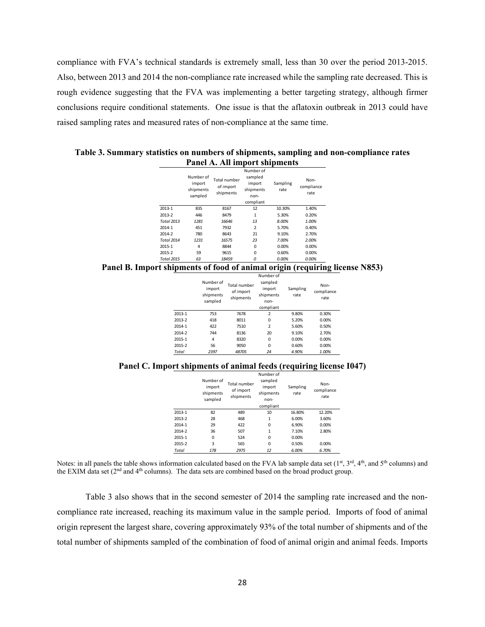compliance with FVA's technical standards is extremely small, less than 30 over the period 2013-2015. Also, between 2013 and 2014 the non-compliance rate increased while the sampling rate decreased. This is rough evidence suggesting that the FVA was implementing a better targeting strategy, although firmer conclusions require conditional statements. One issue is that the aflatoxin outbreak in 2013 could have raised sampling rates and measured rates of non-compliance at the same time.

**Table 3. Summary statistics on numbers of shipments, sampling and non-compliance rates Panel A. All import shipments** 

|                   | Number of<br>import<br>shipments<br>sampled | Total number<br>of import<br>shipments | Number of<br>sampled<br>import<br>shipments<br>$non-$<br>compliant | Sampling<br>rate | Non-<br>compliance<br>rate |
|-------------------|---------------------------------------------|----------------------------------------|--------------------------------------------------------------------|------------------|----------------------------|
| 2013-1            | 835                                         | 8167                                   | 12                                                                 | 10.30%           | 1.40%                      |
| 2013-2            | 446                                         | 8479                                   | 1                                                                  | 5.30%            | 0.20%                      |
| <b>Total 2013</b> | 1281                                        | 16646                                  | 13                                                                 | 8.00%            | 1.00%                      |
| 2014-1            | 451                                         | 7932                                   | $\overline{2}$                                                     | 5.70%            | 0.40%                      |
| 2014-2            | 780                                         | 8643                                   | 21                                                                 | 9.10%            | 2.70%                      |
| <b>Total 2014</b> | 1231                                        | 16575                                  | 23                                                                 | 7.00%            | 2.00%                      |
| 2015-1            | 4                                           | 8844                                   | $\Omega$                                                           | 0.00%            | 0.00%                      |
| 2015-2            | 59                                          | 9615                                   | $\Omega$                                                           | 0.60%            | 0.00%                      |
| <b>Total 2015</b> | 63                                          | 18459                                  | 0                                                                  | 0.00%            | 0.00%                      |

**Panel B. Import shipments of food of animal origin (requiring license N853)** 

|        | Number of<br>import<br>shipments<br>sampled | Total number<br>of import<br>shipments | Number of<br>sampled<br>import<br>shipments<br>non-<br>compliant | Sampling<br>rate | Non-<br>compliance<br>rate |
|--------|---------------------------------------------|----------------------------------------|------------------------------------------------------------------|------------------|----------------------------|
| 2013-1 | 753                                         | 7678                                   | $\overline{2}$                                                   | 9.80%            | 0.30%                      |
| 2013-2 | 418                                         | 8011                                   | $\Omega$                                                         | 5.20%            | 0.00%                      |
| 2014-1 | 422                                         | 7510                                   | 2                                                                | 5.60%            | 0.50%                      |
| 2014-2 | 744                                         | 8136                                   | 20                                                               | 9.10%            | 2.70%                      |
| 2015-1 | 4                                           | 8320                                   | 0                                                                | 0.00%            | 0.00%                      |
| 2015-2 | 56                                          | 9050                                   | $\Omega$                                                         | 0.60%            | 0.00%                      |
| Total  | 2397                                        | 48705                                  | 24                                                               | 4.90%            | 1.00%                      |

**Panel C. Import shipments of animal feeds (requiring license I047)** 

|        | Number of<br>import<br>shipments<br>sampled | Total number<br>of import<br>shipments | Number of<br>sampled<br>import<br>shipments<br>non-<br>compliant | Sampling<br>rate | Non-<br>compliance<br>rate |
|--------|---------------------------------------------|----------------------------------------|------------------------------------------------------------------|------------------|----------------------------|
| 2013-1 | 82                                          | 489                                    | 10                                                               | 16.80%           | 12.20%                     |
| 2013-2 | 28                                          | 468                                    | 1                                                                | 6.00%            | 3.60%                      |
| 2014-1 | 29                                          | 422                                    | $\Omega$                                                         | 6.90%            | 0.00%                      |
| 2014-2 | 36                                          | 507                                    | 1                                                                | 7.10%            | 2.80%                      |
| 2015-1 | 0                                           | 524                                    | $\Omega$                                                         | 0.00%            |                            |
| 2015-2 | 3                                           | 565                                    | $\Omega$                                                         | 0.50%            | 0.00%                      |
| Total  | 178                                         | 2975                                   | 12                                                               | 6.00%            | 6.70%                      |

Notes: in all panels the table shows information calculated based on the FVA lab sample data set  $(1<sup>st</sup>, 3<sup>rd</sup>, 4<sup>th</sup>, and 5<sup>th</sup> columns)$  and the EXIM data set ( $2<sup>nd</sup>$  and  $4<sup>th</sup>$  columns). The data sets are combined based on the broad product group.

Table 3 also shows that in the second semester of 2014 the sampling rate increased and the noncompliance rate increased, reaching its maximum value in the sample period. Imports of food of animal origin represent the largest share, covering approximately 93% of the total number of shipments and of the total number of shipments sampled of the combination of food of animal origin and animal feeds. Imports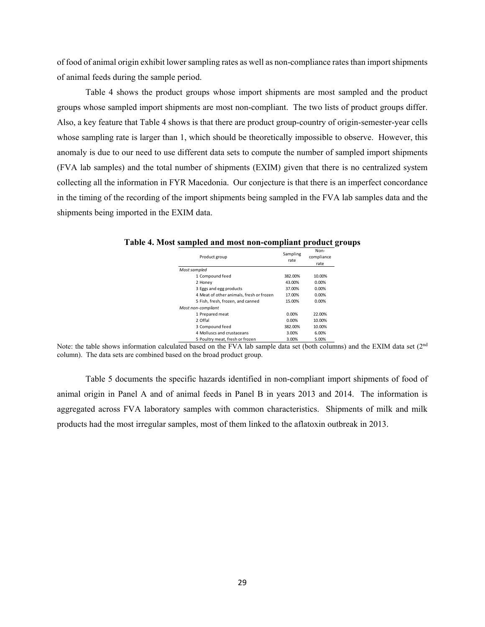of food of animal origin exhibit lower sampling rates as well as non-compliance rates than import shipments of animal feeds during the sample period.

Table 4 shows the product groups whose import shipments are most sampled and the product groups whose sampled import shipments are most non-compliant. The two lists of product groups differ. Also, a key feature that Table 4 shows is that there are product group-country of origin-semester-year cells whose sampling rate is larger than 1, which should be theoretically impossible to observe. However, this anomaly is due to our need to use different data sets to compute the number of sampled import shipments (FVA lab samples) and the total number of shipments (EXIM) given that there is no centralized system collecting all the information in FYR Macedonia. Our conjecture is that there is an imperfect concordance in the timing of the recording of the import shipments being sampled in the FVA lab samples data and the shipments being imported in the EXIM data.

| Product group                            | Sampling<br>rate | Non-<br>compliance<br>rate |
|------------------------------------------|------------------|----------------------------|
| Most sampled                             |                  |                            |
| 1 Compound feed                          | 382.00%          | 10.00%                     |
| 2 Honey                                  | 43.00%           | 0.00%                      |
| 3 Eggs and egg products                  | 37.00%           | 0.00%                      |
| 4 Meat of other animals, fresh or frozen | 17.00%           | 0.00%                      |
| 5 Fish, fresh, frozen, and canned        | 15.00%           | 0.00%                      |
| Most non-compliant                       |                  |                            |
| 1 Prepared meat                          | 0.00%            | 22.00%                     |
| 2 Offal                                  | 0.00%            | 10.00%                     |
| 3 Compound feed                          | 382.00%          | 10.00%                     |
| 4 Molluscs and crustaceans               | 3.00%            | 6.00%                      |
| 5 Poultry meat, fresh or frozen          | 3.00%            | 5.00%                      |

**Table 4. Most sampled and most non-compliant product groups** 

Note: the table shows information calculated based on the FVA lab sample data set (both columns) and the EXIM data set (2<sup>nd</sup> column). The data sets are combined based on the broad product group.

Table 5 documents the specific hazards identified in non-compliant import shipments of food of animal origin in Panel A and of animal feeds in Panel B in years 2013 and 2014. The information is aggregated across FVA laboratory samples with common characteristics. Shipments of milk and milk products had the most irregular samples, most of them linked to the aflatoxin outbreak in 2013.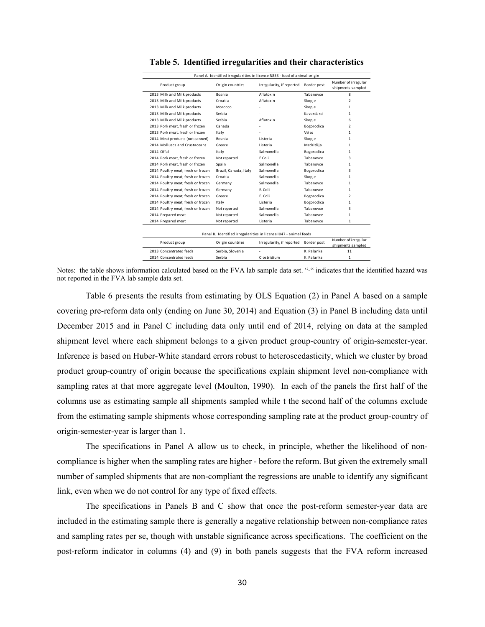| Panel A. Identified irregularities in license N853 - food of animal origin |                       |                                                                   |             |                                          |  |  |  |  |
|----------------------------------------------------------------------------|-----------------------|-------------------------------------------------------------------|-------------|------------------------------------------|--|--|--|--|
| Product group                                                              | Origin countries      | Irregularity, if reported                                         | Border post | Number of irregular<br>shipments sampled |  |  |  |  |
| 2013 Milk and Milk products                                                | Bosnia                | Aflatoxin                                                         | Tabanovce   | 8                                        |  |  |  |  |
| 2013 Milk and Milk products                                                | Croatia               | Aflatoxin                                                         | Skopje      | $\mathfrak{p}$                           |  |  |  |  |
| 2013 Milk and Milk products                                                | Morocco               |                                                                   | Skopje      | 1                                        |  |  |  |  |
| 2013 Milk and Milk products                                                | Serbia                |                                                                   | Kavardarci  | 1                                        |  |  |  |  |
| 2013 Milk and Milk products                                                | Serbia                | Aflatoxin                                                         | Skopje      | 6                                        |  |  |  |  |
| 2013 Pork meat, fresh or frozen                                            | Canada                |                                                                   | Bogorodica  | $\mathcal{P}$                            |  |  |  |  |
| 2013 Pork meat, fresh or frozen                                            | Italy                 |                                                                   | Veles       | 1                                        |  |  |  |  |
| 2014 Meat products (not canned)                                            | Bosnia                | Listeria                                                          | Skopje      | 1                                        |  |  |  |  |
| 2014 Molluscs and Crustaceans                                              | Greece                | Listeria                                                          | Medzitlija  | 1                                        |  |  |  |  |
| 2014 Offal                                                                 | Italy                 | Salmonella                                                        | Bogorodica  | 1                                        |  |  |  |  |
| 2014 Pork meat, fresh or frozen                                            | Not reported          | E Coli                                                            | Tabanovce   | 3                                        |  |  |  |  |
| 2014 Pork meat, fresh or frozen                                            | Spain                 | Salmonella                                                        | Tabanovce   | 1                                        |  |  |  |  |
| 2014 Poultry meat, fresh or frozen                                         | Brazil, Canada, Italy | Salmonella                                                        | Bogorodica  | 3                                        |  |  |  |  |
| 2014 Poultry meat, fresh or frozen                                         | Croatia               | Salmonella                                                        | Skopje      | 1                                        |  |  |  |  |
| 2014 Poultry meat, fresh or frozen                                         | Germany               | Salmonella                                                        | Tabanovce   | 1                                        |  |  |  |  |
| 2014 Poultry meat, fresh or frozen                                         | Germany               | F. Coli                                                           | Tabanovce   | 1                                        |  |  |  |  |
| 2014 Poultry meat, fresh or frozen                                         | Greece                | E. Coli                                                           | Bogorodica  | 2                                        |  |  |  |  |
| 2014 Poultry meat, fresh or frozen                                         | Italy                 | Listeria                                                          | Bogorodica  | 1                                        |  |  |  |  |
| 2014 Poultry meat, fresh or frozen                                         | Not reported          | Salmonella                                                        | Tabanovce   | 3                                        |  |  |  |  |
| 2014 Prepared meat                                                         | Not reported          | Salmonella                                                        | Tabanovce   | 1                                        |  |  |  |  |
| 2014 Prepared meat                                                         | Not reported          | Listeria                                                          | Tabanovce   | 1                                        |  |  |  |  |
|                                                                            |                       |                                                                   |             |                                          |  |  |  |  |
|                                                                            |                       | Panel B. Identified irregularities in license I047 - animal feeds |             |                                          |  |  |  |  |
| Product group                                                              | Origin countries      | Irregularity, if reported                                         | Border post | Number of irregular<br>shipments sampled |  |  |  |  |
| 2013 Concentrated feeds                                                    | Serbia, Slovenia      |                                                                   | K. Palanka  | 11                                       |  |  |  |  |
| 2014 Concentrated feeds                                                    | Serbia                | Clostridium                                                       | K. Palanka  | $\mathbf{1}$                             |  |  |  |  |

**Table 5. Identified irregularities and their characteristics** 

Notes: the table shows information calculated based on the FVA lab sample data set. "-" indicates that the identified hazard was not reported in the FVA lab sample data set.

Table 6 presents the results from estimating by OLS Equation (2) in Panel A based on a sample covering pre-reform data only (ending on June 30, 2014) and Equation (3) in Panel B including data until December 2015 and in Panel C including data only until end of 2014, relying on data at the sampled shipment level where each shipment belongs to a given product group-country of origin-semester-year. Inference is based on Huber-White standard errors robust to heteroscedasticity, which we cluster by broad product group-country of origin because the specifications explain shipment level non-compliance with sampling rates at that more aggregate level (Moulton, 1990). In each of the panels the first half of the columns use as estimating sample all shipments sampled while t the second half of the columns exclude from the estimating sample shipments whose corresponding sampling rate at the product group-country of origin-semester-year is larger than 1.

The specifications in Panel A allow us to check, in principle, whether the likelihood of noncompliance is higher when the sampling rates are higher - before the reform. But given the extremely small number of sampled shipments that are non-compliant the regressions are unable to identify any significant link, even when we do not control for any type of fixed effects.

The specifications in Panels B and C show that once the post-reform semester-year data are included in the estimating sample there is generally a negative relationship between non-compliance rates and sampling rates per se, though with unstable significance across specifications. The coefficient on the post-reform indicator in columns (4) and (9) in both panels suggests that the FVA reform increased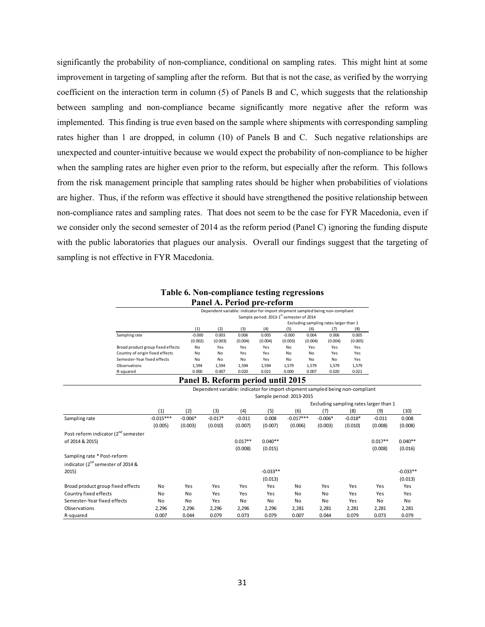significantly the probability of non-compliance, conditional on sampling rates. This might hint at some improvement in targeting of sampling after the reform. But that is not the case, as verified by the worrying coefficient on the interaction term in column (5) of Panels B and C, which suggests that the relationship between sampling and non-compliance became significantly more negative after the reform was implemented. This finding is true even based on the sample where shipments with corresponding sampling rates higher than 1 are dropped, in column (10) of Panels B and C. Such negative relationships are unexpected and counter-intuitive because we would expect the probability of non-compliance to be higher when the sampling rates are higher even prior to the reform, but especially after the reform. This follows from the risk management principle that sampling rates should be higher when probabilities of violations are higher. Thus, if the reform was effective it should have strengthened the positive relationship between non-compliance rates and sampling rates. That does not seem to be the case for FYR Macedonia, even if we consider only the second semester of 2014 as the reform period (Panel C) ignoring the funding dispute with the public laboratories that plagues our analysis. Overall our findings suggest that the targeting of sampling is not effective in FYR Macedonia.

# **Table 6. Non-compliance testing regressions Panel A. Period pre-reform**

|                                   |                                                      |         | Dependent variable: indicator for import shipment sampled being non-compliant |         |          |         |         |         |
|-----------------------------------|------------------------------------------------------|---------|-------------------------------------------------------------------------------|---------|----------|---------|---------|---------|
|                                   | Sample period: 2013-1 <sup>st</sup> semester of 2014 |         |                                                                               |         |          |         |         |         |
|                                   | Excluding sampling rates larger than 1               |         |                                                                               |         |          |         |         |         |
|                                   | (1)                                                  | (2)     | (3)                                                                           | (4)     | (5)      | (6)     | (7)     | (8)     |
| Sampling rate                     | $-0.000$                                             | 0.003   | 0.006                                                                         | 0.005   | $-0.000$ | 0.004   | 0.006   | 0.005   |
|                                   | (0.002)                                              | (0.003) | (0.004)                                                                       | (0.004) | (0.003)  | (0.004) | (0.004) | (0.005) |
| Broad product group fixed effects | No                                                   | Yes     | Yes                                                                           | Yes     | No       | Yes     | Yes     | Yes     |
| Country of origin fixed effects   | No                                                   | No      | Yes                                                                           | Yes     | No       | No      | Yes     | Yes     |
| Semester-Year fixed effects       | No                                                   | No      | No                                                                            | Yes     | No       | No      | No      | Yes     |
| Observations                      | 1.594                                                | 1.594   | 1.594                                                                         | 1.594   | 1.579    | 1.579   | 1,579   | 1,579   |
| R-squared                         | 0.000                                                | 0.007   | 0.020                                                                         | 0.021   | 0.000    | 0.007   | 0.020   | 0.021   |

#### **Panel B. Reform period until 2015**

|                                                 | Dependent variable: indicator for import shipment sampled being non-compliant |           |           |           |            |                          |           |           |                                        |            |
|-------------------------------------------------|-------------------------------------------------------------------------------|-----------|-----------|-----------|------------|--------------------------|-----------|-----------|----------------------------------------|------------|
|                                                 |                                                                               |           |           |           |            | Sample period: 2013-2015 |           |           |                                        |            |
|                                                 |                                                                               |           |           |           |            |                          |           |           | Excluding sampling rates larger than 1 |            |
|                                                 | (1)                                                                           | (2)       | (3)       | (4)       | (5)        | (6)                      | (7)       | (8)       | (9)                                    | (10)       |
| Sampling rate                                   | $-0.015***$                                                                   | $-0.006*$ | $-0.017*$ | $-0.011$  | 0.008      | $-0.017***$              | $-0.006*$ | $-0.018*$ | $-0.011$                               | 0.008      |
|                                                 | (0.005)                                                                       | (0.003)   | (0.010)   | (0.007)   | (0.007)    | (0.006)                  | (0.003)   | (0.010)   | (0.008)                                | (0.008)    |
| Post-reform indicator (2 <sup>nd</sup> semester |                                                                               |           |           |           |            |                          |           |           |                                        |            |
| of 2014 & 2015)                                 |                                                                               |           |           | $0.017**$ | $0.040**$  |                          |           |           | $0.017**$                              | $0.040**$  |
|                                                 |                                                                               |           |           | (0.008)   | (0.015)    |                          |           |           | (0.008)                                | (0.016)    |
| Sampling rate * Post-reform                     |                                                                               |           |           |           |            |                          |           |           |                                        |            |
| indicator (2 <sup>nd</sup> semester of 2014 &   |                                                                               |           |           |           |            |                          |           |           |                                        |            |
| 2015)                                           |                                                                               |           |           |           | $-0.033**$ |                          |           |           |                                        | $-0.033**$ |
|                                                 |                                                                               |           |           |           | (0.013)    |                          |           |           |                                        | (0.013)    |
| Broad product group fixed effects               | No                                                                            | Yes       | Yes       | Yes       | Yes        | No                       | Yes       | Yes       | Yes                                    | Yes        |
| Country fixed effects                           | No                                                                            | No        | Yes       | Yes       | Yes        | No                       | No        | Yes       | Yes                                    | Yes        |
| Semester-Year fixed effects                     | No                                                                            | No        | Yes       | <b>No</b> | No         | No                       | No        | Yes       | No                                     | No         |
| Observations                                    | 2,296                                                                         | 2,296     | 2,296     | 2,296     | 2,296      | 2,281                    | 2,281     | 2,281     | 2,281                                  | 2,281      |
| R-squared                                       | 0.007                                                                         | 0.044     | 0.079     | 0.073     | 0.079      | 0.007                    | 0.044     | 0.079     | 0.073                                  | 0.079      |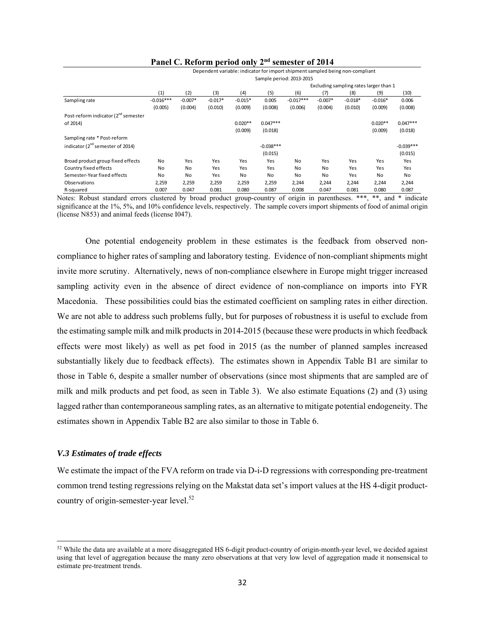|                                                 | Dependent variable: indicator for import shipment sampled being non-compliant |                                        |           |           |             |             |           |           |           |             |
|-------------------------------------------------|-------------------------------------------------------------------------------|----------------------------------------|-----------|-----------|-------------|-------------|-----------|-----------|-----------|-------------|
|                                                 | Sample period: 2013-2015                                                      |                                        |           |           |             |             |           |           |           |             |
|                                                 |                                                                               | Excluding sampling rates larger than 1 |           |           |             |             |           |           |           |             |
|                                                 | (1)                                                                           | (2)                                    | (3)       | (4)       | (5)         | (6)         | (7)       | (8)       | (9)       | (10)        |
| Sampling rate                                   | $-0.016***$                                                                   | $-0.007*$                              | $-0.017*$ | $-0.015*$ | 0.005       | $-0.017***$ | $-0.007*$ | $-0.018*$ | $-0.016*$ | 0.006       |
|                                                 | (0.005)                                                                       | (0.004)                                | (0.010)   | (0.009)   | (0.008)     | (0.006)     | (0.004)   | (0.010)   | (0.009)   | (0.008)     |
| Post-reform indicator (2 <sup>nd</sup> semester |                                                                               |                                        |           |           |             |             |           |           |           |             |
| of 2014)                                        |                                                                               |                                        |           | $0.020**$ | $0.047***$  |             |           |           | $0.020**$ | $0.047***$  |
|                                                 |                                                                               |                                        |           | (0.009)   | (0.018)     |             |           |           | (0.009)   | (0.018)     |
| Sampling rate * Post-reform                     |                                                                               |                                        |           |           |             |             |           |           |           |             |
| indicator (2 <sup>nd</sup> semester of 2014)    |                                                                               |                                        |           |           | $-0.038***$ |             |           |           |           | $-0.039***$ |
|                                                 |                                                                               |                                        |           |           | (0.015)     |             |           |           |           | (0.015)     |
| Broad product group fixed effects               | No                                                                            | Yes                                    | Yes       | Yes       | Yes         | No          | Yes       | Yes       | Yes       | Yes         |
| Country fixed effects                           | No                                                                            | No                                     | Yes       | Yes       | Yes         | No          | <b>No</b> | Yes       | Yes       | Yes         |
| Semester-Year fixed effects                     | No                                                                            | No                                     | Yes       | <b>No</b> | No          | No          | <b>No</b> | Yes       | No        | No          |
| Observations                                    | 2,259                                                                         | 2,259                                  | 2,259     | 2,259     | 2,259       | 2,244       | 2,244     | 2,244     | 2,244     | 2,244       |
| R-squared                                       | 0.007                                                                         | 0.047                                  | 0.081     | 0.080     | 0.087       | 0.008       | 0.047     | 0.081     | 0.080     | 0.087       |

# **Panel C. Reform period only 2nd semester of 2014**

Notes: Robust standard errors clustered by broad product group-country of origin in parentheses. \*\*\*, \*\*, and \* indicate significance at the 1%, 5%, and 10% confidence levels, respectively. The sample covers import shipments of food of animal origin (license N853) and animal feeds (license I047).

One potential endogeneity problem in these estimates is the feedback from observed noncompliance to higher rates of sampling and laboratory testing. Evidence of non-compliant shipments might invite more scrutiny. Alternatively, news of non-compliance elsewhere in Europe might trigger increased sampling activity even in the absence of direct evidence of non-compliance on imports into FYR Macedonia. These possibilities could bias the estimated coefficient on sampling rates in either direction. We are not able to address such problems fully, but for purposes of robustness it is useful to exclude from the estimating sample milk and milk products in 2014-2015 (because these were products in which feedback effects were most likely) as well as pet food in 2015 (as the number of planned samples increased substantially likely due to feedback effects). The estimates shown in Appendix Table B1 are similar to those in Table 6, despite a smaller number of observations (since most shipments that are sampled are of milk and milk products and pet food, as seen in Table 3). We also estimate Equations (2) and (3) using lagged rather than contemporaneous sampling rates, as an alternative to mitigate potential endogeneity. The estimates shown in Appendix Table B2 are also similar to those in Table 6.

# *V.3 Estimates of trade effects*

**.** 

We estimate the impact of the FVA reform on trade via D-i-D regressions with corresponding pre-treatment common trend testing regressions relying on the Makstat data set's import values at the HS 4-digit productcountry of origin-semester-year level.<sup>52</sup>

<sup>&</sup>lt;sup>52</sup> While the data are available at a more disaggregated HS 6-digit product-country of origin-month-year level, we decided against using that level of aggregation because the many zero observations at that very low level of aggregation made it nonsensical to estimate pre-treatment trends.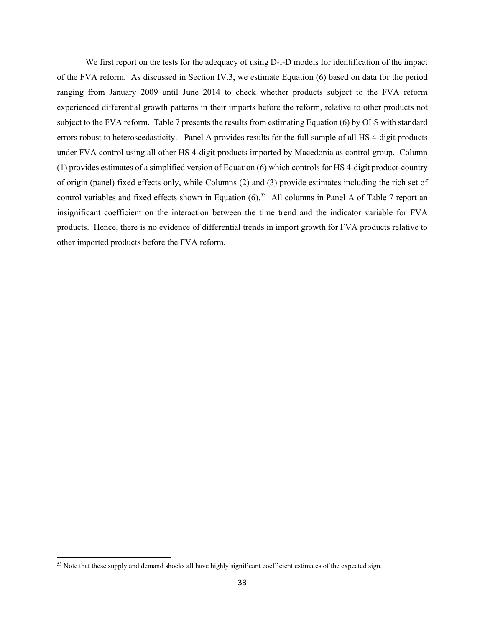We first report on the tests for the adequacy of using D-i-D models for identification of the impact of the FVA reform. As discussed in Section IV.3, we estimate Equation (6) based on data for the period ranging from January 2009 until June 2014 to check whether products subject to the FVA reform experienced differential growth patterns in their imports before the reform, relative to other products not subject to the FVA reform. Table 7 presents the results from estimating Equation (6) by OLS with standard errors robust to heteroscedasticity. Panel A provides results for the full sample of all HS 4-digit products under FVA control using all other HS 4-digit products imported by Macedonia as control group. Column (1) provides estimates of a simplified version of Equation (6) which controls for HS 4-digit product-country of origin (panel) fixed effects only, while Columns (2) and (3) provide estimates including the rich set of control variables and fixed effects shown in Equation  $(6)$ <sup>53</sup> All columns in Panel A of Table 7 report an insignificant coefficient on the interaction between the time trend and the indicator variable for FVA products. Hence, there is no evidence of differential trends in import growth for FVA products relative to other imported products before the FVA reform.

 $53$  Note that these supply and demand shocks all have highly significant coefficient estimates of the expected sign.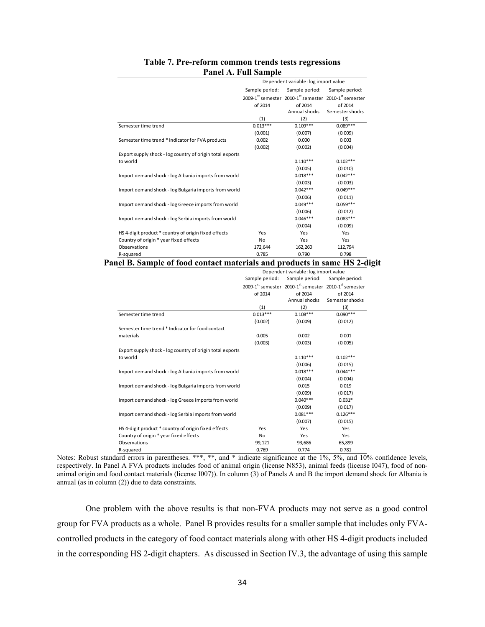|                                                           |                | Dependent variable: log import value                  |                 |
|-----------------------------------------------------------|----------------|-------------------------------------------------------|-----------------|
|                                                           | Sample period: | Sample period:                                        | Sample period:  |
|                                                           |                | 2009-1st semester 2010-1st semester 2010-1st semester |                 |
|                                                           | of 2014        | of 2014                                               | of 2014         |
|                                                           |                | Annual shocks                                         | Semester shocks |
|                                                           | (1)            | (2)                                                   | (3)             |
| Semester time trend                                       | $0.013***$     | $0.109***$                                            | $0.089***$      |
|                                                           | (0.001)        | (0.007)                                               | (0.009)         |
| Semester time trend * Indicator for FVA products          | 0.002          | 0.000                                                 | 0.003           |
|                                                           | (0.002)        | (0.002)                                               | (0.004)         |
| Export supply shock - log country of origin total exports |                |                                                       |                 |
| to world                                                  |                | $0.110***$                                            | $0.102***$      |
|                                                           |                | (0.005)                                               | (0.010)         |
| Import demand shock - log Albania imports from world      |                | $0.018***$                                            | $0.042***$      |
|                                                           |                | (0.003)                                               | (0.003)         |
| Import demand shock - log Bulgaria imports from world     |                | $0.042***$                                            | $0.049***$      |
|                                                           |                | (0.006)                                               | (0.011)         |
| Import demand shock - log Greece imports from world       |                | $0.049***$                                            | $0.059***$      |
|                                                           |                | (0.006)                                               | (0.012)         |
| Import demand shock - log Serbia imports from world       |                | $0.046***$                                            | $0.083***$      |
|                                                           |                | (0.004)                                               | (0.009)         |
| HS 4-digit product * country of origin fixed effects      | Yes            | Yes                                                   | Yes             |
| Country of origin * year fixed effects                    | No             | Yes                                                   | Yes             |
| Observations                                              | 172,644        | 162,260                                               | 112,794         |
| R-squared                                                 | 0.785          | 0.790                                                 | 0.798           |

# **Table 7. Pre-reform common trends tests regressions Panel A. Full Sample**

# **Panel B. Sample of food contact materials and products in same HS 2-digit**

|                                                           | Dependent variable: log import value |                                                                                           |                 |  |  |
|-----------------------------------------------------------|--------------------------------------|-------------------------------------------------------------------------------------------|-----------------|--|--|
|                                                           | Sample period:                       | Sample period:                                                                            | Sample period:  |  |  |
|                                                           |                                      | 2009-1 <sup>st</sup> semester 2010-1 <sup>st</sup> semester 2010-1 <sup>st</sup> semester |                 |  |  |
|                                                           | of 2014                              | of 2014                                                                                   | of 2014         |  |  |
|                                                           |                                      | Annual shocks                                                                             | Semester shocks |  |  |
|                                                           | (1)                                  | (2)                                                                                       | (3)             |  |  |
| Semester time trend                                       | $0.013***$                           | $0.108***$                                                                                | $0.090***$      |  |  |
|                                                           | (0.002)                              | (0.009)                                                                                   | (0.012)         |  |  |
| Semester time trend * Indicator for food contact          |                                      |                                                                                           |                 |  |  |
| materials                                                 | 0.005                                | 0.002                                                                                     | 0.001           |  |  |
|                                                           | (0.003)                              | (0.003)                                                                                   | (0.005)         |  |  |
| Export supply shock - log country of origin total exports |                                      |                                                                                           |                 |  |  |
| to world                                                  |                                      | $0.110***$                                                                                | $0.102***$      |  |  |
|                                                           |                                      | (0.006)                                                                                   | (0.015)         |  |  |
| Import demand shock - log Albania imports from world      |                                      | $0.018***$                                                                                | $0.044***$      |  |  |
|                                                           |                                      | (0.004)                                                                                   | (0.004)         |  |  |
| Import demand shock - log Bulgaria imports from world     |                                      | 0.015                                                                                     | 0.019           |  |  |
|                                                           |                                      | (0.009)                                                                                   | (0.017)         |  |  |
| Import demand shock - log Greece imports from world       |                                      | $0.040***$                                                                                | $0.031*$        |  |  |
|                                                           |                                      | (0.009)                                                                                   | (0.017)         |  |  |
| Import demand shock - log Serbia imports from world       |                                      | $0.081***$                                                                                | $0.126***$      |  |  |
|                                                           |                                      | (0.007)                                                                                   | (0.015)         |  |  |
| HS 4-digit product * country of origin fixed effects      | Yes                                  | Yes                                                                                       | Yes             |  |  |
| Country of origin * year fixed effects                    | No                                   | Yes                                                                                       | Yes             |  |  |
| Observations                                              | 99,121                               | 93,686                                                                                    | 65,899          |  |  |
| R-squared                                                 | 0.769                                | 0.774                                                                                     | 0.781           |  |  |

Notes: Robust standard errors in parentheses. \*\*\*, \*\*, and \* indicate significance at the 1%, 5%, and 10% confidence levels, respectively. In Panel A FVA products includes food of animal origin (license N853), animal feeds (license I047), food of nonanimal origin and food contact materials (license I007)). In column (3) of Panels A and B the import demand shock for Albania is annual (as in column (2)) due to data constraints.

One problem with the above results is that non-FVA products may not serve as a good control group for FVA products as a whole. Panel B provides results for a smaller sample that includes only FVAcontrolled products in the category of food contact materials along with other HS 4-digit products included in the corresponding HS 2-digit chapters. As discussed in Section IV.3, the advantage of using this sample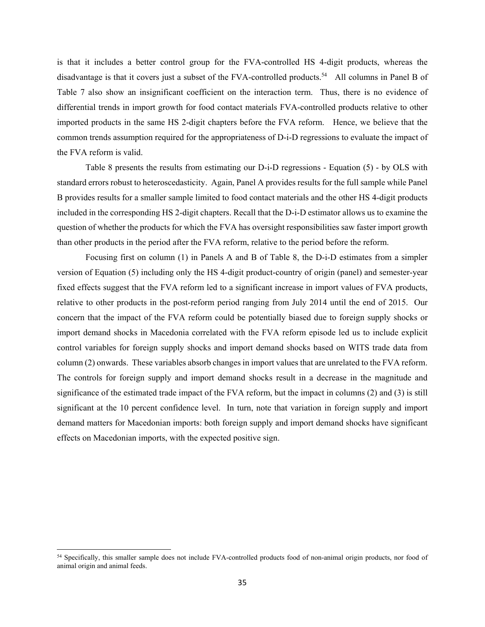is that it includes a better control group for the FVA-controlled HS 4-digit products, whereas the disadvantage is that it covers just a subset of the FVA-controlled products.<sup>54</sup> All columns in Panel B of Table 7 also show an insignificant coefficient on the interaction term. Thus, there is no evidence of differential trends in import growth for food contact materials FVA-controlled products relative to other imported products in the same HS 2-digit chapters before the FVA reform. Hence, we believe that the common trends assumption required for the appropriateness of D-i-D regressions to evaluate the impact of the FVA reform is valid.

Table 8 presents the results from estimating our D-i-D regressions - Equation (5) - by OLS with standard errors robust to heteroscedasticity. Again, Panel A provides results for the full sample while Panel B provides results for a smaller sample limited to food contact materials and the other HS 4-digit products included in the corresponding HS 2-digit chapters. Recall that the D-i-D estimator allows us to examine the question of whether the products for which the FVA has oversight responsibilities saw faster import growth than other products in the period after the FVA reform, relative to the period before the reform.

Focusing first on column (1) in Panels A and B of Table 8, the D-i-D estimates from a simpler version of Equation (5) including only the HS 4-digit product-country of origin (panel) and semester-year fixed effects suggest that the FVA reform led to a significant increase in import values of FVA products, relative to other products in the post-reform period ranging from July 2014 until the end of 2015. Our concern that the impact of the FVA reform could be potentially biased due to foreign supply shocks or import demand shocks in Macedonia correlated with the FVA reform episode led us to include explicit control variables for foreign supply shocks and import demand shocks based on WITS trade data from column (2) onwards. These variables absorb changes in import values that are unrelated to the FVA reform. The controls for foreign supply and import demand shocks result in a decrease in the magnitude and significance of the estimated trade impact of the FVA reform, but the impact in columns (2) and (3) is still significant at the 10 percent confidence level. In turn, note that variation in foreign supply and import demand matters for Macedonian imports: both foreign supply and import demand shocks have significant effects on Macedonian imports, with the expected positive sign.

 $\overline{a}$ 

<sup>&</sup>lt;sup>54</sup> Specifically, this smaller sample does not include FVA-controlled products food of non-animal origin products, nor food of animal origin and animal feeds.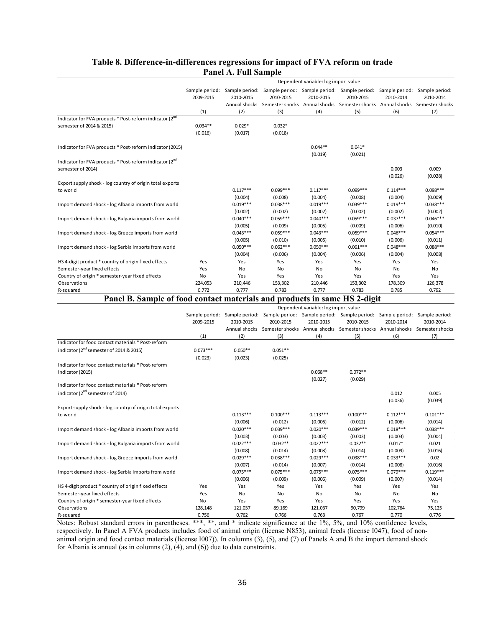|                                                                                                    |                       |                                  |                                  | Dependent variable: log import value |                                                                                                                                                                                                                           |                                  |                                  |
|----------------------------------------------------------------------------------------------------|-----------------------|----------------------------------|----------------------------------|--------------------------------------|---------------------------------------------------------------------------------------------------------------------------------------------------------------------------------------------------------------------------|----------------------------------|----------------------------------|
|                                                                                                    | 2009-2015<br>(1)      | 2010-2015<br>(2)                 | 2010-2015<br>(3)                 | 2010-2015<br>(4)                     | Sample period: Sample period: Sample period: Sample period: Sample period: Sample period: Sample period:<br>2010-2015<br>Annual shocks Semester shocks Annual shocks Semester shocks Annual shocks Semester shocks<br>(5) | 2010-2014<br>(6)                 | 2010-2014<br>(7)                 |
| Indicator for FVA products * Post-reform indicator (2 <sup>nd</sup>                                |                       |                                  |                                  |                                      |                                                                                                                                                                                                                           |                                  |                                  |
| semester of 2014 & 2015)                                                                           | $0.034**$<br>(0.016)  | $0.029*$<br>(0.017)              | $0.032*$<br>(0.018)              |                                      |                                                                                                                                                                                                                           |                                  |                                  |
| Indicator for FVA products * Post-reform indicator (2015)                                          |                       |                                  |                                  | $0.044**$<br>(0.019)                 | $0.041*$<br>(0.021)                                                                                                                                                                                                       |                                  |                                  |
| Indicator for FVA products * Post-reform indicator (2 <sup>nd</sup><br>semester of 2014)           |                       |                                  |                                  |                                      |                                                                                                                                                                                                                           | 0.003<br>(0.026)                 | 0.009<br>(0.028)                 |
| Export supply shock - log country of origin total exports<br>to world                              |                       | $0.117***$                       | $0.099***$                       | $0.117***$                           | $0.099***$                                                                                                                                                                                                                | $0.114***$                       | $0.098***$                       |
| Import demand shock - log Albania imports from world                                               |                       | (0.004)<br>$0.019***$<br>(0.002) | (0.008)<br>$0.038***$<br>(0.002) | (0.004)<br>$0.019***$<br>(0.002)     | (0.008)<br>$0.039***$<br>(0.002)                                                                                                                                                                                          | (0.004)<br>$0.019***$<br>(0.002) | (0.009)<br>$0.038***$<br>(0.002) |
| Import demand shock - log Bulgaria imports from world                                              |                       | $0.040***$<br>(0.005)            | $0.059***$<br>(0.009)            | $0.040***$<br>(0.005)                | $0.059***$<br>(0.009)                                                                                                                                                                                                     | $0.037***$<br>(0.006)            | $0.046***$<br>(0.010)            |
| Import demand shock - log Greece imports from world                                                |                       | $0.043***$<br>(0.005)            | $0.059***$<br>(0.010)            | $0.043***$<br>(0.005)                | $0.059***$<br>(0.010)                                                                                                                                                                                                     | $0.046***$<br>(0.006)            | $0.054***$<br>(0.011)            |
| Import demand shock - log Serbia imports from world                                                |                       | $0.050***$<br>(0.004)            | $0.062***$<br>(0.006)            | $0.050***$<br>(0.004)                | $0.061***$<br>(0.006)                                                                                                                                                                                                     | $0.048***$<br>(0.004)            | $0.088***$<br>(0.008)            |
| HS 4-digit product * country of origin fixed effects                                               | Yes                   | Yes                              | Yes                              | Yes                                  | Yes                                                                                                                                                                                                                       | Yes                              | Yes                              |
| Semester-year fixed effects                                                                        | Yes                   | No                               | No                               | No                                   | No                                                                                                                                                                                                                        | No                               | No                               |
| Country of origin * semester-year fixed effects                                                    | No                    | Yes                              | Yes                              | Yes                                  | Yes                                                                                                                                                                                                                       | Yes                              | Yes                              |
| Observations                                                                                       | 224,053               | 210,446                          | 153,302                          | 210,446                              | 153,302                                                                                                                                                                                                                   | 178,309                          | 126,378                          |
| R-squared                                                                                          | 0.772                 | 0.777                            | 0.783                            | 0.777                                | 0.783                                                                                                                                                                                                                     | 0.785                            | 0.792                            |
| Panel B. Sample of food contact materials and products in same HS 2-digit                          |                       |                                  |                                  |                                      |                                                                                                                                                                                                                           |                                  |                                  |
|                                                                                                    |                       |                                  |                                  | Dependent variable: log import value |                                                                                                                                                                                                                           |                                  |                                  |
|                                                                                                    | 2009-2015             | 2010-2015                        | 2010-2015                        | 2010-2015                            | Sample period: Sample period: Sample period: Sample period: Sample period: Sample period: Sample period:<br>2010-2015<br>Annual shocks Semester shocks Annual shocks Semester shocks Annual shocks Semester shocks        | 2010-2014                        | 2010-2014                        |
|                                                                                                    | (1)                   | (2)                              | (3)                              | (4)                                  | (5)                                                                                                                                                                                                                       | (6)                              | (7)                              |
| Indicator for food contact materials * Post-reform                                                 |                       |                                  |                                  |                                      |                                                                                                                                                                                                                           |                                  |                                  |
| indicator (2 <sup>nd</sup> semester of 2014 & 2015)                                                | $0.073***$<br>(0.023) | $0.050**$<br>(0.023)             | $0.051**$<br>(0.025)             |                                      |                                                                                                                                                                                                                           |                                  |                                  |
| Indicator for food contact materials * Post-reform<br>indicator (2015)                             |                       |                                  |                                  | $0.068**$                            | $0.072**$                                                                                                                                                                                                                 |                                  |                                  |
| Indicator for food contact materials * Post-reform<br>indicator (2 <sup>nd</sup> semester of 2014) |                       |                                  |                                  | (0.027)                              | (0.029)                                                                                                                                                                                                                   | 0.012                            | 0.005                            |
|                                                                                                    |                       |                                  |                                  |                                      |                                                                                                                                                                                                                           | (0.036)                          | (0.039)                          |
| Export supply shock - log country of origin total exports<br>to world                              |                       | $0.113***$                       | $0.100***$                       | $0.113***$                           | $0.100***$                                                                                                                                                                                                                | $0.112***$                       | $0.101***$                       |
| Import demand shock - log Albania imports from world                                               |                       | (0.006)<br>$0.020***$<br>(0.003) | (0.012)<br>$0.039***$<br>(0.003) | (0.006)<br>$0.020***$<br>(0.003)     | (0.012)<br>$0.039***$<br>(0.003)                                                                                                                                                                                          | (0.006)<br>$0.018***$<br>(0.003) | (0.014)<br>$0.038***$<br>(0.004) |
| Import demand shock - log Bulgaria imports from world                                              |                       | $0.022***$<br>(0.008)            | $0.032**$<br>(0.014)             | $0.022***$<br>(0.008)                | $0.032**$<br>(0.014)                                                                                                                                                                                                      | $0.017*$<br>(0.009)              | 0.021<br>(0.016)                 |
|                                                                                                    |                       |                                  |                                  |                                      |                                                                                                                                                                                                                           |                                  |                                  |
| Import demand shock - log Greece imports from world                                                |                       | $0.029***$<br>(0.007)            | $0.038***$<br>(0.014)            | $0.029***$<br>(0.007)                | $0.038***$<br>(0.014)                                                                                                                                                                                                     | $0.033***$<br>(0.008)            | 0.02<br>(0.016)                  |
| Import demand shock - log Serbia imports from world                                                |                       | $0.075***$<br>(0.006)            | $0.075***$<br>(0.009)            | $0.075***$<br>(0.006)                | $0.075***$<br>(0.009)                                                                                                                                                                                                     | $0.079***$<br>(0.007)            | $0.119***$<br>(0.014)            |
| HS 4-digit product * country of origin fixed effects                                               | Yes                   | Yes                              | Yes                              | Yes                                  | Yes                                                                                                                                                                                                                       | Yes                              | Yes                              |
| Semester-year fixed effects<br>Country of origin * semester-year fixed effects                     | Yes<br>No             | No<br>Yes                        | No<br>Yes                        | No<br>Yes                            | No<br>Yes                                                                                                                                                                                                                 | No<br>Yes                        | No<br>Yes                        |

# **Table 8. Difference-in-differences regressions for impact of FVA reform on trade Panel A. Full Sample**

Notes: Robust standard errors in parentheses. \*\*\*, \*\*, and \* indicate significance at the 1%, 5%, and 10% confidence levels, respectively. In Panel A FVA products includes food of animal origin (license N853), animal feeds (license I047), food of nonanimal origin and food contact materials (license I007)). In columns (3), (5), and (7) of Panels A and B the import demand shock for Albania is annual (as in columns (2), (4), and (6)) due to data constraints.

Observations 128,148 121,037 89,169 121,037 90,799 102,764 75,125 R-squared 0.756 0.762 0.766 0.763 0.767 0.770 0.776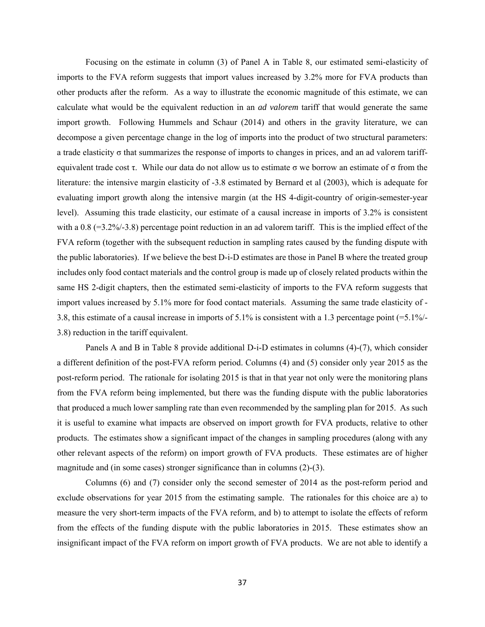Focusing on the estimate in column (3) of Panel A in Table 8, our estimated semi-elasticity of imports to the FVA reform suggests that import values increased by 3.2% more for FVA products than other products after the reform. As a way to illustrate the economic magnitude of this estimate, we can calculate what would be the equivalent reduction in an *ad valorem* tariff that would generate the same import growth. Following Hummels and Schaur (2014) and others in the gravity literature, we can decompose a given percentage change in the log of imports into the product of two structural parameters: a trade elasticity  $\sigma$  that summarizes the response of imports to changes in prices, and an ad valorem tariffequivalent trade cost τ. While our data do not allow us to estimate σ we borrow an estimate of σ from the literature: the intensive margin elasticity of -3.8 estimated by Bernard et al (2003), which is adequate for evaluating import growth along the intensive margin (at the HS 4-digit-country of origin-semester-year level). Assuming this trade elasticity, our estimate of a causal increase in imports of 3.2% is consistent with a 0.8 (=3.2%/-3.8) percentage point reduction in an ad valorem tariff. This is the implied effect of the FVA reform (together with the subsequent reduction in sampling rates caused by the funding dispute with the public laboratories). If we believe the best D-i-D estimates are those in Panel B where the treated group includes only food contact materials and the control group is made up of closely related products within the same HS 2-digit chapters, then the estimated semi-elasticity of imports to the FVA reform suggests that import values increased by 5.1% more for food contact materials. Assuming the same trade elasticity of - 3.8, this estimate of a causal increase in imports of 5.1% is consistent with a 1.3 percentage point (=5.1%/- 3.8) reduction in the tariff equivalent.

Panels A and B in Table 8 provide additional D-i-D estimates in columns (4)-(7), which consider a different definition of the post-FVA reform period. Columns (4) and (5) consider only year 2015 as the post-reform period. The rationale for isolating 2015 is that in that year not only were the monitoring plans from the FVA reform being implemented, but there was the funding dispute with the public laboratories that produced a much lower sampling rate than even recommended by the sampling plan for 2015. As such it is useful to examine what impacts are observed on import growth for FVA products, relative to other products. The estimates show a significant impact of the changes in sampling procedures (along with any other relevant aspects of the reform) on import growth of FVA products. These estimates are of higher magnitude and (in some cases) stronger significance than in columns (2)-(3).

Columns (6) and (7) consider only the second semester of 2014 as the post-reform period and exclude observations for year 2015 from the estimating sample. The rationales for this choice are a) to measure the very short-term impacts of the FVA reform, and b) to attempt to isolate the effects of reform from the effects of the funding dispute with the public laboratories in 2015. These estimates show an insignificant impact of the FVA reform on import growth of FVA products. We are not able to identify a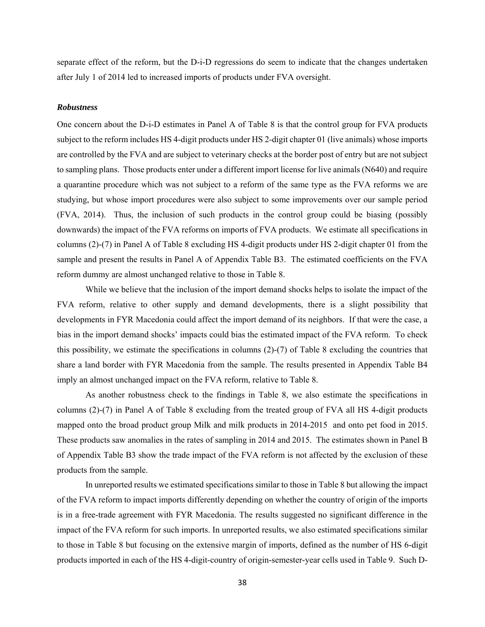separate effect of the reform, but the D-i-D regressions do seem to indicate that the changes undertaken after July 1 of 2014 led to increased imports of products under FVA oversight.

### *Robustness*

One concern about the D-i-D estimates in Panel A of Table 8 is that the control group for FVA products subject to the reform includes HS 4-digit products under HS 2-digit chapter 01 (live animals) whose imports are controlled by the FVA and are subject to veterinary checks at the border post of entry but are not subject to sampling plans. Those products enter under a different import license for live animals (N640) and require a quarantine procedure which was not subject to a reform of the same type as the FVA reforms we are studying, but whose import procedures were also subject to some improvements over our sample period (FVA, 2014). Thus, the inclusion of such products in the control group could be biasing (possibly downwards) the impact of the FVA reforms on imports of FVA products. We estimate all specifications in columns (2)-(7) in Panel A of Table 8 excluding HS 4-digit products under HS 2-digit chapter 01 from the sample and present the results in Panel A of Appendix Table B3. The estimated coefficients on the FVA reform dummy are almost unchanged relative to those in Table 8.

While we believe that the inclusion of the import demand shocks helps to isolate the impact of the FVA reform, relative to other supply and demand developments, there is a slight possibility that developments in FYR Macedonia could affect the import demand of its neighbors. If that were the case, a bias in the import demand shocks' impacts could bias the estimated impact of the FVA reform. To check this possibility, we estimate the specifications in columns (2)-(7) of Table 8 excluding the countries that share a land border with FYR Macedonia from the sample. The results presented in Appendix Table B4 imply an almost unchanged impact on the FVA reform, relative to Table 8.

As another robustness check to the findings in Table 8, we also estimate the specifications in columns (2)-(7) in Panel A of Table 8 excluding from the treated group of FVA all HS 4-digit products mapped onto the broad product group Milk and milk products in 2014-2015 and onto pet food in 2015. These products saw anomalies in the rates of sampling in 2014 and 2015. The estimates shown in Panel B of Appendix Table B3 show the trade impact of the FVA reform is not affected by the exclusion of these products from the sample.

In unreported results we estimated specifications similar to those in Table 8 but allowing the impact of the FVA reform to impact imports differently depending on whether the country of origin of the imports is in a free-trade agreement with FYR Macedonia. The results suggested no significant difference in the impact of the FVA reform for such imports. In unreported results, we also estimated specifications similar to those in Table 8 but focusing on the extensive margin of imports, defined as the number of HS 6-digit products imported in each of the HS 4-digit-country of origin-semester-year cells used in Table 9. Such D-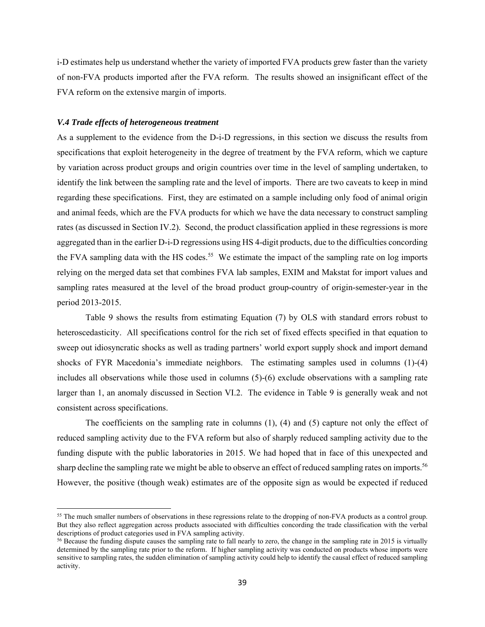i-D estimates help us understand whether the variety of imported FVA products grew faster than the variety of non-FVA products imported after the FVA reform. The results showed an insignificant effect of the FVA reform on the extensive margin of imports.

# *V.4 Trade effects of heterogeneous treatment*

 $\overline{a}$ 

As a supplement to the evidence from the D-i-D regressions, in this section we discuss the results from specifications that exploit heterogeneity in the degree of treatment by the FVA reform, which we capture by variation across product groups and origin countries over time in the level of sampling undertaken, to identify the link between the sampling rate and the level of imports. There are two caveats to keep in mind regarding these specifications. First, they are estimated on a sample including only food of animal origin and animal feeds, which are the FVA products for which we have the data necessary to construct sampling rates (as discussed in Section IV.2). Second, the product classification applied in these regressions is more aggregated than in the earlier D-i-D regressions using HS 4-digit products, due to the difficulties concording the FVA sampling data with the HS codes.<sup>55</sup> We estimate the impact of the sampling rate on log imports relying on the merged data set that combines FVA lab samples, EXIM and Makstat for import values and sampling rates measured at the level of the broad product group-country of origin-semester-year in the period 2013-2015.

Table 9 shows the results from estimating Equation (7) by OLS with standard errors robust to heteroscedasticity. All specifications control for the rich set of fixed effects specified in that equation to sweep out idiosyncratic shocks as well as trading partners' world export supply shock and import demand shocks of FYR Macedonia's immediate neighbors. The estimating samples used in columns (1)-(4) includes all observations while those used in columns (5)-(6) exclude observations with a sampling rate larger than 1, an anomaly discussed in Section VI.2. The evidence in Table 9 is generally weak and not consistent across specifications.

The coefficients on the sampling rate in columns (1), (4) and (5) capture not only the effect of reduced sampling activity due to the FVA reform but also of sharply reduced sampling activity due to the funding dispute with the public laboratories in 2015. We had hoped that in face of this unexpected and sharp decline the sampling rate we might be able to observe an effect of reduced sampling rates on imports.<sup>56</sup> However, the positive (though weak) estimates are of the opposite sign as would be expected if reduced

<sup>&</sup>lt;sup>55</sup> The much smaller numbers of observations in these regressions relate to the dropping of non-FVA products as a control group. But they also reflect aggregation across products associated with difficulties concording the trade classification with the verbal descriptions of product categories used in FVA sampling activity.<br><sup>56</sup> Because the funding dispute causes the sampling rate to fall nearly to zero, the change in the sampling rate in 2015 is virtually

determined by the sampling rate prior to the reform. If higher sampling activity was conducted on products whose imports were sensitive to sampling rates, the sudden elimination of sampling activity could help to identify the causal effect of reduced sampling activity.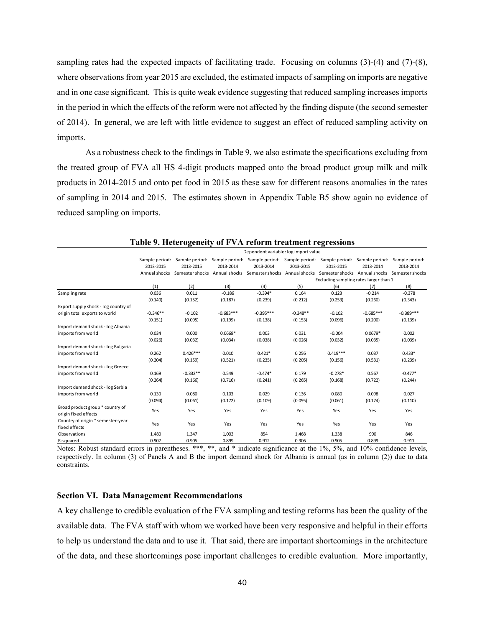sampling rates had the expected impacts of facilitating trade. Focusing on columns (3)-(4) and (7)-(8), where observations from year 2015 are excluded, the estimated impacts of sampling on imports are negative and in one case significant. This is quite weak evidence suggesting that reduced sampling increases imports in the period in which the effects of the reform were not affected by the finding dispute (the second semester of 2014). In general, we are left with little evidence to suggest an effect of reduced sampling activity on imports.

As a robustness check to the findings in Table 9, we also estimate the specifications excluding from the treated group of FVA all HS 4-digit products mapped onto the broad product group milk and milk products in 2014-2015 and onto pet food in 2015 as these saw for different reasons anomalies in the rates of sampling in 2014 and 2015. The estimates shown in Appendix Table B5 show again no evidence of reduced sampling on imports.

|                                      |                |                |                | Dependent variable: log import value |            |                                                                                                         |                |                 |
|--------------------------------------|----------------|----------------|----------------|--------------------------------------|------------|---------------------------------------------------------------------------------------------------------|----------------|-----------------|
|                                      | Sample period: | Sample period: | Sample period: |                                      |            | Sample period: Sample period: Sample period:                                                            | Sample period: | Sample period:  |
|                                      | 2013-2015      | 2013-2015      | 2013-2014      | 2013-2014                            | 2013-2015  | 2013-2015                                                                                               | 2013-2014      | 2013-2014       |
|                                      |                |                |                |                                      |            | Annual shocks Semester shocks Annual shocks Semester shocks Annual shocks Semester shocks Annual shocks |                | Semester shocks |
|                                      |                |                |                |                                      |            | Excluding sampling rates larger than 1                                                                  |                |                 |
|                                      | (1)            | (2)            | (3)            | (4)                                  | (5)        | (6)                                                                                                     | (7)            | (8)             |
| Sampling rate                        | 0.036          | 0.011          | $-0.186$       | $-0.394*$                            | 0.164      | 0.123                                                                                                   | $-0.214$       | $-0.378$        |
|                                      | (0.140)        | (0.152)        | (0.187)        | (0.239)                              | (0.212)    | (0.253)                                                                                                 | (0.260)        | (0.343)         |
| Export supply shock - log country of |                |                |                |                                      |            |                                                                                                         |                |                 |
| origin total exports to world        | $-0.346**$     | $-0.102$       | $-0.683***$    | $-0.395***$                          | $-0.348**$ | $-0.102$                                                                                                | $-0.685***$    | $-0.389***$     |
|                                      | (0.151)        | (0.095)        | (0.199)        | (0.138)                              | (0.153)    | (0.096)                                                                                                 | (0.200)        | (0.139)         |
| Import demand shock - log Albania    |                |                |                |                                      |            |                                                                                                         |                |                 |
| imports from world                   | 0.034          | 0.000          | $0.0669*$      | 0.003                                | 0.031      | $-0.004$                                                                                                | $0.0679*$      | 0.002           |
|                                      | (0.026)        | (0.032)        | (0.034)        | (0.038)                              | (0.026)    | (0.032)                                                                                                 | (0.035)        | (0.039)         |
| Import demand shock - log Bulgaria   |                |                |                |                                      |            |                                                                                                         |                |                 |
| imports from world                   | 0.262          | $0.426***$     | 0.010          | $0.421*$                             | 0.256      | $0.419***$                                                                                              | 0.037          | $0.433*$        |
|                                      | (0.204)        | (0.159)        | (0.521)        | (0.235)                              | (0.205)    | (0.156)                                                                                                 | (0.531)        | (0.239)         |
| Import demand shock - log Greece     |                |                |                |                                      |            |                                                                                                         |                |                 |
| imports from world                   | 0.169          | $-0.332**$     | 0.549          | $-0.474*$                            | 0.179      | $-0.278*$                                                                                               | 0.567          | $-0.477*$       |
|                                      | (0.264)        | (0.166)        | (0.716)        | (0.241)                              | (0.265)    | (0.168)                                                                                                 | (0.722)        | (0.244)         |
| Import demand shock - log Serbia     |                |                |                |                                      |            |                                                                                                         |                |                 |
| imports from world                   | 0.130          | 0.080          | 0.103          | 0.029                                | 0.136      | 0.080                                                                                                   | 0.098          | 0.027           |
|                                      | (0.094)        | (0.061)        | (0.172)        | (0.109)                              | (0.095)    | (0.061)                                                                                                 | (0.174)        | (0.110)         |
| Broad product group * country of     | Yes            | Yes            | Yes            | Yes                                  | Yes        | Yes                                                                                                     | Yes            | Yes             |
| origin fixed effects                 |                |                |                |                                      |            |                                                                                                         |                |                 |
| Country of origin * semester-year    | Yes            | Yes            | Yes            | Yes                                  | Yes        | Yes                                                                                                     | Yes            | Yes             |
| fixed effects                        |                |                |                |                                      |            |                                                                                                         |                |                 |
| Observations                         | 1,480          | 1,347          | 1,003          | 854                                  | 1,468      | 1,338                                                                                                   | 990            | 846             |
| R-squared                            | 0.907          | 0.905          | 0.899          | 0.912                                | 0.906      | 0.905                                                                                                   | 0.899          | 0.911           |

**Table 9. Heterogeneity of FVA reform treatment regressions** 

Notes: Robust standard errors in parentheses. \*\*\*, \*\*, and \* indicate significance at the 1%, 5%, and 10% confidence levels, respectively. In column (3) of Panels A and B the import demand shock for Albania is annual (as in column (2)) due to data constraints.

# **Section VI. Data Management Recommendations**

A key challenge to credible evaluation of the FVA sampling and testing reforms has been the quality of the available data. The FVA staff with whom we worked have been very responsive and helpful in their efforts to help us understand the data and to use it. That said, there are important shortcomings in the architecture of the data, and these shortcomings pose important challenges to credible evaluation. More importantly,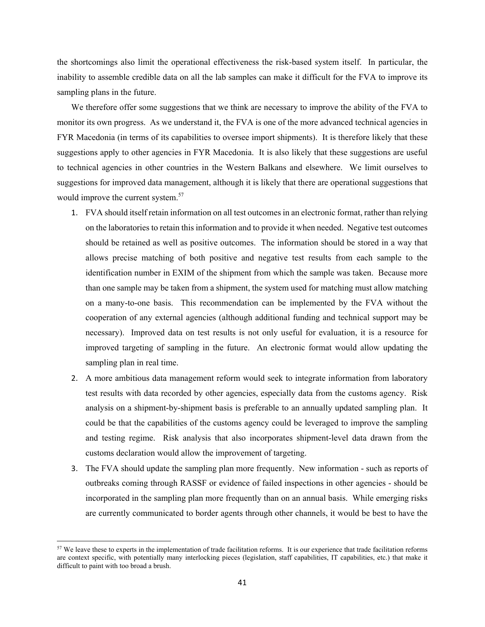the shortcomings also limit the operational effectiveness the risk-based system itself. In particular, the inability to assemble credible data on all the lab samples can make it difficult for the FVA to improve its sampling plans in the future.

We therefore offer some suggestions that we think are necessary to improve the ability of the FVA to monitor its own progress. As we understand it, the FVA is one of the more advanced technical agencies in FYR Macedonia (in terms of its capabilities to oversee import shipments). It is therefore likely that these suggestions apply to other agencies in FYR Macedonia. It is also likely that these suggestions are useful to technical agencies in other countries in the Western Balkans and elsewhere. We limit ourselves to suggestions for improved data management, although it is likely that there are operational suggestions that would improve the current system.<sup>57</sup>

- 1. FVA should itself retain information on all test outcomes in an electronic format, rather than relying on the laboratories to retain this information and to provide it when needed. Negative test outcomes should be retained as well as positive outcomes. The information should be stored in a way that allows precise matching of both positive and negative test results from each sample to the identification number in EXIM of the shipment from which the sample was taken. Because more than one sample may be taken from a shipment, the system used for matching must allow matching on a many-to-one basis. This recommendation can be implemented by the FVA without the cooperation of any external agencies (although additional funding and technical support may be necessary). Improved data on test results is not only useful for evaluation, it is a resource for improved targeting of sampling in the future. An electronic format would allow updating the sampling plan in real time.
- 2. A more ambitious data management reform would seek to integrate information from laboratory test results with data recorded by other agencies, especially data from the customs agency. Risk analysis on a shipment-by-shipment basis is preferable to an annually updated sampling plan. It could be that the capabilities of the customs agency could be leveraged to improve the sampling and testing regime. Risk analysis that also incorporates shipment-level data drawn from the customs declaration would allow the improvement of targeting.
- 3. The FVA should update the sampling plan more frequently. New information such as reports of outbreaks coming through RASSF or evidence of failed inspections in other agencies - should be incorporated in the sampling plan more frequently than on an annual basis. While emerging risks are currently communicated to border agents through other channels, it would be best to have the

<sup>&</sup>lt;sup>57</sup> We leave these to experts in the implementation of trade facilitation reforms. It is our experience that trade facilitation reforms are context specific, with potentially many interlocking pieces (legislation, staff capabilities, IT capabilities, etc.) that make it difficult to paint with too broad a brush.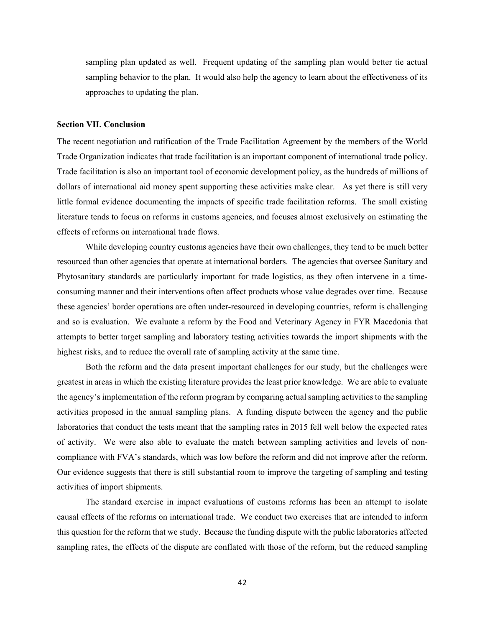sampling plan updated as well. Frequent updating of the sampling plan would better tie actual sampling behavior to the plan. It would also help the agency to learn about the effectiveness of its approaches to updating the plan.

#### **Section VII. Conclusion**

The recent negotiation and ratification of the Trade Facilitation Agreement by the members of the World Trade Organization indicates that trade facilitation is an important component of international trade policy. Trade facilitation is also an important tool of economic development policy, as the hundreds of millions of dollars of international aid money spent supporting these activities make clear. As yet there is still very little formal evidence documenting the impacts of specific trade facilitation reforms. The small existing literature tends to focus on reforms in customs agencies, and focuses almost exclusively on estimating the effects of reforms on international trade flows.

While developing country customs agencies have their own challenges, they tend to be much better resourced than other agencies that operate at international borders. The agencies that oversee Sanitary and Phytosanitary standards are particularly important for trade logistics, as they often intervene in a timeconsuming manner and their interventions often affect products whose value degrades over time. Because these agencies' border operations are often under-resourced in developing countries, reform is challenging and so is evaluation. We evaluate a reform by the Food and Veterinary Agency in FYR Macedonia that attempts to better target sampling and laboratory testing activities towards the import shipments with the highest risks, and to reduce the overall rate of sampling activity at the same time.

Both the reform and the data present important challenges for our study, but the challenges were greatest in areas in which the existing literature provides the least prior knowledge. We are able to evaluate the agency's implementation of the reform program by comparing actual sampling activities to the sampling activities proposed in the annual sampling plans. A funding dispute between the agency and the public laboratories that conduct the tests meant that the sampling rates in 2015 fell well below the expected rates of activity. We were also able to evaluate the match between sampling activities and levels of noncompliance with FVA's standards, which was low before the reform and did not improve after the reform. Our evidence suggests that there is still substantial room to improve the targeting of sampling and testing activities of import shipments.

The standard exercise in impact evaluations of customs reforms has been an attempt to isolate causal effects of the reforms on international trade. We conduct two exercises that are intended to inform this question for the reform that we study. Because the funding dispute with the public laboratories affected sampling rates, the effects of the dispute are conflated with those of the reform, but the reduced sampling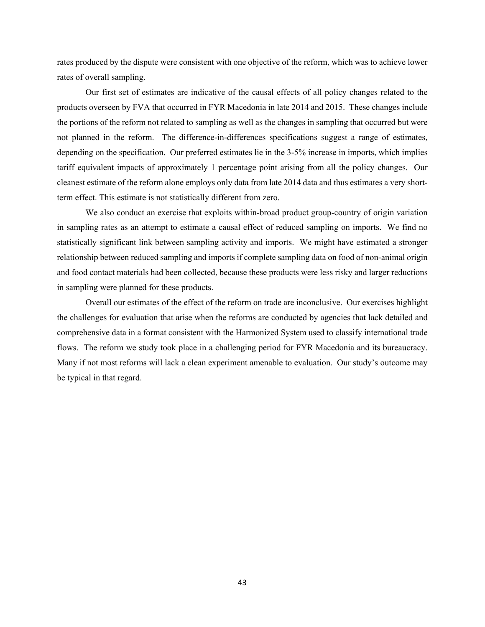rates produced by the dispute were consistent with one objective of the reform, which was to achieve lower rates of overall sampling.

Our first set of estimates are indicative of the causal effects of all policy changes related to the products overseen by FVA that occurred in FYR Macedonia in late 2014 and 2015. These changes include the portions of the reform not related to sampling as well as the changes in sampling that occurred but were not planned in the reform. The difference-in-differences specifications suggest a range of estimates, depending on the specification. Our preferred estimates lie in the 3-5% increase in imports, which implies tariff equivalent impacts of approximately 1 percentage point arising from all the policy changes. Our cleanest estimate of the reform alone employs only data from late 2014 data and thus estimates a very shortterm effect. This estimate is not statistically different from zero.

We also conduct an exercise that exploits within-broad product group-country of origin variation in sampling rates as an attempt to estimate a causal effect of reduced sampling on imports. We find no statistically significant link between sampling activity and imports. We might have estimated a stronger relationship between reduced sampling and imports if complete sampling data on food of non-animal origin and food contact materials had been collected, because these products were less risky and larger reductions in sampling were planned for these products.

Overall our estimates of the effect of the reform on trade are inconclusive. Our exercises highlight the challenges for evaluation that arise when the reforms are conducted by agencies that lack detailed and comprehensive data in a format consistent with the Harmonized System used to classify international trade flows. The reform we study took place in a challenging period for FYR Macedonia and its bureaucracy. Many if not most reforms will lack a clean experiment amenable to evaluation. Our study's outcome may be typical in that regard.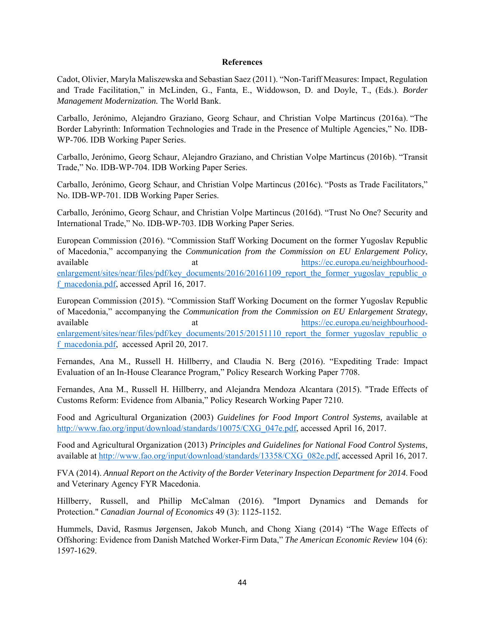# **References**

Cadot, Olivier, Maryla Maliszewska and Sebastian Saez (2011). "Non-Tariff Measures: Impact, Regulation and Trade Facilitation," in McLinden, G., Fanta, E., Widdowson, D. and Doyle, T., (Eds.). *Border Management Modernization.* The World Bank.

Carballo, Jerónimo, Alejandro Graziano, Georg Schaur, and Christian Volpe Martincus (2016a). "The Border Labyrinth: Information Technologies and Trade in the Presence of Multiple Agencies," No. IDB-WP-706. IDB Working Paper Series.

Carballo, Jerónimo, Georg Schaur, Alejandro Graziano, and Christian Volpe Martincus (2016b). "Transit Trade," No. IDB-WP-704. IDB Working Paper Series.

Carballo, Jerónimo, Georg Schaur, and Christian Volpe Martincus (2016c). "Posts as Trade Facilitators," No. IDB-WP-701. IDB Working Paper Series.

Carballo, Jerónimo, Georg Schaur, and Christian Volpe Martincus (2016d). "Trust No One? Security and International Trade," No. IDB-WP-703. IDB Working Paper Series.

European Commission (2016). "Commission Staff Working Document on the former Yugoslav Republic of Macedonia," accompanying the *Communication from the Commission on EU Enlargement Policy*, available at the at https://ec.europa.eu/neighbourhoodenlargement/sites/near/files/pdf/key\_documents/2016/20161109\_report\_the\_former\_yugoslav\_republic\_o f\_macedonia.pdf, accessed April 16, 2017.

European Commission (2015). "Commission Staff Working Document on the former Yugoslav Republic of Macedonia," accompanying the *Communication from the Commission on EU Enlargement Strategy*, available at https://ec.europa.eu/neighbourhoodenlargement/sites/near/files/pdf/key\_documents/2015/20151110\_report\_the\_former\_yugoslav\_republic\_o f\_macedonia.pdf, accessed April 20, 2017.

Fernandes, Ana M., Russell H. Hillberry, and Claudia N. Berg (2016). "Expediting Trade: Impact Evaluation of an In-House Clearance Program," Policy Research Working Paper 7708.

Fernandes, Ana M., Russell H. Hillberry, and Alejandra Mendoza Alcantara (2015). "Trade Effects of Customs Reform: Evidence from Albania," Policy Research Working Paper 7210.

Food and Agricultural Organization (2003) *Guidelines for Food Import Control Systems,* available at http://www.fao.org/input/download/standards/10075/CXG\_047e.pdf, accessed April 16, 2017.

Food and Agricultural Organization (2013) *Principles and Guidelines for National Food Control Systems*, available at http://www.fao.org/input/download/standards/13358/CXG\_082e.pdf, accessed April 16, 2017.

FVA (2014). *Annual Report on the Activity of the Border Veterinary Inspection Department for 2014*. Food and Veterinary Agency FYR Macedonia.

Hillberry, Russell, and Phillip McCalman (2016). "Import Dynamics and Demands for Protection." *Canadian Journal of Economics* 49 (3): 1125-1152.

Hummels, David, Rasmus Jørgensen, Jakob Munch, and Chong Xiang (2014) "The Wage Effects of Offshoring: Evidence from Danish Matched Worker-Firm Data," *The American Economic Review* 104 (6): 1597-1629.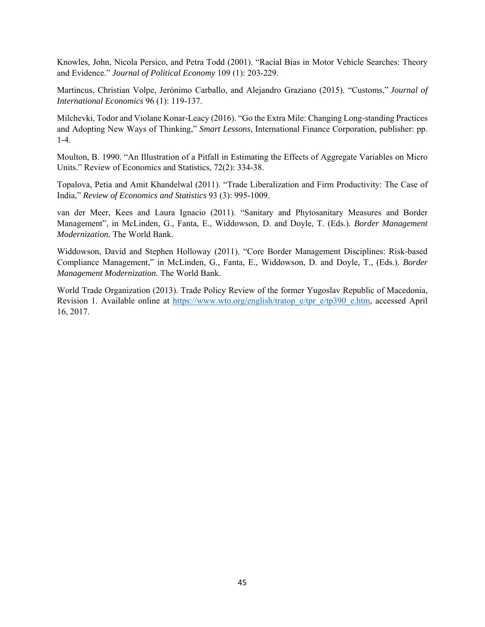Knowles, John, Nicola Persico, and Petra Todd (2001). "Racial Bias in Motor Vehicle Searches: Theory and Evidence." *Journal of Political Economy* 109 (1): 203-229.

Martincus, Christian Volpe, Jerónimo Carballo, and Alejandro Graziano (2015). "Customs," *Journal of International Economics* 96 (1): 119-137.

Milchevki, Todor and Violane Konar-Leacy (2016). "Go the Extra Mile: Changing Long-standing Practices and Adopting New Ways of Thinking," *Smart Lessons*, International Finance Corporation, publisher: pp. 1-4.

Moulton, B. 1990. "An Illustration of a Pitfall in Estimating the Effects of Aggregate Variables on Micro Units." Review of Economics and Statistics, 72(2): 334-38.

Topalova, Petia and Amit Khandelwal (2011). "Trade Liberalization and Firm Productivity: The Case of India," *Review of Economics and Statistics* 93 (3): 995-1009.

van der Meer, Kees and Laura Ignacio (2011). "Sanitary and Phytosanitary Measures and Border Management", in McLinden, G., Fanta, E., Widdowson, D. and Doyle, T. (Eds.). *Border Management Modernization.* The World Bank.

Widdowson, David and Stephen Holloway (2011). "Core Border Management Disciplines: Risk-based Compliance Management," in McLinden, G., Fanta, E., Widdowson, D. and Doyle, T., (Eds.). *Border Management Modernization.* The World Bank.

World Trade Organization (2013). Trade Policy Review of the former Yugoslav Republic of Macedonia, Revision 1. Available online at https://www.wto.org/english/tratop\_e/tpr\_e/tp390\_e.htm, accessed April 16, 2017.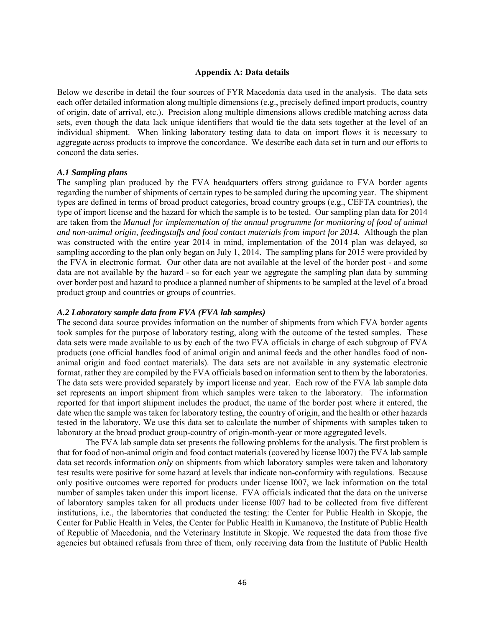# **Appendix A: Data details**

Below we describe in detail the four sources of FYR Macedonia data used in the analysis. The data sets each offer detailed information along multiple dimensions (e.g., precisely defined import products, country of origin, date of arrival, etc.). Precision along multiple dimensions allows credible matching across data sets, even though the data lack unique identifiers that would tie the data sets together at the level of an individual shipment. When linking laboratory testing data to data on import flows it is necessary to aggregate across products to improve the concordance. We describe each data set in turn and our efforts to concord the data series.

# *A.1 Sampling plans*

The sampling plan produced by the FVA headquarters offers strong guidance to FVA border agents regarding the number of shipments of certain types to be sampled during the upcoming year. The shipment types are defined in terms of broad product categories, broad country groups (e.g., CEFTA countries), the type of import license and the hazard for which the sample is to be tested. Our sampling plan data for 2014 are taken from the *Manual for implementation of the annual programme for monitoring of food of animal and non-animal origin, feedingstuffs and food contact materials from import for 2014*. Although the plan was constructed with the entire year 2014 in mind, implementation of the 2014 plan was delayed, so sampling according to the plan only began on July 1, 2014. The sampling plans for 2015 were provided by the FVA in electronic format. Our other data are not available at the level of the border post - and some data are not available by the hazard - so for each year we aggregate the sampling plan data by summing over border post and hazard to produce a planned number of shipments to be sampled at the level of a broad product group and countries or groups of countries.

## *A.2 Laboratory sample data from FVA (FVA lab samples)*

The second data source provides information on the number of shipments from which FVA border agents took samples for the purpose of laboratory testing, along with the outcome of the tested samples. These data sets were made available to us by each of the two FVA officials in charge of each subgroup of FVA products (one official handles food of animal origin and animal feeds and the other handles food of nonanimal origin and food contact materials). The data sets are not available in any systematic electronic format, rather they are compiled by the FVA officials based on information sent to them by the laboratories. The data sets were provided separately by import license and year. Each row of the FVA lab sample data set represents an import shipment from which samples were taken to the laboratory. The information reported for that import shipment includes the product, the name of the border post where it entered, the date when the sample was taken for laboratory testing, the country of origin, and the health or other hazards tested in the laboratory. We use this data set to calculate the number of shipments with samples taken to laboratory at the broad product group-country of origin-month-year or more aggregated levels.

The FVA lab sample data set presents the following problems for the analysis. The first problem is that for food of non-animal origin and food contact materials (covered by license I007) the FVA lab sample data set records information *only* on shipments from which laboratory samples were taken and laboratory test results were positive for some hazard at levels that indicate non-conformity with regulations. Because only positive outcomes were reported for products under license I007, we lack information on the total number of samples taken under this import license. FVA officials indicated that the data on the universe of laboratory samples taken for all products under license I007 had to be collected from five different institutions, i.e., the laboratories that conducted the testing: the Center for Public Health in Skopje, the Center for Public Health in Veles, the Center for Public Health in Kumanovo, the Institute of Public Health of Republic of Macedonia, and the Veterinary Institute in Skopje. We requested the data from those five agencies but obtained refusals from three of them, only receiving data from the Institute of Public Health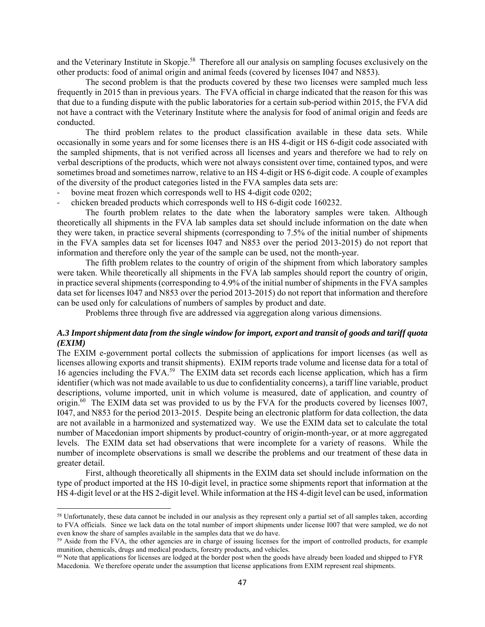and the Veterinary Institute in Skopje.<sup>58</sup> Therefore all our analysis on sampling focuses exclusively on the other products: food of animal origin and animal feeds (covered by licenses I047 and N853).

The second problem is that the products covered by these two licenses were sampled much less frequently in 2015 than in previous years. The FVA official in charge indicated that the reason for this was that due to a funding dispute with the public laboratories for a certain sub-period within 2015, the FVA did not have a contract with the Veterinary Institute where the analysis for food of animal origin and feeds are conducted.

The third problem relates to the product classification available in these data sets. While occasionally in some years and for some licenses there is an HS 4-digit or HS 6-digit code associated with the sampled shipments, that is not verified across all licenses and years and therefore we had to rely on verbal descriptions of the products, which were not always consistent over time, contained typos, and were sometimes broad and sometimes narrow, relative to an HS 4-digit or HS 6-digit code. A couple of examples of the diversity of the product categories listed in the FVA samples data sets are:

- bovine meat frozen which corresponds well to HS 4-digit code 0202;
- chicken breaded products which corresponds well to HS 6-digit code 160232.

The fourth problem relates to the date when the laboratory samples were taken. Although theoretically all shipments in the FVA lab samples data set should include information on the date when they were taken, in practice several shipments (corresponding to 7.5% of the initial number of shipments in the FVA samples data set for licenses I047 and N853 over the period 2013-2015) do not report that information and therefore only the year of the sample can be used, not the month-year.

The fifth problem relates to the country of origin of the shipment from which laboratory samples were taken. While theoretically all shipments in the FVA lab samples should report the country of origin, in practice several shipments (corresponding to 4.9% of the initial number of shipments in the FVA samples data set for licenses I047 and N853 over the period 2013-2015) do not report that information and therefore can be used only for calculations of numbers of samples by product and date.

Problems three through five are addressed via aggregation along various dimensions.

# *A.3 Import shipment data from the single window for import, export and transit of goods and tariff quota (EXIM)*

The EXIM e-government portal collects the submission of applications for import licenses (as well as licenses allowing exports and transit shipments). EXIM reports trade volume and license data for a total of 16 agencies including the FVA.<sup>59</sup> The EXIM data set records each license application, which has a firm identifier (which was not made available to us due to confidentiality concerns), a tariff line variable, product descriptions, volume imported, unit in which volume is measured, date of application, and country of origin.60 The EXIM data set was provided to us by the FVA for the products covered by licenses I007, I047, and N853 for the period 2013-2015. Despite being an electronic platform for data collection, the data are not available in a harmonized and systematized way. We use the EXIM data set to calculate the total number of Macedonian import shipments by product-country of origin-month-year, or at more aggregated levels. The EXIM data set had observations that were incomplete for a variety of reasons. While the number of incomplete observations is small we describe the problems and our treatment of these data in greater detail.

First, although theoretically all shipments in the EXIM data set should include information on the type of product imported at the HS 10-digit level, in practice some shipments report that information at the HS 4-digit level or at the HS 2-digit level. While information at the HS 4-digit level can be used, information

 $\overline{a}$ 

<sup>&</sup>lt;sup>58</sup> Unfortunately, these data cannot be included in our analysis as they represent only a partial set of all samples taken, according to FVA officials. Since we lack data on the total number of import shipments under license I007 that were sampled, we do not even know the share of samples available in the samples data that we do have.<br><sup>59</sup> Aside from the FVA, the other agencies are in charge of issuing licenses for the import of controlled products, for example

munition, chemicals, drugs and medical products, forestry products, and vehicles.<br><sup>60</sup> Note that applications for licenses are lodged at the border post when the goods have already been loaded and shipped to FYR

Macedonia. We therefore operate under the assumption that license applications from EXIM represent real shipments.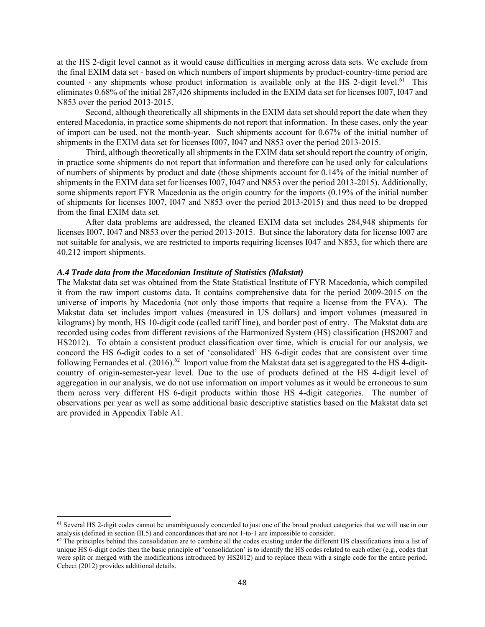at the HS 2-digit level cannot as it would cause difficulties in merging across data sets. We exclude from the final EXIM data set - based on which numbers of import shipments by product-country-time period are counted - any shipments whose product information is available only at the HS 2-digit level.<sup>61</sup> This eliminates 0.68% of the initial 287,426 shipments included in the EXIM data set for licenses I007, I047 and N853 over the period 2013-2015.

Second, although theoretically all shipments in the EXIM data set should report the date when they entered Macedonia, in practice some shipments do not report that information. In these cases, only the year of import can be used, not the month-year. Such shipments account for 0.67% of the initial number of shipments in the EXIM data set for licenses I007, I047 and N853 over the period 2013-2015.

Third, although theoretically all shipments in the EXIM data set should report the country of origin, in practice some shipments do not report that information and therefore can be used only for calculations of numbers of shipments by product and date (those shipments account for 0.14% of the initial number of shipments in the EXIM data set for licenses I007, I047 and N853 over the period 2013-2015). Additionally, some shipments report FYR Macedonia as the origin country for the imports (0.19% of the initial number of shipments for licenses I007, I047 and N853 over the period 2013-2015) and thus need to be dropped from the final EXIM data set.

After data problems are addressed, the cleaned EXIM data set includes 284,948 shipments for licenses I007, I047 and N853 over the period 2013-2015. But since the laboratory data for license I007 are not suitable for analysis, we are restricted to imports requiring licenses I047 and N853, for which there are 40,212 import shipments.

# *A.4 Trade data from the Macedonian Institute of Statistics (Makstat)*

 $\overline{\phantom{a}}$ 

The Makstat data set was obtained from the State Statistical Institute of FYR Macedonia, which compiled it from the raw import customs data. It contains comprehensive data for the period 2009-2015 on the universe of imports by Macedonia (not only those imports that require a license from the FVA). The Makstat data set includes import values (measured in US dollars) and import volumes (measured in kilograms) by month, HS 10-digit code (called tariff line), and border post of entry. The Makstat data are recorded using codes from different revisions of the Harmonized System (HS) classification (HS2007 and HS2012). To obtain a consistent product classification over time, which is crucial for our analysis, we concord the HS 6-digit codes to a set of 'consolidated' HS 6-digit codes that are consistent over time following Fernandes et al. (2016).<sup>62</sup> Import value from the Makstat data set is aggregated to the HS 4-digitcountry of origin-semester-year level. Due to the use of products defined at the HS 4-digit level of aggregation in our analysis, we do not use information on import volumes as it would be erroneous to sum them across very different HS 6-digit products within those HS 4-digit categories. The number of observations per year as well as some additional basic descriptive statistics based on the Makstat data set are provided in Appendix Table A1.

 $61$  Several HS 2-digit codes cannot be unambiguously concorded to just one of the broad product categories that we will use in our analysis (defined in section III.5) and concordances that are not 1-to-1 are impossible t

 $^{62}$  The principles behind this consolidation are to combine all the codes existing under the different HS classifications into a list of unique HS 6-digit codes then the basic principle of 'consolidation' is to identify the HS codes related to each other (e.g., codes that were split or merged with the modifications introduced by HS2012) and to replace them with a single code for the entire period. Cebeci (2012) provides additional details.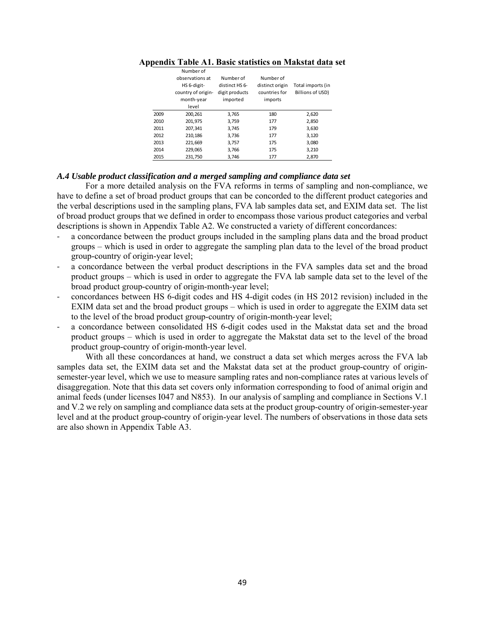|      | Number of<br>observations at<br>HS 6-digit-<br>country of origin-<br>month-year<br>level | Number of<br>distinct HS 6-<br>digit products<br>imported | Number of<br>distinct origin<br>countries for<br>imports | Total imports (in<br>Billions of USD) |
|------|------------------------------------------------------------------------------------------|-----------------------------------------------------------|----------------------------------------------------------|---------------------------------------|
| 2009 | 200,261                                                                                  | 3,765                                                     | 180                                                      | 2,620                                 |
| 2010 | 201,975                                                                                  | 3,759                                                     | 177                                                      | 2,850                                 |
| 2011 | 207,341                                                                                  | 3,745                                                     | 179                                                      | 3,630                                 |
| 2012 | 210,186                                                                                  | 3,736                                                     | 177                                                      | 3,120                                 |
| 2013 | 221,669                                                                                  | 3,757                                                     | 175                                                      | 3,080                                 |
| 2014 | 229,065                                                                                  | 3,766                                                     | 175                                                      | 3,210                                 |
| 2015 | 231,750                                                                                  | 3.746                                                     | 177                                                      | 2,870                                 |

#### **Appendix Table A1. Basic statistics on Makstat data set**

#### *A.4 Usable product classification and a merged sampling and compliance data set*

For a more detailed analysis on the FVA reforms in terms of sampling and non-compliance, we have to define a set of broad product groups that can be concorded to the different product categories and the verbal descriptions used in the sampling plans, FVA lab samples data set, and EXIM data set. The list of broad product groups that we defined in order to encompass those various product categories and verbal descriptions is shown in Appendix Table A2. We constructed a variety of different concordances:

- a concordance between the product groups included in the sampling plans data and the broad product groups – which is used in order to aggregate the sampling plan data to the level of the broad product group-country of origin-year level;
- a concordance between the verbal product descriptions in the FVA samples data set and the broad product groups – which is used in order to aggregate the FVA lab sample data set to the level of the broad product group-country of origin-month-year level;
- concordances between HS 6-digit codes and HS 4-digit codes (in HS 2012 revision) included in the EXIM data set and the broad product groups – which is used in order to aggregate the EXIM data set to the level of the broad product group-country of origin-month-year level;
- a concordance between consolidated HS 6-digit codes used in the Makstat data set and the broad product groups – which is used in order to aggregate the Makstat data set to the level of the broad product group-country of origin-month-year level.

With all these concordances at hand, we construct a data set which merges across the FVA lab samples data set, the EXIM data set and the Makstat data set at the product group-country of originsemester-year level, which we use to measure sampling rates and non-compliance rates at various levels of disaggregation. Note that this data set covers only information corresponding to food of animal origin and animal feeds (under licenses I047 and N853). In our analysis of sampling and compliance in Sections V.1 and V.2 we rely on sampling and compliance data sets at the product group-country of origin-semester-year level and at the product group-country of origin-year level. The numbers of observations in those data sets are also shown in Appendix Table A3.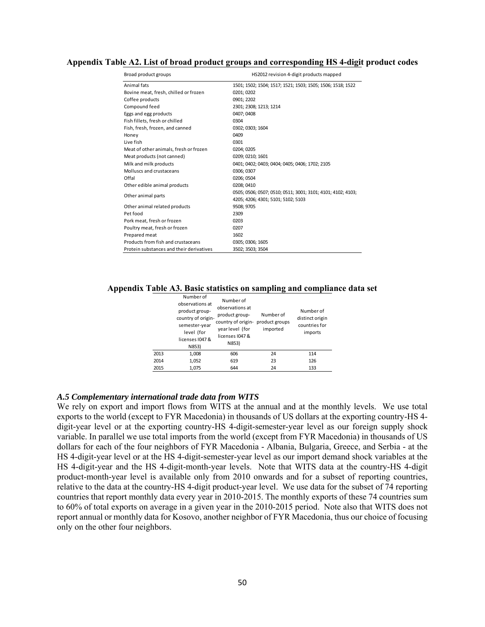# **Appendix Table A2. List of broad product groups and corresponding HS 4-digit product codes**

| Broad product groups                     | HS2012 revision 4-digit products mapped                     |
|------------------------------------------|-------------------------------------------------------------|
| Animal fats                              | 1501; 1502; 1504; 1517; 1521; 1503; 1505; 1506; 1518; 1522  |
| Bovine meat, fresh, chilled or frozen    | 0201; 0202                                                  |
| Coffee products                          | 0901; 2202                                                  |
| Compound feed                            | 2301; 2308; 1213; 1214                                      |
| Eggs and egg products                    | 0407: 0408                                                  |
| Fish fillets, fresh or chilled           | 0304                                                        |
| Fish, fresh, frozen, and canned          | 0302; 0303; 1604                                            |
| Honey                                    | 0409                                                        |
| Live fish                                | 0301                                                        |
| Meat of other animals, fresh or frozen   | 0204; 0205                                                  |
| Meat products (not canned)               | 0209; 0210; 1601                                            |
| Milk and milk products                   | 0401; 0402; 0403; 0404; 0405; 0406; 1702; 2105              |
| Molluscs and crustaceans                 | 0306: 0307                                                  |
| Offal                                    | 0206; 0504                                                  |
| Other edible animal products             | 0208: 0410                                                  |
| Other animal parts                       | 0505; 0506; 0507; 0510; 0511; 3001; 3101; 4101; 4102; 4103; |
|                                          | 4205; 4206; 4301; 5101; 5102; 5103                          |
| Other animal related products            | 9508; 9705                                                  |
| Pet food                                 | 2309                                                        |
| Pork meat, fresh or frozen               | 0203                                                        |
| Poultry meat, fresh or frozen            | 0207                                                        |
| Prepared meat                            | 1602                                                        |
| Products from fish and crustaceans       | 0305; 0306; 1605                                            |
| Protein substances and their derivatives | 3502; 3503; 3504                                            |

**Appendix Table A3. Basic statistics on sampling and compliance data set** 

|      | Number of<br>observations at<br>product group-<br>country of origin-<br>semester-year<br>level (for<br>licenses I047 &<br>N853) | Number of<br>observations at<br>product group-<br>country of origin-<br>year level (for<br>licenses 1047 &<br>N853) | Number of<br>product groups<br>imported | Number of<br>distinct origin<br>countries for<br>imports |
|------|---------------------------------------------------------------------------------------------------------------------------------|---------------------------------------------------------------------------------------------------------------------|-----------------------------------------|----------------------------------------------------------|
| 2013 | 1,008                                                                                                                           | 606                                                                                                                 | 24                                      | 114                                                      |
| 2014 | 1,052                                                                                                                           | 619                                                                                                                 | 23                                      | 126                                                      |
| 2015 | 1,075                                                                                                                           | 644                                                                                                                 | 24                                      | 133                                                      |

#### *A.5 Complementary international trade data from WITS*

We rely on export and import flows from WITS at the annual and at the monthly levels. We use total exports to the world (except to FYR Macedonia) in thousands of US dollars at the exporting country-HS 4 digit-year level or at the exporting country-HS 4-digit-semester-year level as our foreign supply shock variable. In parallel we use total imports from the world (except from FYR Macedonia) in thousands of US dollars for each of the four neighbors of FYR Macedonia - Albania, Bulgaria, Greece, and Serbia - at the HS 4-digit-year level or at the HS 4-digit-semester-year level as our import demand shock variables at the HS 4-digit-year and the HS 4-digit-month-year levels. Note that WITS data at the country-HS 4-digit product-month-year level is available only from 2010 onwards and for a subset of reporting countries, relative to the data at the country-HS 4-digit product-year level. We use data for the subset of 74 reporting countries that report monthly data every year in 2010-2015. The monthly exports of these 74 countries sum to 60% of total exports on average in a given year in the 2010-2015 period. Note also that WITS does not report annual or monthly data for Kosovo, another neighbor of FYR Macedonia, thus our choice of focusing only on the other four neighbors.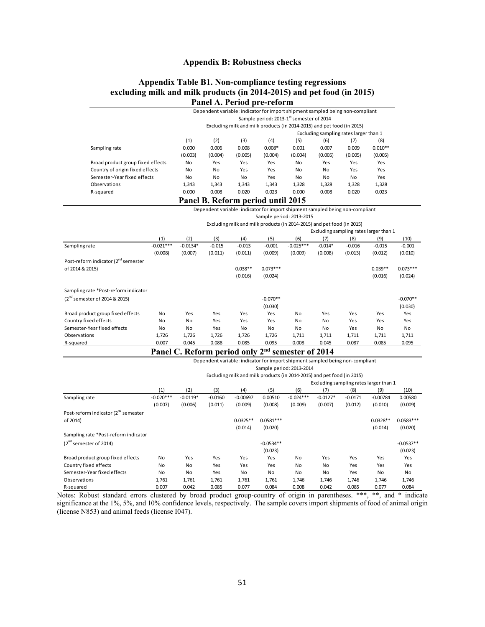# **Appendix B: Robustness checks**

# **Appendix Table B1. Non-compliance testing regressions excluding milk and milk products (in 2014-2015) and pet food (in 2015) Panel A. Period pre-reform**

| Dependent variable: indicator for import shipment sampled being non-compliant<br>Sample period: 2013-1 <sup>st</sup> semester of 2014<br>Excluding milk and milk products (in 2014-2015) and pet food (in 2015)<br>Excluding sampling rates larger than 1<br>(1)<br>(2)<br>(3)<br>(4)<br>(5)<br>(6)<br>(8)<br>(7)<br>$0.010**$<br>0.006<br>$0.008*$<br>0.007<br>0.000<br>0.008<br>0.001<br>0.009<br>Sampling rate<br>(0.003)<br>(0.004)<br>(0.005)<br>(0.004)<br>(0.004)<br>(0.005)<br>(0.005)<br>(0.005)<br>Broad product group fixed effects<br>Yes<br><b>No</b><br>Yes<br><b>No</b><br>Yes<br>Yes<br>Yes<br>Yes<br>Country of origin fixed effects<br>No<br>Yes<br>No<br>Yes<br>No<br>Yes<br>No<br>Yes<br>Semester-Year fixed effects<br>No<br><b>No</b><br>No<br><b>No</b><br>Yes<br>No<br>No<br>Yes<br>1,343<br>1,328<br>Observations<br>1,343<br>1,343<br>1,343<br>1,328<br>1,328<br>1,328<br>0.023<br>0.000<br>0.008<br>0.020<br>0.023<br>0.000<br>0.008<br>0.020<br>R-squared<br>Panel B. Reform period until 2015<br>Dependent variable: indicator for import shipment sampled being non-compliant<br>Sample period: 2013-2015<br>Excluding milk and milk products (in 2014-2015) and pet food (in 2015)<br>Excluding sampling rates larger than 1<br>(1)<br>(2)<br>(3)<br>(5)<br>(6)<br>(4)<br>(7)<br>(8)<br>(9)<br>(10)<br>$-0.021***$<br>$-0.0134*$<br>$-0.015$<br>$-0.013$<br>$-0.001$<br>$-0.025***$<br>$-0.014*$<br>$-0.001$<br>$-0.016$<br>$-0.015$<br>(0.008)<br>(0.007)<br>(0.009)<br>(0.008)<br>(0.010)<br>(0.011)<br>(0.011)<br>(0.009)<br>(0.013)<br>(0.012) |                                                 |  |  |  |  |  |  |  |  |  |
|-----------------------------------------------------------------------------------------------------------------------------------------------------------------------------------------------------------------------------------------------------------------------------------------------------------------------------------------------------------------------------------------------------------------------------------------------------------------------------------------------------------------------------------------------------------------------------------------------------------------------------------------------------------------------------------------------------------------------------------------------------------------------------------------------------------------------------------------------------------------------------------------------------------------------------------------------------------------------------------------------------------------------------------------------------------------------------------------------------------------------------------------------------------------------------------------------------------------------------------------------------------------------------------------------------------------------------------------------------------------------------------------------------------------------------------------------------------------------------------------------------------------------------------------------------------------------------------|-------------------------------------------------|--|--|--|--|--|--|--|--|--|
|                                                                                                                                                                                                                                                                                                                                                                                                                                                                                                                                                                                                                                                                                                                                                                                                                                                                                                                                                                                                                                                                                                                                                                                                                                                                                                                                                                                                                                                                                                                                                                                   |                                                 |  |  |  |  |  |  |  |  |  |
|                                                                                                                                                                                                                                                                                                                                                                                                                                                                                                                                                                                                                                                                                                                                                                                                                                                                                                                                                                                                                                                                                                                                                                                                                                                                                                                                                                                                                                                                                                                                                                                   |                                                 |  |  |  |  |  |  |  |  |  |
|                                                                                                                                                                                                                                                                                                                                                                                                                                                                                                                                                                                                                                                                                                                                                                                                                                                                                                                                                                                                                                                                                                                                                                                                                                                                                                                                                                                                                                                                                                                                                                                   |                                                 |  |  |  |  |  |  |  |  |  |
|                                                                                                                                                                                                                                                                                                                                                                                                                                                                                                                                                                                                                                                                                                                                                                                                                                                                                                                                                                                                                                                                                                                                                                                                                                                                                                                                                                                                                                                                                                                                                                                   |                                                 |  |  |  |  |  |  |  |  |  |
|                                                                                                                                                                                                                                                                                                                                                                                                                                                                                                                                                                                                                                                                                                                                                                                                                                                                                                                                                                                                                                                                                                                                                                                                                                                                                                                                                                                                                                                                                                                                                                                   |                                                 |  |  |  |  |  |  |  |  |  |
|                                                                                                                                                                                                                                                                                                                                                                                                                                                                                                                                                                                                                                                                                                                                                                                                                                                                                                                                                                                                                                                                                                                                                                                                                                                                                                                                                                                                                                                                                                                                                                                   |                                                 |  |  |  |  |  |  |  |  |  |
|                                                                                                                                                                                                                                                                                                                                                                                                                                                                                                                                                                                                                                                                                                                                                                                                                                                                                                                                                                                                                                                                                                                                                                                                                                                                                                                                                                                                                                                                                                                                                                                   |                                                 |  |  |  |  |  |  |  |  |  |
|                                                                                                                                                                                                                                                                                                                                                                                                                                                                                                                                                                                                                                                                                                                                                                                                                                                                                                                                                                                                                                                                                                                                                                                                                                                                                                                                                                                                                                                                                                                                                                                   |                                                 |  |  |  |  |  |  |  |  |  |
|                                                                                                                                                                                                                                                                                                                                                                                                                                                                                                                                                                                                                                                                                                                                                                                                                                                                                                                                                                                                                                                                                                                                                                                                                                                                                                                                                                                                                                                                                                                                                                                   |                                                 |  |  |  |  |  |  |  |  |  |
|                                                                                                                                                                                                                                                                                                                                                                                                                                                                                                                                                                                                                                                                                                                                                                                                                                                                                                                                                                                                                                                                                                                                                                                                                                                                                                                                                                                                                                                                                                                                                                                   |                                                 |  |  |  |  |  |  |  |  |  |
|                                                                                                                                                                                                                                                                                                                                                                                                                                                                                                                                                                                                                                                                                                                                                                                                                                                                                                                                                                                                                                                                                                                                                                                                                                                                                                                                                                                                                                                                                                                                                                                   |                                                 |  |  |  |  |  |  |  |  |  |
|                                                                                                                                                                                                                                                                                                                                                                                                                                                                                                                                                                                                                                                                                                                                                                                                                                                                                                                                                                                                                                                                                                                                                                                                                                                                                                                                                                                                                                                                                                                                                                                   |                                                 |  |  |  |  |  |  |  |  |  |
|                                                                                                                                                                                                                                                                                                                                                                                                                                                                                                                                                                                                                                                                                                                                                                                                                                                                                                                                                                                                                                                                                                                                                                                                                                                                                                                                                                                                                                                                                                                                                                                   |                                                 |  |  |  |  |  |  |  |  |  |
|                                                                                                                                                                                                                                                                                                                                                                                                                                                                                                                                                                                                                                                                                                                                                                                                                                                                                                                                                                                                                                                                                                                                                                                                                                                                                                                                                                                                                                                                                                                                                                                   |                                                 |  |  |  |  |  |  |  |  |  |
|                                                                                                                                                                                                                                                                                                                                                                                                                                                                                                                                                                                                                                                                                                                                                                                                                                                                                                                                                                                                                                                                                                                                                                                                                                                                                                                                                                                                                                                                                                                                                                                   |                                                 |  |  |  |  |  |  |  |  |  |
|                                                                                                                                                                                                                                                                                                                                                                                                                                                                                                                                                                                                                                                                                                                                                                                                                                                                                                                                                                                                                                                                                                                                                                                                                                                                                                                                                                                                                                                                                                                                                                                   |                                                 |  |  |  |  |  |  |  |  |  |
|                                                                                                                                                                                                                                                                                                                                                                                                                                                                                                                                                                                                                                                                                                                                                                                                                                                                                                                                                                                                                                                                                                                                                                                                                                                                                                                                                                                                                                                                                                                                                                                   |                                                 |  |  |  |  |  |  |  |  |  |
|                                                                                                                                                                                                                                                                                                                                                                                                                                                                                                                                                                                                                                                                                                                                                                                                                                                                                                                                                                                                                                                                                                                                                                                                                                                                                                                                                                                                                                                                                                                                                                                   |                                                 |  |  |  |  |  |  |  |  |  |
|                                                                                                                                                                                                                                                                                                                                                                                                                                                                                                                                                                                                                                                                                                                                                                                                                                                                                                                                                                                                                                                                                                                                                                                                                                                                                                                                                                                                                                                                                                                                                                                   | Sampling rate                                   |  |  |  |  |  |  |  |  |  |
|                                                                                                                                                                                                                                                                                                                                                                                                                                                                                                                                                                                                                                                                                                                                                                                                                                                                                                                                                                                                                                                                                                                                                                                                                                                                                                                                                                                                                                                                                                                                                                                   |                                                 |  |  |  |  |  |  |  |  |  |
|                                                                                                                                                                                                                                                                                                                                                                                                                                                                                                                                                                                                                                                                                                                                                                                                                                                                                                                                                                                                                                                                                                                                                                                                                                                                                                                                                                                                                                                                                                                                                                                   | Post-reform indicator (2 <sup>nd</sup> semester |  |  |  |  |  |  |  |  |  |

|                                      |       |       |       | (0.016) | (0.024)    |       |       |       | (0.016) | (0.024)    |
|--------------------------------------|-------|-------|-------|---------|------------|-------|-------|-------|---------|------------|
| Sampling rate *Post-reform indicator |       |       |       |         |            |       |       |       |         |            |
| $(2^{nd}$ semester of 2014 & 2015)   |       |       |       |         | $-0.070**$ |       |       |       |         | $-0.070**$ |
|                                      |       |       |       |         | (0.030)    |       |       |       |         | (0.030)    |
| Broad product group fixed effects    | No    | Yes   | Yes   | Yes     | Yes        | No    | Yes   | Yes   | Yes     | Yes        |
| Country fixed effects                | No    | No    | Yes   | Yes     | Yes        | No    | No    | Yes   | Yes     | Yes        |
| Semester-Year fixed effects          | No    | No    | Yes   | No      | No         | No    | No    | Yes   | No      | No         |
| Observations                         | 1,726 | 1,726 | 1,726 | 1,726   | 1,726      | 1,711 | 1,711 | 1,711 | 1,711   | 1,711      |
| R-squared                            | 0.007 | 0.045 | 0.088 | 0.085   | 0.095      | 0.008 | 0.045 | 0.087 | 0.085   | 0.095      |
|                                      |       |       |       |         |            |       |       |       |         |            |

of 2014 & 2015) 0.038\*\* 0.073\*\*\* 0.039\*\* 0.073\*\*\*

|  |  | Panel C. Reform period only 2 <sup>nd</sup> semester of 2014 |
|--|--|--------------------------------------------------------------|
|--|--|--------------------------------------------------------------|

|                                                 |             | Dependent variable: indicator for import shipment sampled being non-compliant |           |            |             |                          |            |           |            |             |  |  |
|-------------------------------------------------|-------------|-------------------------------------------------------------------------------|-----------|------------|-------------|--------------------------|------------|-----------|------------|-------------|--|--|
|                                                 |             |                                                                               |           |            |             | Sample period: 2013-2014 |            |           |            |             |  |  |
|                                                 |             | Excluding milk and milk products (in 2014-2015) and pet food (in 2015)        |           |            |             |                          |            |           |            |             |  |  |
|                                                 |             | Excluding sampling rates larger than 1                                        |           |            |             |                          |            |           |            |             |  |  |
|                                                 | (1)         | (2)                                                                           | (3)       | (4)        | (5)         | (6)                      | (7)        | (8)       | (9)        | (10)        |  |  |
| Sampling rate                                   | $-0.020***$ | $-0.0119*$                                                                    | $-0.0160$ | $-0.00697$ | 0.00510     | $-0.024***$              | $-0.0127*$ | $-0.0171$ | $-0.00784$ | 0.00580     |  |  |
|                                                 | (0.007)     | (0.006)                                                                       | (0.011)   | (0.009)    | (0.008)     | (0.009)                  | (0.007)    | (0.012)   | (0.010)    | (0.009)     |  |  |
| Post-reform indicator (2 <sup>nd</sup> semester |             |                                                                               |           |            |             |                          |            |           |            |             |  |  |
| of 2014)                                        |             |                                                                               |           | $0.0325**$ | $0.0581***$ |                          |            |           | $0.0328**$ | $0.0583***$ |  |  |
|                                                 |             |                                                                               |           | (0.014)    | (0.020)     |                          |            |           | (0.014)    | (0.020)     |  |  |
| Sampling rate *Post-reform indicator            |             |                                                                               |           |            |             |                          |            |           |            |             |  |  |
| $(2nd$ semester of 2014)                        |             |                                                                               |           |            | $-0.0534**$ |                          |            |           |            | $-0.0537**$ |  |  |
|                                                 |             |                                                                               |           |            | (0.023)     |                          |            |           |            | (0.023)     |  |  |
| Broad product group fixed effects               | No          | Yes                                                                           | Yes       | Yes        | Yes         | No                       | Yes        | Yes       | Yes        | Yes         |  |  |
| Country fixed effects                           | No          | No                                                                            | Yes       | Yes        | Yes         | No                       | No         | Yes       | Yes        | Yes         |  |  |
| Semester-Year fixed effects                     | No          | No                                                                            | Yes       | No         | No          | No                       | No         | Yes       | No         | No          |  |  |
| Observations                                    | 1,761       | 1,761                                                                         | 1,761     | 1,761      | 1,761       | 1,746                    | 1,746      | 1,746     | 1,746      | 1,746       |  |  |
| R-squared                                       | 0.007       | 0.042                                                                         | 0.085     | 0.077      | 0.084       | 0.008                    | 0.042      | 0.085     | 0.077      | 0.084       |  |  |

Notes: Robust standard errors clustered by broad product group-country of origin in parentheses. \*\*\*, \*\*, and \* indicate significance at the 1%, 5%, and 10% confidence levels, respectively. The sample covers import shipments of food of animal origin (license N853) and animal feeds (license I047).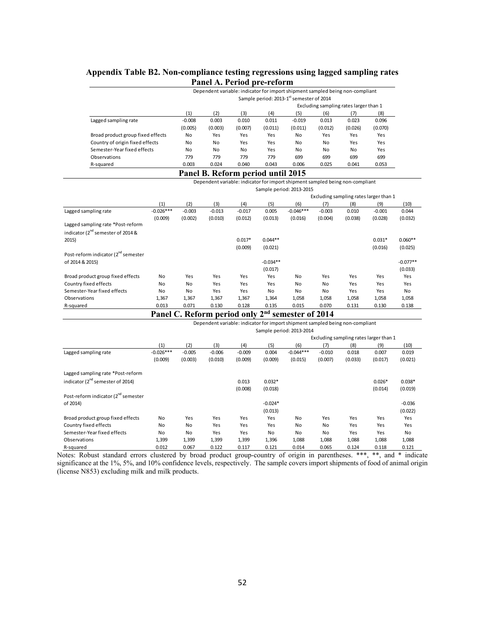# **Appendix Table B2. Non-compliance testing regressions using lagged sampling rates Panel A. Period pre-reform**

|                                   |          |                                                      | Dependent variable: indicator for import shipment sampled being non-compliant |         |          |         |         |         |  |  |  |
|-----------------------------------|----------|------------------------------------------------------|-------------------------------------------------------------------------------|---------|----------|---------|---------|---------|--|--|--|
|                                   |          | Sample period: 2013-1 <sup>st</sup> semester of 2014 |                                                                               |         |          |         |         |         |  |  |  |
|                                   |          | Excluding sampling rates larger than 1               |                                                                               |         |          |         |         |         |  |  |  |
|                                   | (1)      | (2)                                                  | (3)                                                                           | (4)     | (5)      | (6)     | (7)     | (8)     |  |  |  |
| Lagged sampling rate              | $-0.008$ | 0.003                                                | 0.010                                                                         | 0.011   | $-0.019$ | 0.013   | 0.023   | 0.096   |  |  |  |
|                                   | (0.005)  | (0.003)                                              | (0.007)                                                                       | (0.011) | (0.011)  | (0.012) | (0.026) | (0.070) |  |  |  |
| Broad product group fixed effects | No       | Yes                                                  | Yes                                                                           | Yes     | No       | Yes     | Yes     | Yes     |  |  |  |
| Country of origin fixed effects   | No       | No                                                   | Yes                                                                           | Yes     | No       | No      | Yes     | Yes     |  |  |  |
| Semester-Year fixed effects       | No       | No                                                   | No                                                                            | Yes     | No       | No      | No      | Yes     |  |  |  |
| Observations                      | 779      | 779                                                  | 779                                                                           | 779     | 699      | 699     | 699     | 699     |  |  |  |
| R-squared                         | 0.003    | 0.024                                                | 0.040                                                                         | 0.043   | 0.006    | 0.025   | 0.041   | 0.053   |  |  |  |

# **Panel B. Reform period until 2015**

|                                                 |             |                      |          |          |            | Dependent variable: indicator for import shipment sampled being non-compliant |          |         |                                        |            |
|-------------------------------------------------|-------------|----------------------|----------|----------|------------|-------------------------------------------------------------------------------|----------|---------|----------------------------------------|------------|
|                                                 |             |                      |          |          |            | Sample period: 2013-2015                                                      |          |         |                                        |            |
|                                                 |             |                      |          |          |            |                                                                               |          |         | Excluding sampling rates larger than 1 |            |
|                                                 | (1)         | (2)                  | (3)      | (4)      | (5)        | (6)                                                                           | (7)      | (8)     | (9)                                    | (10)       |
| Lagged sampling rate                            | $-0.026***$ | $-0.003$             | $-0.013$ | $-0.017$ | 0.005      | $-0.046***$                                                                   | $-0.003$ | 0.010   | $-0.001$                               | 0.044      |
|                                                 | (0.009)     | (0.002)              | (0.010)  | (0.012)  | (0.013)    | (0.016)                                                                       | (0.004)  | (0.038) | (0.028)                                | (0.032)    |
| Lagged sampling rate *Post-reform               |             |                      |          |          |            |                                                                               |          |         |                                        |            |
| indicator (2 <sup>nd</sup> semester of 2014 &   |             |                      |          |          |            |                                                                               |          |         |                                        |            |
| 2015)                                           |             |                      |          | $0.017*$ | $0.044**$  |                                                                               |          |         | $0.031*$                               | $0.060**$  |
|                                                 |             |                      |          | (0.009)  | (0.021)    |                                                                               |          |         | (0.016)                                | (0.025)    |
| Post-reform indicator (2 <sup>nd</sup> semester |             |                      |          |          |            |                                                                               |          |         |                                        |            |
| of 2014 & 2015)                                 |             |                      |          |          | $-0.034**$ |                                                                               |          |         |                                        | $-0.077**$ |
|                                                 |             |                      |          |          | (0.017)    |                                                                               |          |         |                                        | (0.033)    |
| Broad product group fixed effects               | No          | Yes                  | Yes      | Yes      | Yes        | No                                                                            | Yes      | Yes     | Yes                                    | Yes        |
| Country fixed effects                           | No          | No                   | Yes      | Yes      | Yes        | No                                                                            | No       | Yes     | Yes                                    | Yes        |
| Semester-Year fixed effects                     | No          | No                   | Yes      | Yes      | No         | No                                                                            | No       | Yes     | Yes                                    | <b>No</b>  |
| Observations                                    | 1,367       | 1,367                | 1,367    | 1,367    | 1,364      | 1,058                                                                         | 1,058    | 1,058   | 1,058                                  | 1,058      |
| R-squared                                       | 0.013       | 0.071                | 0.130    | 0.128    | 0.135      | 0.015                                                                         | 0.070    | 0.131   | 0.130                                  | 0.138      |
|                                                 |             | $\sim$ $\sim$ $\sim$ |          |          | ---        |                                                                               | 0.0011   |         |                                        |            |

**Panel C. Reform period only 2nd semester of 2014** 

|                                                 |             |                                        |          |          |           | Dependent variable: indicator for import shipment sampled being non-compliant |           |         |          |          |  |
|-------------------------------------------------|-------------|----------------------------------------|----------|----------|-----------|-------------------------------------------------------------------------------|-----------|---------|----------|----------|--|
|                                                 |             |                                        |          |          |           | Sample period: 2013-2014                                                      |           |         |          |          |  |
|                                                 |             | Excluding sampling rates larger than 1 |          |          |           |                                                                               |           |         |          |          |  |
|                                                 | (1)         | (2)                                    | (3)      | (4)      | (5)       | (6)                                                                           | (7)       | (8)     | (9)      | (10)     |  |
| Lagged sampling rate                            | $-0.026***$ | $-0.005$                               | $-0.006$ | $-0.009$ | 0.004     | $-0.044***$                                                                   | $-0.010$  | 0.018   | 0.007    | 0.019    |  |
|                                                 | (0.009)     | (0.003)                                | (0.010)  | (0.009)  | (0.009)   | (0.015)                                                                       | (0.007)   | (0.033) | (0.017)  | (0.021)  |  |
| Lagged sampling rate *Post-reform               |             |                                        |          |          |           |                                                                               |           |         |          |          |  |
| indicator (2 <sup>nd</sup> semester of 2014)    |             |                                        |          | 0.013    | $0.032*$  |                                                                               |           |         | $0.026*$ | $0.038*$ |  |
|                                                 |             |                                        |          | (0.008)  | (0.018)   |                                                                               |           |         | (0.014)  | (0.019)  |  |
| Post-reform indicator (2 <sup>nd</sup> semester |             |                                        |          |          |           |                                                                               |           |         |          |          |  |
| of 2014)                                        |             |                                        |          |          | $-0.024*$ |                                                                               |           |         |          | $-0.036$ |  |
|                                                 |             |                                        |          |          | (0.013)   |                                                                               |           |         |          | (0.022)  |  |
| Broad product group fixed effects               | No          | Yes                                    | Yes      | Yes      | Yes       | No                                                                            | Yes       | Yes     | Yes      | Yes      |  |
| Country fixed effects                           | No          | No                                     | Yes      | Yes      | Yes       | No                                                                            | No        | Yes     | Yes      | Yes      |  |
| Semester-Year fixed effects                     | No          | No                                     | Yes      | Yes      | <b>No</b> | No                                                                            | <b>No</b> | Yes     | Yes      | No       |  |
| Observations                                    | 1,399       | 1,399                                  | 1,399    | 1,399    | 1,396     | 1,088                                                                         | 1,088     | 1,088   | 1,088    | 1,088    |  |
| R-squared                                       | 0.012       | 0.067                                  | 0.122    | 0.117    | 0.121     | 0.014                                                                         | 0.065     | 0.124   | 0.118    | 0.121    |  |

Notes: Robust standard errors clustered by broad product group-country of origin in parentheses. \*\*\*, \*\*, and \* indicate significance at the 1%, 5%, and 10% confidence levels, respectively. The sample covers import shipments of food of animal origin (license N853) excluding milk and milk products.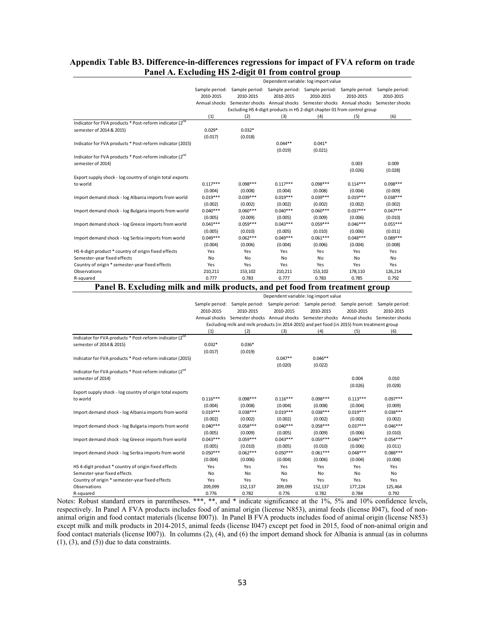# **Appendix Table B3. Difference-in-differences regressions for impact of FVA reform on trade Panel A. Excluding HS 2-digit 01 from control group**

|                                                                              | Dependent variable: log import value |                                                                                           |                |                                                                                             |                |                |  |  |
|------------------------------------------------------------------------------|--------------------------------------|-------------------------------------------------------------------------------------------|----------------|---------------------------------------------------------------------------------------------|----------------|----------------|--|--|
|                                                                              |                                      |                                                                                           |                |                                                                                             |                |                |  |  |
|                                                                              |                                      | Sample period: Sample period: Sample period: Sample period: Sample period: Sample period: |                |                                                                                             |                |                |  |  |
|                                                                              | 2010-2015                            | 2010-2015                                                                                 | 2010-2015      | 2010-2015                                                                                   | 2010-2015      | 2010-2015      |  |  |
|                                                                              |                                      | Annual shocks Semester shocks Annual shocks Semester shocks Annual shocks Semester shocks |                |                                                                                             |                |                |  |  |
|                                                                              |                                      | Excluding HS 4-digit products in HS 2-digit chapter 01 from control group<br>(2)          |                |                                                                                             |                |                |  |  |
| Indicator for FVA products * Post-reform indicator (2nd                      | (1)                                  |                                                                                           | (3)            | (4)                                                                                         | (5)            | (6)            |  |  |
| semester of 2014 & 2015)                                                     | $0.029*$                             | $0.032*$                                                                                  |                |                                                                                             |                |                |  |  |
|                                                                              | (0.017)                              | (0.018)                                                                                   |                |                                                                                             |                |                |  |  |
| Indicator for FVA products * Post-reform indicator (2015)                    |                                      |                                                                                           | $0.044**$      | $0.041*$                                                                                    |                |                |  |  |
|                                                                              |                                      |                                                                                           | (0.019)        | (0.021)                                                                                     |                |                |  |  |
| Indicator for FVA products * Post-reform indicator (2nd                      |                                      |                                                                                           |                |                                                                                             |                |                |  |  |
| semester of 2014)                                                            |                                      |                                                                                           |                |                                                                                             | 0.003          | 0.009          |  |  |
|                                                                              |                                      |                                                                                           |                |                                                                                             | (0.026)        | (0.028)        |  |  |
| Export supply shock - log country of origin total exports                    |                                      |                                                                                           |                |                                                                                             |                |                |  |  |
| to world                                                                     | $0.117***$                           | $0.098***$                                                                                | $0.117***$     | $0.098***$                                                                                  | $0.114***$     | $0.098***$     |  |  |
|                                                                              | (0.004)                              | (0.008)                                                                                   | (0.004)        | (0.008)                                                                                     | (0.004)        | (0.009)        |  |  |
| Import demand shock - log Albania imports from world                         | $0.019***$                           | $0.039***$                                                                                | $0.019***$     | $0.039***$                                                                                  | $0.019***$     | $0.038***$     |  |  |
|                                                                              | (0.002)                              | (0.002)                                                                                   | (0.002)        | (0.002)                                                                                     | (0.002)        | (0.002)        |  |  |
| Import demand shock - log Bulgaria imports from world                        | $0.040***$                           | $0.060***$                                                                                | $0.040***$     | $0.060***$                                                                                  | $0.037***$     | $0.047***$     |  |  |
|                                                                              | (0.005)                              | (0.009)                                                                                   | (0.005)        | (0.009)                                                                                     | (0.006)        | (0.010)        |  |  |
| Import demand shock - log Greece imports from world                          | $0.043***$                           | $0.059***$                                                                                | $0.043***$     | $0.059***$                                                                                  | $0.046***$     | $0.055***$     |  |  |
|                                                                              | (0.005)                              | (0.010)                                                                                   | (0.005)        | (0.010)                                                                                     | (0.006)        | (0.011)        |  |  |
| Import demand shock - log Serbia imports from world                          | $0.049***$                           | $0.062***$                                                                                | $0.049***$     | $0.061***$                                                                                  | $0.048***$     | $0.089***$     |  |  |
|                                                                              | (0.004)                              | (0.006)                                                                                   | (0.004)        | (0.006)                                                                                     | (0.004)        | (0.008)        |  |  |
| HS 4-digit product * country of origin fixed effects                         | Yes                                  | Yes                                                                                       | Yes            | Yes                                                                                         | Yes            | Yes            |  |  |
| Semester-year fixed effects                                                  | No                                   | No                                                                                        | No             | No                                                                                          | No             | No             |  |  |
| Country of origin * semester-year fixed effects                              | Yes                                  | Yes                                                                                       | Yes            | Yes                                                                                         | Yes            | Yes            |  |  |
| Observations                                                                 | 210,211                              | 153,102                                                                                   | 210,211        | 153,102                                                                                     | 178,110        | 126,214        |  |  |
| R-squared                                                                    | 0.777                                | 0.783                                                                                     | 0.777          | 0.783                                                                                       | 0.785          | 0.792          |  |  |
| Panel B. Excluding milk and milk products, and pet food from treatment group |                                      |                                                                                           |                |                                                                                             |                |                |  |  |
|                                                                              |                                      |                                                                                           |                |                                                                                             |                |                |  |  |
|                                                                              |                                      |                                                                                           |                | Dependent variable: log import value                                                        |                |                |  |  |
|                                                                              |                                      | Sample period: Sample period: Sample period: Sample period: Sample period: Sample period: |                |                                                                                             |                |                |  |  |
|                                                                              | 2010-2015                            | 2010-2015                                                                                 | 2010-2015      | 2010-2015                                                                                   | 2010-2015      | 2010-2015      |  |  |
|                                                                              |                                      | Annual shocks Semester shocks Annual shocks Semester shocks Annual shocks Semester shocks |                |                                                                                             |                |                |  |  |
|                                                                              |                                      |                                                                                           |                |                                                                                             |                |                |  |  |
|                                                                              |                                      |                                                                                           |                | Excluding milk and milk products (in 2014-2015) and pet food (in 2015) from treatment group |                |                |  |  |
|                                                                              | (1)                                  | (2)                                                                                       | (3)            | (4)                                                                                         | (5)            | (6)            |  |  |
| Indicator for FVA products * Post-reform indicator (2nd                      |                                      |                                                                                           |                |                                                                                             |                |                |  |  |
| semester of 2014 & 2015)                                                     | $0.032*$                             | $0.036*$                                                                                  |                |                                                                                             |                |                |  |  |
|                                                                              | (0.017)                              | (0.019)                                                                                   |                |                                                                                             |                |                |  |  |
| Indicator for FVA products * Post-reform indicator (2015)                    |                                      |                                                                                           | $0.047**$      | $0.046**$                                                                                   |                |                |  |  |
|                                                                              |                                      |                                                                                           | (0.020)        | (0.022)                                                                                     |                |                |  |  |
| Indicator for FVA products * Post-reform indicator (2 <sup>nd</sup>          |                                      |                                                                                           |                |                                                                                             |                |                |  |  |
| semester of 2014)                                                            |                                      |                                                                                           |                |                                                                                             | 0.004          | 0.010          |  |  |
|                                                                              |                                      |                                                                                           |                |                                                                                             | (0.026)        | (0.028)        |  |  |
| Export supply shock - log country of origin total exports                    |                                      |                                                                                           |                |                                                                                             |                |                |  |  |
| to world                                                                     | $0.116***$                           | $0.098***$                                                                                | $0.116***$     | $0.098***$                                                                                  | $0.113***$     | $0.097***$     |  |  |
|                                                                              | (0.004)                              | (0.008)                                                                                   | (0.004)        | (0.008)                                                                                     | (0.004)        | (0.009)        |  |  |
| Import demand shock - log Albania imports from world                         | $0.019***$                           | $0.038***$                                                                                | $0.019***$     | $0.038***$                                                                                  | $0.019***$     | $0.038***$     |  |  |
|                                                                              | (0.002)                              | (0.002)                                                                                   | (0.002)        | (0.002)                                                                                     | (0.002)        | (0.002)        |  |  |
| Import demand shock - log Bulgaria imports from world                        | $0.040***$                           | $0.058***$                                                                                | $0.040***$     | $0.058***$                                                                                  | $0.037***$     | $0.046***$     |  |  |
|                                                                              | (0.005)                              | (0.009)                                                                                   | (0.005)        | (0.009)                                                                                     | (0.006)        | (0.010)        |  |  |
| Import demand shock - log Greece imports from world                          | $0.043***$                           | $0.059***$                                                                                | $0.043***$     | $0.059***$                                                                                  | $0.046***$     | $0.054***$     |  |  |
|                                                                              | (0.005)                              | (0.010)                                                                                   | (0.005)        | (0.010)                                                                                     | (0.006)        | (0.011)        |  |  |
| Import demand shock - log Serbia imports from world                          | $0.050***$                           | $0.062***$                                                                                | $0.050***$     | $0.061***$                                                                                  | $0.048***$     | $0.088***$     |  |  |
| HS 4-digit product * country of origin fixed effects                         | (0.004)<br>Yes                       | (0.006)<br>Yes                                                                            | (0.004)<br>Yes | (0.006)<br>Yes                                                                              | (0.004)<br>Yes | (0.008)<br>Yes |  |  |

Notes: Robust standard errors in parentheses. \*\*\*, \*\*, and \* indicate significance at the 1%, 5% and 10% confidence levels, respectively. In Panel A FVA products includes food of animal origin (license N853), animal feeds (license I047), food of nonanimal origin and food contact materials (license I007)). In Panel B FVA products includes food of animal origin (license N853) except milk and milk products in 2014-2015, animal feeds (license I047) except pet food in 2015, food of non-animal origin and food contact materials (license I007)). In columns (2), (4), and (6) the import demand shock for Albania is annual (as in columns  $(1), (3),$  and  $(5)$ ) due to data constraints.

Country of origin \* semester-year fixed effects Yes Yes Yes Yes Yes Yes Observations 209,099 152,137 209,099 152,137 177,224 125,464 R-squared 0.776 0.782 0.776 0.782 0.784 0.792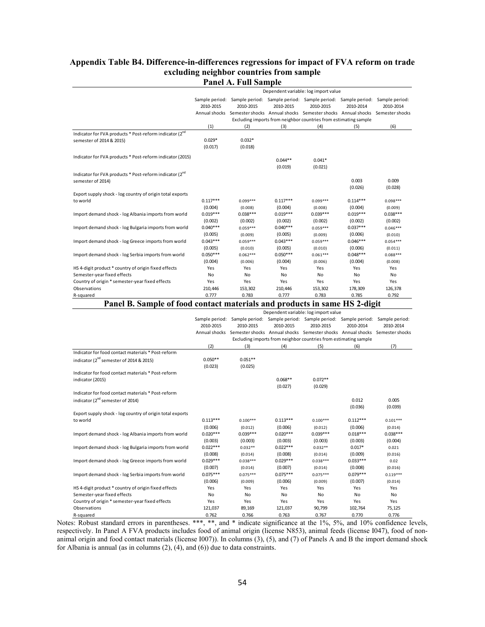# **Appendix Table B4. Difference-in-differences regressions for impact of FVA reform on trade excluding neighbor countries from sample Panel A. Full Sample**

|                                                                                                 |                                      | * *** ~****         | --         |                                                                                                                                                                                                     |            |            |  |  |
|-------------------------------------------------------------------------------------------------|--------------------------------------|---------------------|------------|-----------------------------------------------------------------------------------------------------------------------------------------------------------------------------------------------------|------------|------------|--|--|
|                                                                                                 | Dependent variable: log import value |                     |            |                                                                                                                                                                                                     |            |            |  |  |
|                                                                                                 | 2010-2015                            | 2010-2015           | 2010-2015  | Sample period: Sample period: Sample period: Sample period: Sample period: Sample period:<br>2010-2015<br>Annual shocks Semester shocks Annual shocks Semester shocks Annual shocks Semester shocks | 2010-2014  | 2010-2014  |  |  |
|                                                                                                 |                                      |                     |            | Excluding imports from neighbor countries from estimating sample                                                                                                                                    |            |            |  |  |
|                                                                                                 | (1)                                  | (2)                 | (3)        | (4)                                                                                                                                                                                                 | (5)        | (6)        |  |  |
| Indicator for FVA products * Post-reform indicator (2 <sup>nd</sup><br>semester of 2014 & 2015) | $0.029*$<br>(0.017)                  | $0.032*$<br>(0.018) |            |                                                                                                                                                                                                     |            |            |  |  |
| Indicator for FVA products * Post-reform indicator (2015)                                       |                                      |                     | $0.044**$  | $0.041*$                                                                                                                                                                                            |            |            |  |  |
|                                                                                                 |                                      |                     | (0.019)    | (0.021)                                                                                                                                                                                             |            |            |  |  |
| Indicator for FVA products * Post-reform indicator (2 <sup>nd</sup><br>semester of 2014)        |                                      |                     |            |                                                                                                                                                                                                     | 0.003      | 0.009      |  |  |
|                                                                                                 |                                      |                     |            |                                                                                                                                                                                                     | (0.026)    | (0.028)    |  |  |
| Export supply shock - log country of origin total exports                                       |                                      |                     |            |                                                                                                                                                                                                     |            |            |  |  |
| to world                                                                                        | $0.117***$                           | $0.099***$          | $0.117***$ | $0.099***$                                                                                                                                                                                          | $0.114***$ | $0.098***$ |  |  |
|                                                                                                 | (0.004)                              | (0.008)             | (0.004)    | (0.008)                                                                                                                                                                                             | (0.004)    | (0.009)    |  |  |
| Import demand shock - log Albania imports from world                                            | $0.019***$                           | $0.038***$          | $0.019***$ | $0.039***$                                                                                                                                                                                          | $0.019***$ | $0.038***$ |  |  |
|                                                                                                 | (0.002)                              | (0.002)             | (0.002)    | (0.002)                                                                                                                                                                                             | (0.002)    | (0.002)    |  |  |
| Import demand shock - log Bulgaria imports from world                                           | $0.040***$                           | $0.059***$          | $0.040***$ | $0.059***$                                                                                                                                                                                          | $0.037***$ | $0.046***$ |  |  |
|                                                                                                 | (0.005)                              | (0.009)             | (0.005)    | (0.009)                                                                                                                                                                                             | (0.006)    | (0.010)    |  |  |
| Import demand shock - log Greece imports from world                                             | $0.043***$                           | $0.059***$          | $0.043***$ | $0.059***$                                                                                                                                                                                          | $0.046***$ | $0.054***$ |  |  |
|                                                                                                 | (0.005)                              | (0.010)             | (0.005)    | (0.010)                                                                                                                                                                                             | (0.006)    | (0.011)    |  |  |
| Import demand shock - log Serbia imports from world                                             | $0.050***$                           | $0.062***$          | $0.050***$ | $0.061***$                                                                                                                                                                                          | $0.048***$ | $0.088***$ |  |  |
|                                                                                                 | (0.004)                              | (0.006)             | (0.004)    | (0.006)                                                                                                                                                                                             | (0.004)    | (0.008)    |  |  |
| HS 4-digit product * country of origin fixed effects<br>Semester-year fixed effects             | Yes<br>No                            | Yes<br>No           | Yes<br>No  | Yes<br>No                                                                                                                                                                                           | Yes<br>No  | Yes<br>No  |  |  |
| Country of origin * semester-year fixed effects                                                 | Yes                                  | Yes                 | Yes        | Yes                                                                                                                                                                                                 | Yes        | Yes        |  |  |
| Observations                                                                                    | 210,446                              | 153,302             | 210,446    | 153,302                                                                                                                                                                                             | 178,309    | 126,378    |  |  |
| R-squared                                                                                       | 0.777                                | 0.783               | 0.777      | 0.783                                                                                                                                                                                               | 0.785      | 0.792      |  |  |
|                                                                                                 |                                      |                     |            |                                                                                                                                                                                                     |            |            |  |  |
| Panel B. Sample of food contact materials and products in same HS 2-digit                       |                                      |                     |            |                                                                                                                                                                                                     |            |            |  |  |
|                                                                                                 |                                      |                     |            | Dependent variable: log import value                                                                                                                                                                |            |            |  |  |
|                                                                                                 |                                      |                     |            | Sample period: Sample period: Sample period: Sample period: Sample period: Sample period:                                                                                                           |            |            |  |  |
|                                                                                                 | 2010-2015                            | 2010-2015           | 2010-2015  | 2010-2015                                                                                                                                                                                           | 2010-2014  | 2010-2014  |  |  |
|                                                                                                 |                                      |                     |            | Annual shocks Semester shocks Annual shocks Semester shocks Annual shocks Semester shocks                                                                                                           |            |            |  |  |
|                                                                                                 |                                      |                     |            | Excluding imports from neighbor countries from estimating sample                                                                                                                                    |            |            |  |  |
| Indicator for food contact materials * Post-reform                                              | (2)                                  | (3)                 | (4)        | (5)                                                                                                                                                                                                 | (6)        | (7)        |  |  |
| indicator (2 <sup>nd</sup> semester of 2014 & 2015)                                             | $0.050**$                            | $0.051**$           |            |                                                                                                                                                                                                     |            |            |  |  |
|                                                                                                 | (0.023)                              | (0.025)             |            |                                                                                                                                                                                                     |            |            |  |  |
| Indicator for food contact materials * Post-reform                                              |                                      |                     |            |                                                                                                                                                                                                     |            |            |  |  |
| indicator (2015)                                                                                |                                      |                     | $0.068**$  | $0.072**$                                                                                                                                                                                           |            |            |  |  |
|                                                                                                 |                                      |                     | (0.027)    | (0.029)                                                                                                                                                                                             |            |            |  |  |
| Indicator for food contact materials * Post-reform                                              |                                      |                     |            |                                                                                                                                                                                                     |            |            |  |  |
| indicator (2 <sup>nd</sup> semester of 2014)                                                    |                                      |                     |            |                                                                                                                                                                                                     | 0.012      | 0.005      |  |  |
|                                                                                                 |                                      |                     |            |                                                                                                                                                                                                     | (0.036)    | (0.039)    |  |  |
| Export supply shock - log country of origin total exports                                       |                                      |                     |            |                                                                                                                                                                                                     |            |            |  |  |
| to world                                                                                        | $0.113***$                           | $0.100***$          | $0.113***$ | $0.100***$                                                                                                                                                                                          | $0.112***$ | $0.101***$ |  |  |
|                                                                                                 |                                      |                     |            |                                                                                                                                                                                                     |            |            |  |  |

| to world                                              | $0.113***$ | $0.100***$ | $0.113***$ | $0.100***$ | $0.112***$ | $0.101***$ |
|-------------------------------------------------------|------------|------------|------------|------------|------------|------------|
|                                                       | (0.006)    | (0.012)    | (0.006)    | (0.012)    | (0.006)    | (0.014)    |
| Import demand shock - log Albania imports from world  | $0.020***$ | $0.039***$ | $0.020***$ | $0.039***$ | $0.018***$ | $0.038***$ |
|                                                       | (0.003)    | (0.003)    | (0.003)    | (0.003)    | (0.003)    | (0.004)    |
| Import demand shock - log Bulgaria imports from world | $0.022***$ | $0.032**$  | $0.022***$ | $0.032**$  | $0.017*$   | 0.021      |
|                                                       | (0.008)    | (0.014)    | (0.008)    | (0.014)    | (0.009)    | (0.016)    |
| Import demand shock - log Greece imports from world   | $0.029***$ | $0.038***$ | $0.029***$ | $0.038***$ | $0.033***$ | 0.02       |
|                                                       | (0.007)    | (0.014)    | (0.007)    | (0.014)    | (0.008)    | (0.016)    |
| Import demand shock - log Serbia imports from world   | $0.075***$ | $0.075***$ | $0.075***$ | $0.075***$ | $0.079***$ | $0.119***$ |
|                                                       | (0.006)    | (0.009)    | (0.006)    | (0.009)    | (0.007)    | (0.014)    |
| HS 4-digit product * country of origin fixed effects  | Yes        | Yes        | Yes        | Yes        | Yes        | Yes        |
| Semester-year fixed effects                           | No         | <b>No</b>  | No         | <b>No</b>  | No         | No         |
| Country of origin * semester-year fixed effects       | Yes        | Yes        | Yes        | Yes        | Yes        | Yes        |
| Observations                                          | 121,037    | 89,169     | 121,037    | 90,799     | 102,764    | 75,125     |
| R-squared                                             | 0.762      | 0.766      | 0.763      | 0.767      | 0.770      | 0.776      |

Notes: Robust standard errors in parentheses. \*\*\*, \*\*, and \* indicate significance at the 1%, 5%, and 10% confidence levels, respectively. In Panel A FVA products includes food of animal origin (license N853), animal feeds (license I047), food of nonanimal origin and food contact materials (license I007)). In columns (3), (5), and (7) of Panels A and B the import demand shock for Albania is annual (as in columns (2), (4), and (6)) due to data constraints.